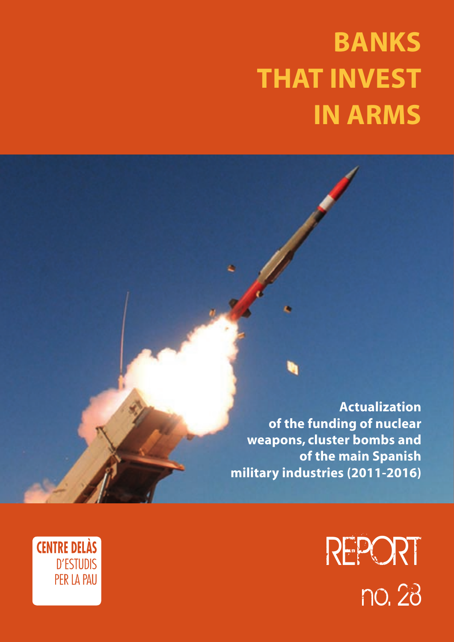# **Banks THAT INVEST in arms**

**Actualization of the funding of nuclear weapons, cluster bombs and of the main Spanish military industries (2011-2016)**

> REPORT no. 28

<span id="page-0-0"></span>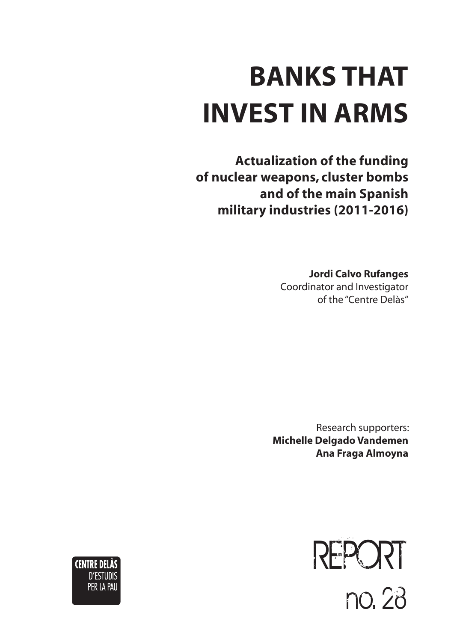# **Banks that invest in arms**

**Actualization of the funding of nuclear weapons, cluster bombs and of the main Spanish military industries (2011-2016)**

> **Jordi Calvo Rufanges** Coordinator and Investigator of the "Centre Delàs"

Research supporters: **Michelle Delgado Vandemen Ana Fraga Almoyna**



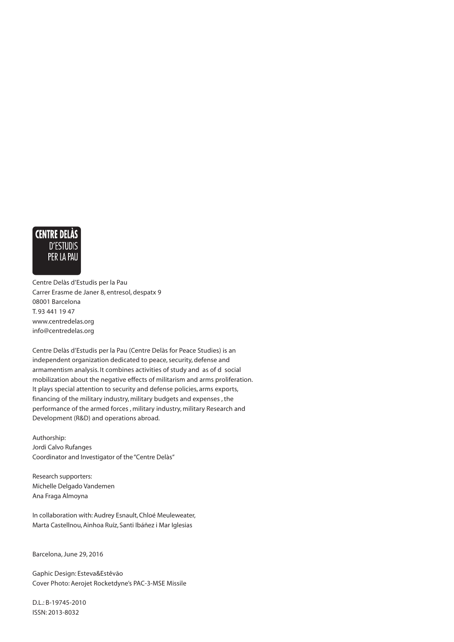

Centre Delàs d'Estudis per la Pau Carrer Erasme de Janer 8, entresol, despatx 9 08001 Barcelona T. 93 441 19 47 www.centredelas.org info@centredelas.org

Centre Delàs d'Estudis per la Pau (Centre Delàs for Peace Studies) is an independent organization dedicated to peace, security, defense and armamentism analysis. It combines activities of study and as of d social mobilization about the negative effects of militarism and arms proliferation. It plays special attention to security and defense policies, arms exports, financing of the military industry, military budgets and expenses , the performance of the armed forces , military industry, military Research and Development (R&D) and operations abroad.

Authorship: Jordi Calvo Rufanges Coordinator and Investigator of the "Centre Delàs"

Research supporters: Michelle Delgado Vandemen Ana Fraga Almoyna

In collaboration with: Audrey Esnault, Chloé Meuleweater, Marta Castellnou, Ainhoa Ruíz, Santi Ibáñez i Mar Iglesias

Barcelona, June 29, 2016

Gaphic Design: Esteva&Estêvão Cover Photo: Aerojet Rocketdyne's PAC-3-MSE Missile

D.L.: B-19745-2010 ISSN: 2013-8032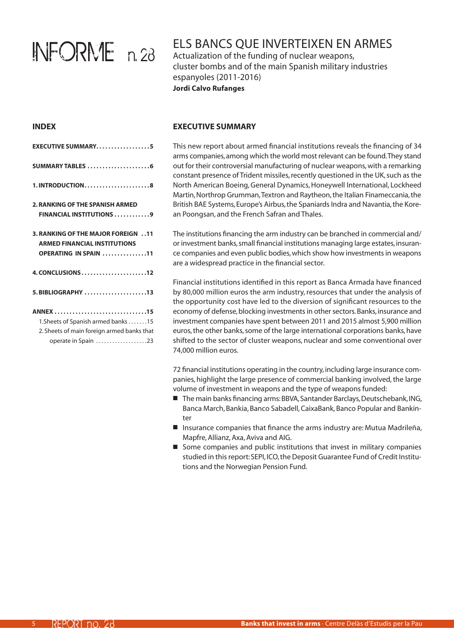# INFORME n. 28

# Els bancs que inverteixen en armes

Actualization of the funding of nuclear weapons, cluster bombs and of the main Spanish military industries espanyoles (2011-2016) **Jordi Calvo Rufanges**

### **INDEX**

| <b>EXECUTIVE SUMMARY5</b>                                                                                            |
|----------------------------------------------------------------------------------------------------------------------|
| SUMMARY TABLES 6                                                                                                     |
| $1. INTRODUCTION$ 8                                                                                                  |
| <b>2. RANKING OF THE SPANISH ARMED</b><br><b>FINANCIAL INSTITUTIONS 9</b>                                            |
| <b>3. RANKING OF THE MAJOR FOREIGN 11</b><br><b>ARMED FINANCIAL INSTITUTIONS</b><br>OPERATING IN SPAIN 11            |
| $4. CONCLUSIONS$ 12                                                                                                  |
| 5. BIBLIOGRAPHY 13                                                                                                   |
| ANNEX 15<br>1. Sheets of Spanish armed banks 15<br>2. Sheets of main foreign armed banks that<br>operate in Spain 23 |

### **Executive Summary**

This new report about armed financial institutions reveals the financing of 34 arms companies, among which the world most relevant can be found. They stand out for their controversial manufacturing of nuclear weapons, with a remarking constant presence of Trident missiles, recently questioned in the UK, such as the North American Boeing, General Dynamics, Honeywell International, Lockheed Martin, Northrop Grumman, Textron and Raytheon, the Italian Finameccania, the British BAE Systems, Europe's Airbus, the Spaniards Indra and Navantia, the Korean Poongsan, and the French Safran and Thales.

The institutions financing the arm industry can be branched in commercial and/ or investment banks, small financial institutions managing large estates, insurance companies and even public bodies, which show how investments in weapons are a widespread practice in the financial sector.

Financial institutions identified in this report as Banca Armada have financed by 80,000 million euros the arm industry, resources that under the analysis of the opportunity cost have led to the diversion of significant resources to the economy of defense, blocking investments in other sectors. Banks, insurance and investment companies have spent between 2011 and 2015 almost 5,900 million euros, the other banks, some of the large international corporations banks, have shifted to the sector of cluster weapons, nuclear and some conventional over 74,000 million euros.

72 financial institutions operating in the country, including large insurance companies, highlight the large presence of commercial banking involved, the large volume of investment in weapons and the type of weapons funded:

- The main banks financing arms: BBVA, Santander Barclays, Deutschebank, ING, Banca March, Bankia, Banco Sabadell, CaixaBank, Banco Popular and Bankinter
- Insurance companies that finance the arms industry are: Mutua Madrileña, Mapfre, Allianz, Axa, Aviva and AIG.
- $\blacksquare$  Some companies and public institutions that invest in military companies studied in this report: SEPI, ICO, the Deposit Guarantee Fund of Credit Institutions and the Norwegian Pension Fund.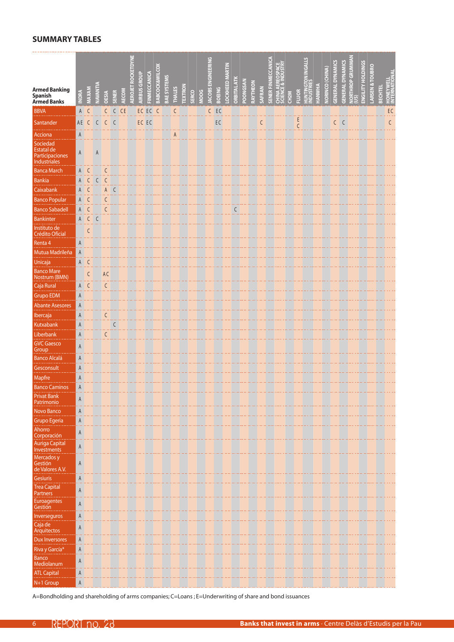### <span id="page-5-0"></span>**summary tables**

|                                                       |                   |                              |                 |                                                                                     |              |              |                           |                     |              |                           |                    |               |                |       |      | EERING         |               |                        |                    |          |          |        | ð                |                                               |                   |              | <b>GALLS</b>            |               |                        | U                     |                         |                                 |                          |                            |         |                                  |
|-------------------------------------------------------|-------------------|------------------------------|-----------------|-------------------------------------------------------------------------------------|--------------|--------------|---------------------------|---------------------|--------------|---------------------------|--------------------|---------------|----------------|-------|------|----------------|---------------|------------------------|--------------------|----------|----------|--------|------------------|-----------------------------------------------|-------------------|--------------|-------------------------|---------------|------------------------|-----------------------|-------------------------|---------------------------------|--------------------------|----------------------------|---------|----------------------------------|
|                                                       |                   |                              |                 |                                                                                     |              |              |                           |                     |              |                           |                    |               |                |       |      |                |               |                        |                    |          |          |        |                  |                                               |                   |              |                         |               |                        |                       |                         |                                 |                          |                            |         |                                  |
| <b>Armed Banking</b><br>Spanish<br><b>Armed Banks</b> | <b>INDRA</b>      | MAXAM                        | <b>NAVANTIA</b> | <b>OESIA</b>                                                                        | <b>SENER</b> | <b>AECOM</b> | <b>AEROJET ROCKETDYNE</b> | <b>AIRBUS GROUP</b> | FINMECCANICA | <b>BABCOCK&amp;WILCOX</b> | <b>BAE SYSTEMS</b> | <b>THALES</b> | <b>TEXTRON</b> | SERCO | MOOG | ACOBS ENGIN    | <b>BOEING</b> | <b>.OCKHEED MARTIN</b> | <b>ORBITAL ATK</b> | POONGSAN | RAYTHEON | SAFRAN | SENER FINMECCANI | <b>CHINA AEREOSPACE</b><br>SCIENCE & INDUSTRY | CH <sub>2</sub> M | <b>FLUOR</b> | HUNTINGTON<br>NDUSTRIES | <b>HANWHA</b> | <b>NORINCO (CHINA)</b> | <b>GENERAL DYNAMI</b> | <b>GENERAL DYNAMICS</b> | <b>VORTHROP GRUMMAN<br/>US)</b> | <b>ENGILITY HOLDINGS</b> | <b>LARSEN &amp; TOUBRO</b> | BECHTEL | <b>HONEYWELL</b><br>INTERNATIONA |
| <b>BBVA</b>                                           | A                 | C                            |                 | C                                                                                   | C            | CE           |                           |                     | EC EC C      |                           |                    | $\mathsf{C}$  |                |       |      | $\overline{C}$ | E             |                        |                    |          |          |        |                  |                                               |                   |              |                         |               |                        |                       |                         |                                 |                          |                            |         | EC                               |
| Santander                                             | AE C              |                              |                 | $C$ $C$ $C$                                                                         |              |              |                           | EC EC               |              |                           |                    |               |                |       |      |                | $\mathsf{EC}$ |                        |                    |          |          | C      |                  |                                               |                   | $rac{E}{C}$  |                         |               |                        | $C$ $C$               |                         |                                 |                          |                            |         | $\mathsf{C}$                     |
| Acciona                                               | A                 |                              |                 |                                                                                     |              |              |                           |                     |              |                           |                    | A             |                |       |      |                |               |                        |                    |          |          |        |                  |                                               |                   |              |                         |               |                        |                       |                         |                                 |                          |                            |         |                                  |
| Sociedad                                              |                   |                              |                 |                                                                                     |              |              |                           |                     |              |                           |                    |               |                |       |      |                |               |                        |                    |          |          |        |                  |                                               |                   |              |                         |               |                        |                       |                         |                                 |                          |                            |         |                                  |
| <b>Estatal de</b><br>Participaciones<br>Industriales  | A                 |                              | A               |                                                                                     |              |              |                           |                     |              |                           |                    |               |                |       |      |                |               |                        |                    |          |          |        |                  |                                               |                   |              |                         |               |                        |                       |                         |                                 |                          |                            |         |                                  |
| <b>Banca March</b>                                    | A                 | $\mathsf{C}$                 |                 | C                                                                                   |              |              |                           |                     |              |                           |                    |               |                |       |      |                |               |                        |                    |          |          |        |                  |                                               |                   |              |                         |               |                        |                       |                         |                                 |                          |                            |         |                                  |
| <b>Bankia</b>                                         | A                 | C                            | C               | C                                                                                   |              |              |                           |                     |              |                           |                    |               |                |       |      |                |               |                        |                    |          |          |        |                  |                                               |                   |              |                         |               |                        |                       |                         |                                 |                          |                            |         |                                  |
| Caixabank                                             | A                 | $\mathsf{C}$                 |                 | $\mathsf A$                                                                         | $\mathsf{C}$ |              |                           |                     |              |                           |                    |               |                |       |      |                |               |                        |                    |          |          |        |                  |                                               |                   |              |                         |               |                        |                       |                         |                                 |                          |                            |         |                                  |
| <b>Banco Popular</b><br><b>Banco Sabadell</b>         | A<br>$\mathsf{A}$ | $\mathsf{C}$<br>$\mathsf{C}$ |                 | C<br>C                                                                              |              |              |                           |                     |              |                           |                    |               |                |       |      |                |               |                        |                    |          |          |        |                  |                                               |                   |              |                         |               |                        |                       |                         |                                 |                          |                            |         |                                  |
| <b>Bankinter</b>                                      | $\mathsf{A}$      | $\mathsf C$                  | C               |                                                                                     |              |              |                           |                     |              |                           |                    |               |                |       |      |                |               |                        |                    |          |          |        |                  |                                               |                   |              |                         |               |                        |                       |                         |                                 |                          |                            |         |                                  |
| Instituto de<br>Crédito Oficial                       |                   | C                            |                 |                                                                                     |              |              |                           |                     |              |                           |                    |               |                |       |      |                |               |                        |                    |          |          |        |                  |                                               |                   |              |                         |               |                        |                       |                         |                                 |                          |                            |         |                                  |
| Renta 4                                               | A                 |                              |                 |                                                                                     |              |              |                           |                     |              |                           |                    |               |                |       |      |                |               |                        |                    |          |          |        |                  |                                               |                   |              |                         |               |                        |                       |                         |                                 |                          |                            |         |                                  |
| Mutua Madrileña                                       | A                 |                              |                 |                                                                                     |              |              |                           |                     |              |                           |                    |               |                |       |      |                |               |                        |                    |          |          |        |                  |                                               |                   |              |                         |               |                        |                       |                         |                                 |                          |                            |         |                                  |
| Unicaja                                               |                   | A C                          |                 |                                                                                     |              |              |                           |                     |              |                           |                    |               |                |       |      |                |               |                        |                    |          |          |        |                  |                                               |                   |              |                         |               |                        |                       |                         |                                 |                          |                            |         |                                  |
| <b>Banco Mare</b><br>Nostrum (BMN)                    |                   | $\mathsf{C}$                 |                 | AC                                                                                  |              |              |                           |                     |              |                           |                    |               |                |       |      |                |               |                        |                    |          |          |        |                  |                                               |                   |              |                         |               |                        |                       |                         |                                 |                          |                            |         |                                  |
| Caja Rural                                            | A                 | $\mathsf{C}$                 |                 | C                                                                                   |              |              |                           |                     |              |                           |                    |               |                |       |      |                |               |                        |                    |          |          |        |                  |                                               |                   |              |                         |               |                        |                       |                         |                                 |                          |                            |         |                                  |
| <b>Grupo EDM</b>                                      | A                 |                              |                 |                                                                                     |              |              |                           |                     |              |                           |                    |               |                |       |      |                |               |                        |                    |          |          |        |                  |                                               |                   |              |                         |               |                        |                       |                         |                                 |                          |                            |         |                                  |
| <b>Abante Asesores</b>                                | A                 |                              |                 |                                                                                     |              |              |                           |                     |              |                           |                    |               |                |       |      |                |               |                        |                    |          |          |        |                  |                                               |                   |              |                         |               |                        |                       |                         |                                 |                          |                            |         |                                  |
| Ibercaja                                              | A                 |                              |                 | C                                                                                   |              |              |                           |                     |              |                           |                    |               |                |       |      |                |               |                        |                    |          |          |        |                  |                                               |                   |              |                         |               |                        |                       |                         |                                 |                          |                            |         |                                  |
| Kutxabank<br>Liberbank                                | A<br>$\mathsf A$  |                              |                 | $\begin{array}{c} \begin{array}{c} \text{C} \end{array} \end{array}$<br>$\mathsf C$ |              |              |                           |                     |              |                           |                    |               |                |       |      |                |               |                        |                    |          |          |        |                  |                                               |                   |              |                         |               |                        |                       |                         |                                 |                          |                            |         |                                  |
| <b>GVC Gaesco</b>                                     | A                 |                              |                 |                                                                                     |              |              |                           |                     |              |                           |                    |               |                |       |      |                |               |                        |                    |          |          |        |                  |                                               |                   |              |                         |               |                        |                       |                         |                                 |                          |                            |         |                                  |
| Group                                                 |                   |                              |                 |                                                                                     |              |              |                           |                     |              |                           |                    |               |                |       |      |                |               |                        |                    |          |          |        |                  |                                               |                   |              |                         |               |                        |                       |                         |                                 |                          |                            |         |                                  |
| <b>Banco Alcalá</b><br>Gesconsult                     | A<br>A            |                              |                 |                                                                                     |              |              |                           |                     |              |                           |                    |               |                |       |      |                |               |                        |                    |          |          |        |                  |                                               |                   |              |                         |               |                        |                       |                         |                                 |                          |                            |         |                                  |
| Mapfre                                                | A                 |                              |                 |                                                                                     |              |              |                           |                     |              |                           |                    |               |                |       |      |                |               |                        |                    |          |          |        |                  |                                               |                   |              |                         |               |                        |                       |                         |                                 |                          |                            |         |                                  |
| <b>Banco Caminos</b>                                  | A                 |                              |                 |                                                                                     |              |              |                           |                     |              |                           |                    |               |                |       |      |                |               |                        |                    |          |          |        |                  |                                               |                   |              |                         |               |                        |                       |                         |                                 |                          |                            |         |                                  |
| <b>Privat Bank</b><br>Patrimonio                      | A                 |                              |                 |                                                                                     |              |              |                           |                     |              |                           |                    |               |                |       |      |                |               |                        |                    |          |          |        |                  |                                               |                   |              |                         |               |                        |                       |                         |                                 |                          |                            |         |                                  |
| Novo Banco                                            | A                 |                              |                 |                                                                                     |              |              |                           |                     |              |                           |                    |               |                |       |      |                |               |                        |                    |          |          |        |                  |                                               |                   |              |                         |               |                        |                       |                         |                                 |                          |                            |         |                                  |
| Grupo Egeria                                          | $\mathsf{A}$      |                              |                 |                                                                                     |              |              |                           |                     |              |                           |                    |               |                |       |      |                |               |                        |                    |          |          |        |                  |                                               |                   |              |                         |               |                        |                       |                         |                                 |                          |                            |         |                                  |
| Ahorro<br>Corporación                                 | A                 |                              |                 |                                                                                     |              |              |                           |                     |              |                           |                    |               |                |       |      |                |               |                        |                    |          |          |        |                  |                                               |                   |              |                         |               |                        |                       |                         |                                 |                          |                            |         |                                  |
| <b>Auriga Capital</b><br>Investments                  | A                 |                              |                 |                                                                                     |              |              |                           |                     |              |                           |                    |               |                |       |      |                |               |                        |                    |          |          |        |                  |                                               |                   |              |                         |               |                        |                       |                         |                                 |                          |                            |         |                                  |
| Mercados y                                            |                   |                              |                 |                                                                                     |              |              |                           |                     |              |                           |                    |               |                |       |      |                |               |                        |                    |          |          |        |                  |                                               |                   |              |                         |               |                        |                       |                         |                                 |                          |                            |         |                                  |
| Gestión<br>de Valores A.V.                            | A                 |                              |                 |                                                                                     |              |              |                           |                     |              |                           |                    |               |                |       |      |                |               |                        |                    |          |          |        |                  |                                               |                   |              |                         |               |                        |                       |                         |                                 |                          |                            |         |                                  |
| Gesiuris                                              | A                 |                              |                 |                                                                                     |              |              |                           |                     |              |                           |                    |               |                |       |      |                |               |                        |                    |          |          |        |                  |                                               |                   |              |                         |               |                        |                       |                         |                                 |                          |                            |         |                                  |
| <b>Trea Capital</b><br><b>Partners</b>                | A                 |                              |                 |                                                                                     |              |              |                           |                     |              |                           |                    |               |                |       |      |                |               |                        |                    |          |          |        |                  |                                               |                   |              |                         |               |                        |                       |                         |                                 |                          |                            |         |                                  |
| Euroagentes                                           | A                 |                              |                 |                                                                                     |              |              |                           |                     |              |                           |                    |               |                |       |      |                |               |                        |                    |          |          |        |                  |                                               |                   |              |                         |               |                        |                       |                         |                                 |                          |                            |         |                                  |
| Gestión<br>Inverseguros                               | A                 |                              |                 |                                                                                     |              |              |                           |                     |              |                           |                    |               |                |       |      |                |               |                        |                    |          |          |        |                  |                                               |                   |              |                         |               |                        |                       |                         |                                 |                          |                            |         |                                  |
| Caja de                                               |                   |                              |                 |                                                                                     |              |              |                           |                     |              |                           |                    |               |                |       |      |                |               |                        |                    |          |          |        |                  |                                               |                   |              |                         |               |                        |                       |                         |                                 |                          |                            |         |                                  |
| Arquitectos                                           | A                 |                              |                 |                                                                                     |              |              |                           |                     |              |                           |                    |               |                |       |      |                |               |                        |                    |          |          |        |                  |                                               |                   |              |                         |               |                        |                       |                         |                                 |                          |                            |         |                                  |
| Dux Inversores                                        | A                 |                              |                 |                                                                                     |              |              |                           |                     |              |                           |                    |               |                |       |      |                |               |                        |                    |          |          |        |                  |                                               |                   |              |                         |               |                        |                       |                         |                                 |                          |                            |         |                                  |
| Riva y García*<br><b>Banco</b>                        | A                 |                              |                 |                                                                                     |              |              |                           |                     |              |                           |                    |               |                |       |      |                |               |                        |                    |          |          |        |                  |                                               |                   |              |                         |               |                        |                       |                         |                                 |                          |                            |         |                                  |
| Mediolanum                                            | A                 |                              |                 |                                                                                     |              |              |                           |                     |              |                           |                    |               |                |       |      |                |               |                        |                    |          |          |        |                  |                                               |                   |              |                         |               |                        |                       |                         |                                 |                          |                            |         |                                  |
| <b>ATL Capital</b>                                    | A                 |                              |                 |                                                                                     |              |              |                           |                     |              |                           |                    |               |                |       |      |                |               |                        |                    |          |          |        |                  |                                               |                   |              |                         |               |                        |                       |                         |                                 |                          |                            |         |                                  |
| N+1 Group                                             | A                 |                              |                 |                                                                                     |              |              |                           |                     |              |                           |                    |               |                |       |      |                |               |                        |                    |          |          |        |                  |                                               |                   |              |                         |               |                        |                       |                         |                                 |                          |                            |         |                                  |

A=Bondholding and shareholding of arms companies; C=Loans ; E=Underwriting of share and bond issuances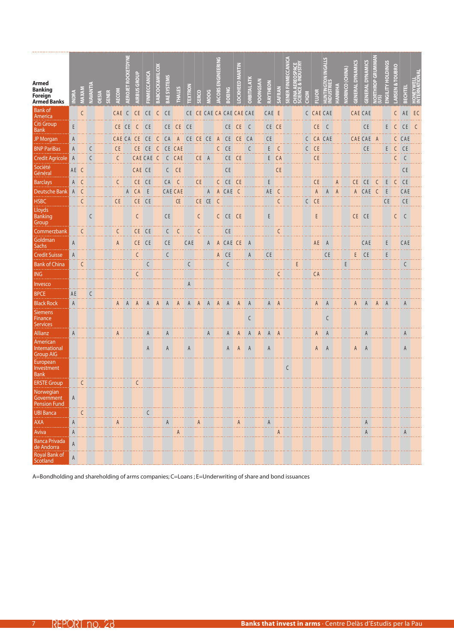| <b>Armed</b><br><b>Banking</b><br>Foreign<br><b>Armed Banks</b> |      | MAXAM        | <b>NAVANTIA</b> | <b>OESIA</b> | <b>SENER</b> | <b>AECOM</b>  | ETDYNE<br><b>ROCKI</b><br>EROJET | <b>AIRBUS GROUP</b> | FINMECCANICA    | BABCOCK&WILCO) | BAE SYSTEMS    | <b>THALES</b> | EXTRON | SERCO          | <b>POO</b> | EERING<br><b>ISSO</b> | <b>BOEING</b> | <b>OCKHEED MARTIN</b>    | <b>DRBITAL ATK</b>                                                  | POONGSAN | RAYTHEON | SAFRAN        | <b>SENER FIN</b><br>CHINA AL | <b>CH2N</b>  | <b>FLUOR</b> |    |                | <b>ORINCO (CHINA)</b> | U<br><b>GENERAL DYNAM</b> | U<br><b>GENERAL DYNAM</b> | <b>THROP GRU</b> | <b>HOLDINGS</b><br>ENGILITY | <b>ARSEN</b> | 덮                      |  |
|-----------------------------------------------------------------|------|--------------|-----------------|--------------|--------------|---------------|----------------------------------|---------------------|-----------------|----------------|----------------|---------------|--------|----------------|------------|-----------------------|---------------|--------------------------|---------------------------------------------------------------------|----------|----------|---------------|------------------------------|--------------|--------------|----|----------------|-----------------------|---------------------------|---------------------------|------------------|-----------------------------|--------------|------------------------|--|
| <b>Bank</b> of<br>America                                       |      | $\mathsf{C}$ |                 |              |              | <b>CAE</b>    | <sup>-</sup> C                   | CE.                 | CE <sub>1</sub> | C              | C <sub>E</sub> |               |        |                |            |                       |               | CE CE CAE CA CAE CAE CAE |                                                                     |          | CAE E    |               |                              |              | C CAE CAE    |    |                |                       | <b>CAE CAE</b>            |                           |                  |                             |              | <b>AE</b>              |  |
| Citi Group                                                      | E    |              |                 |              |              | CE CE         |                                  | C                   | CE <sub>1</sub> |                |                | CE CE CE      |        |                |            |                       |               | CE CE                    | C                                                                   |          | CE CE    |               |                              |              | CE.          | C  |                |                       |                           | <b>CE</b>                 |                  | E.                          | C            | <b>CE</b>              |  |
| <b>Bank</b><br>JP Morgan                                        |      |              |                 |              |              | CAE CA        |                                  | CE.                 | C E             | C              | C A            | $\mathsf{A}$  | CE CE  |                | CE         | $\mathsf{A}$          | CE.           | CE.                      | CA                                                                  |          | CE       |               |                              |              | CA CAE       |    |                |                       |                           | CAE CAE                   | A                |                             |              | CAE                    |  |
| <b>BNP PariBas</b>                                              | A    |              |                 |              |              | $\mathsf{CE}$ |                                  | CE CE               |                 | C              |                | CE CAE        |        |                |            | $\mathsf{C}$          | <b>CE</b>     |                          | $\mathsf{C}$                                                        |          | E        | C             |                              | $\mathsf{C}$ | <b>CE</b>    |    |                |                       |                           | CE                        |                  | E                           | $\mathsf{C}$ | <b>CE</b>              |  |
| <b>Credit Agricole</b>                                          | A    |              | C               |              |              | C             |                                  | <b>CAE CAE</b>      |                 | $\mathsf{C}$   | $\mathsf{C}$   | CAE           |        | CE A           |            |                       |               | CE CE                    |                                                                     |          |          | E CA          |                              |              | CE.          |    |                |                       |                           |                           |                  |                             | $\mathsf{C}$ | $\mathsf C$            |  |
| Société<br>Général                                              | AE C |              |                 |              |              |               |                                  | CAE CE              |                 |                | C              | <b>CE</b>     |        |                |            |                       | <b>CE</b>     |                          |                                                                     |          |          | $\mathsf{CE}$ |                              |              |              |    |                |                       |                           |                           |                  |                             |              | <b>CE</b>              |  |
| <b>Barclays</b>                                                 | A    | C            |                 |              |              |               |                                  | CE CE               |                 |                | C A            | C             |        | C E            |            | C                     | CE.           | <b>CE</b>                |                                                                     |          |          |               |                              |              | СE           |    |                |                       | CE                        | C <sub>F</sub>            |                  |                             |              | .<br><b>CE</b>         |  |
| <b>Deutsche Bank</b>                                            | A    | $\mathsf{C}$ |                 |              |              |               | A                                | CA                  | E               |                | <b>CAE CAE</b> |               |        |                | A          | $\mathsf{A}$          | CAE           | <sup>-</sup> C           |                                                                     |          | AE       |               |                              |              |              |    | $\overline{A}$ |                       | A                         | CAE                       |                  | E                           |              | CAE                    |  |
| <b>HSBC</b>                                                     |      | $\mathsf{C}$ |                 |              |              | CE.           |                                  | CE                  | <br>CE          |                |                | CE            |        | CE CE          |            | $\mathsf{C}$          |               |                          |                                                                     |          |          |               |                              | $\mathsf{C}$ | <b>CE</b>    |    |                |                       |                           |                           |                  | $\mathsf{CE}$               |              | .<br>CE                |  |
| Lloyds<br>Banking                                               |      |              | C               |              |              |               |                                  | C                   |                 |                | <b>CE</b>      |               |        | C              |            |                       | C CE CE       |                          |                                                                     |          | E        |               |                              |              | E            |    |                |                       |                           | CE CE                     |                  |                             | C            | ولأولاه<br>$\mathsf C$ |  |
| Group<br>Commerzbank                                            |      | C            |                 |              |              |               |                                  | CE                  | CE.             |                | C              | C             |        | C              |            |                       | C E           |                          |                                                                     |          |          | C             |                              |              |              |    |                |                       |                           |                           |                  |                             |              |                        |  |
| Goldman<br>Sachs                                                | A    |              |                 |              |              | A             |                                  | CE CE               |                 |                | <b>CE</b>      |               | CAE    |                | A          |                       | A CAE CE      |                          |                                                                     |          |          |               |                              |              | AE           |    |                |                       |                           | CAE                       |                  | Ε                           |              | CAE                    |  |
| <b>Credit Suisse</b>                                            | A    |              |                 |              |              |               |                                  | C                   |                 |                | C              |               |        |                |            |                       | A CE          |                          | A                                                                   |          | CE       |               |                              |              |              | CE |                |                       | E.                        | .<br>CE                   |                  | <br>E                       |              |                        |  |
| <b>Bank of China</b>                                            |      | C            |                 |              |              |               |                                  |                     | $\mathsf{C}$    |                |                |               | C      |                |            |                       | $\mathsf{C}$  |                          |                                                                     |          |          |               | E                            |              |              |    |                | E                     |                           |                           |                  |                             |              | C                      |  |
| <b>ING</b>                                                      |      |              |                 |              |              |               |                                  | C                   |                 |                |                |               |        |                |            |                       |               |                          |                                                                     |          |          |               |                              |              | <b>CA</b>    |    |                |                       |                           |                           |                  |                             |              |                        |  |
| Invesco                                                         |      |              |                 |              |              |               |                                  |                     |                 |                |                |               |        |                |            |                       |               |                          |                                                                     |          |          |               |                              |              |              |    |                |                       |                           |                           |                  |                             |              |                        |  |
| <b>BPCE</b>                                                     | AE   |              |                 |              |              |               |                                  |                     |                 |                |                |               |        |                |            |                       |               |                          |                                                                     |          |          |               |                              |              |              |    |                |                       |                           |                           |                  |                             |              |                        |  |
| <b>Black Rock</b>                                               | A    |              |                 |              |              |               |                                  |                     |                 |                |                |               |        | $\overline{A}$ |            | $\overline{A}$        |               |                          |                                                                     |          | A        |               |                              |              |              |    |                |                       | A                         | $\overline{A}$            |                  |                             |              |                        |  |
| <b>Siemens</b><br>Finance<br><b>Services</b>                    |      |              |                 |              |              |               |                                  |                     |                 |                |                |               |        |                |            |                       |               |                          | C                                                                   |          |          |               |                              |              |              | C  |                |                       |                           |                           |                  |                             |              |                        |  |
| Allianz                                                         | A    |              |                 |              |              | A             |                                  |                     | A               |                | Α              |               |        |                | A          |                       | A             | A                        | Α                                                                   | A        | A        | A             |                              |              | A            | A  |                |                       |                           | A                         |                  |                             |              | A                      |  |
| American<br><b>International</b><br><b>Group AIG</b>            |      |              |                 |              |              |               |                                  |                     | A               |                | A              |               | A      |                |            |                       | A             | $\mathsf{A}$             | A                                                                   |          | A        |               |                              |              | A            | A  |                |                       | A                         | A                         |                  |                             |              | A                      |  |
| European<br>Investment<br><b>Bank</b>                           |      |              |                 |              |              |               |                                  |                     |                 |                |                |               |        |                |            |                       |               |                          |                                                                     |          |          |               | C                            |              |              |    |                |                       |                           |                           |                  |                             |              |                        |  |
| <b>ERSTE Group</b>                                              |      | $\mathsf{C}$ |                 |              |              |               |                                  | C                   |                 |                |                |               |        |                |            |                       |               |                          |                                                                     |          |          |               |                              |              |              |    |                |                       |                           |                           |                  |                             |              |                        |  |
| Norwegian<br>Government<br><b>Pension Fund</b>                  | A    |              |                 |              |              |               |                                  |                     |                 |                |                |               |        |                |            |                       |               |                          |                                                                     |          |          |               |                              |              |              |    |                |                       |                           |                           |                  |                             |              |                        |  |
| <b>UBI Banca</b>                                                |      | $\mathsf{C}$ |                 |              |              |               |                                  |                     | C               |                |                |               |        |                |            |                       |               |                          |                                                                     |          |          |               |                              |              |              |    |                |                       |                           |                           |                  |                             |              |                        |  |
| <b>AXA</b>                                                      | A    |              |                 |              |              | A             |                                  |                     |                 |                | A              |               | .      | A              |            |                       |               | A                        | $\begin{bmatrix} 1 & 1 & 1 \\ 1 & 1 & 1 \\ 1 & 1 & 1 \end{bmatrix}$ |          |          |               |                              |              |              |    |                |                       |                           | A                         |                  |                             |              |                        |  |
| Aviva                                                           | A    |              |                 |              |              |               |                                  |                     |                 |                | .              | A             |        |                |            |                       |               |                          |                                                                     |          |          | A             |                              |              |              |    |                |                       |                           | A                         |                  |                             |              | A                      |  |
| Banca Privada<br>de Andorra                                     | A    |              |                 |              |              |               |                                  |                     |                 |                |                |               |        |                |            |                       |               |                          |                                                                     |          |          |               |                              |              |              |    |                |                       |                           |                           |                  |                             |              |                        |  |
| Royal Bank of<br>Scotland                                       | Α    |              |                 |              |              |               |                                  |                     |                 |                |                |               |        |                |            |                       |               |                          |                                                                     |          |          |               |                              |              |              |    |                |                       |                           |                           |                  |                             |              |                        |  |

A=Bondholding and shareholding of arms companies; C=Loans ; E=Underwriting of share and bond issuances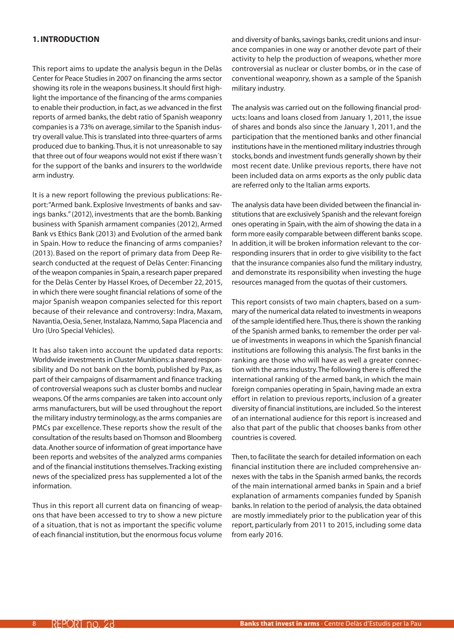### <span id="page-7-0"></span>**1. Introduction**

This report aims to update the analysis begun in the Delàs Center for Peace Studies in 2007 on financing the arms sector showing its role in the weapons business. It should first highlight the importance of the financing of the arms companies to enable their production, in fact, as we advanced in the first reports of armed banks, the debt ratio of Spanish weaponry companies is a 73% on average, similar to the Spanish industry overall value. This is translated into three-quarters of arms produced due to banking. Thus, it is not unreasonable to say that three out of four weapons would not exist if there wasn´t for the support of the banks and insurers to the worldwide arm industry.

It is a new report following the previous publications: Report: "Armed bank. Explosive Investments of banks and savings banks." (2012), investments that are the bomb. Banking business with Spanish armament companies (2012), Armed Bank vs Ethics Bank (2013) and Evolution of the armed bank in Spain. How to reduce the financing of arms companies? (2013). Based on the report of primary data from Deep Research conducted at the request of Delàs Center: Financing of the weapon companies in Spain, a research paper prepared for the Delàs Center by Hassel Kroes, of December 22, 2015, in which there were sought financial relations of some of the major Spanish weapon companies selected for this report because of their relevance and controversy: Indra, Maxam, Navantia, Oesia, Sener, Instalaza, Nammo, Sapa Placencia and Uro (Uro Special Vehicles).

It has also taken into account the updated data reports: Worldwide investments in Cluster Munitions: a shared responsibility and Do not bank on the bomb, published by Pax, as part of their campaigns of disarmament and finance tracking of controversial weapons such as cluster bombs and nuclear weapons. Of the arms companies are taken into account only arms manufacturers, but will be used throughout the report the military industry terminology, as the arms companies are PMCs par excellence. These reports show the result of the consultation of the results based on Thomson and Bloomberg data. Another source of information of great importance have been reports and websites of the analyzed arms companies and of the financial institutions themselves. Tracking existing news of the specialized press has supplemented a lot of the information.

Thus in this report all current data on financing of weapons that have been accessed to try to show a new picture of a situation, that is not as important the specific volume of each financial institution, but the enormous focus volume and diversity of banks, savings banks, credit unions and insurance companies in one way or another devote part of their activity to help the production of weapons, whether more controversial as nuclear or cluster bombs, or in the case of conventional weaponry, shown as a sample of the Spanish military industry.

The analysis was carried out on the following financial products: loans and loans closed from January 1, 2011, the issue of shares and bonds also since the January 1, 2011, and the participation that the mentioned banks and other financial institutions have in the mentioned military industries through stocks, bonds and investment funds generally shown by their most recent date. Unlike previous reports, there have not been included data on arms exports as the only public data are referred only to the Italian arms exports.

The analysis data have been divided between the financial institutions that are exclusively Spanish and the relevant foreign ones operating in Spain, with the aim of showing the data in a form more easily comparable between different banks scope. In addition, it will be broken information relevant to the corresponding insurers that in order to give visibility to the fact that the insurance companies also fund the military industry, and demonstrate its responsibility when investing the huge resources managed from the quotas of their customers.

This report consists of two main chapters, based on a summary of the numerical data related to investments in weapons of the sample identified here. Thus, there is shown the ranking of the Spanish armed banks, to remember the order per value of investments in weapons in which the Spanish financial institutions are following this analysis. The first banks in the ranking are those who will have as well a greater connection with the arms industry. The following there is offered the international ranking of the armed bank, in which the main foreign companies operating in Spain, having made an extra effort in relation to previous reports, inclusion of a greater diversity of financial institutions, are included. So the interest of an international audience for this report is increased and also that part of the public that chooses banks from other countries is covered.

Then, to facilitate the search for detailed information on each financial institution there are included comprehensive annexes with the tabs in the Spanish armed banks, the records of the main international armed banks in Spain and a brief explanation of armaments companies funded by Spanish banks. In relation to the period of analysis, the data obtained are mostly immediately prior to the publication year of this report, particularly from 2011 to 2015, including some data from early 2016.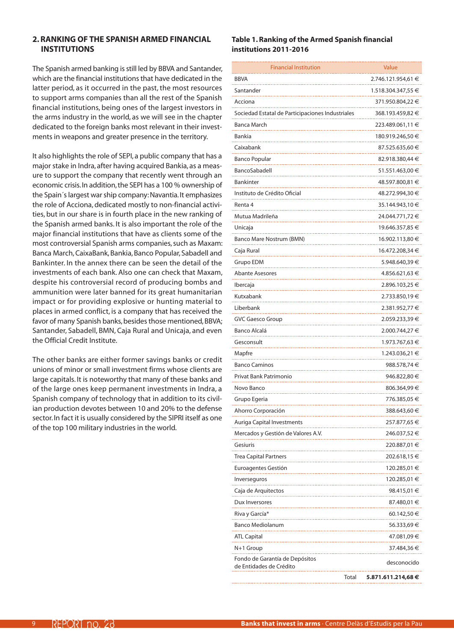### <span id="page-8-0"></span>**2.Ranking of the Spanish armed financial institutions**

The Spanish armed banking is still led by BBVA and Santander, which are the financial institutions that have dedicated in the latter period, as it occurred in the past, the most resources to support arms companies than all the rest of the Spanish financial institutions, being ones of the largest investors in the arms industry in the world, as we will see in the chapter dedicated to the foreign banks most relevant in their investments in weapons and greater presence in the territory.

It also highlights the role of SEPI, a public company that has a major stake in Indra, after having acquired Bankia, as a measure to support the company that recently went through an economic crisis. In addition, the SEPI has a 100 % ownership of the Spain´s largest war ship company: Navantia. It emphasizes the role of Acciona, dedicated mostly to non-financial activities, but in our share is in fourth place in the new ranking of the Spanish armed banks. It is also important the role of the major financial institutions that have as clients some of the most controversial Spanish arms companies, such as Maxam: Banca March, CaixaBank, Bankia, Banco Popular, Sabadell and Bankinter. In the annex there can be seen the detail of the investments of each bank. Also one can check that Maxam, despite his controversial record of producing bombs and ammunition were later banned for its great humanitarian impact or for providing explosive or hunting material to places in armed conflict, is a company that has received the favor of many Spanish banks, besides those mentioned, BBVA; Santander, Sabadell, BMN, Caja Rural and Unicaja, and even the Official Credit Institute.

The other banks are either former savings banks or credit unions of minor or small investment firms whose clients are large capitals. It is noteworthy that many of these banks and of the large ones keep permanent investments in Indra, a Spanish company of technology that in addition to its civilian production devotes between 10 and 20% to the defense sector. In fact it is usually considered by the SIPRI itself as one of the top 100 military industries in the world.

### **Table 1.Ranking of the Armed Spanish financial institutions 2011-2016**

| <b>Financial Institution</b>                              | Value                      |
|-----------------------------------------------------------|----------------------------|
| BBVA                                                      | 2.746.121.954,61 €         |
| Santander                                                 | 1.518.304.347,55 €         |
| Acciona                                                   | 371.950.804,22 €           |
| Sociedad Estatal de Participaciones Industriales          | 368.193.459,82 €           |
| Banca March                                               | 223.489.061,11 €           |
| Bankia                                                    | 180.919.246,50 €           |
| Caixabank                                                 | 87.525.635,60 €            |
| <b>Banco Popular</b>                                      | 82.918.380,44 €            |
| BancoSabadell                                             | 51.551.463,00 €            |
| Bankinter                                                 | 48.597.800,81 €            |
| Instituto de Crédito Oficial                              | 48.272.994,30 €            |
| Renta 4                                                   | 35.144.943,10 €            |
| Mutua Madrileña                                           | 24.044.771,72 €            |
| Unicaja                                                   | 19.646.357,85 €            |
| Banco Mare Nostrum (BMN)                                  | 16.902.113,80 €            |
| Caja Rural                                                | 16.472.208,34 €            |
| Grupo EDM                                                 | 5.948.640,39 €             |
| <b>Abante Asesores</b>                                    | 4.856.621,63 €             |
| Ibercaja                                                  | 2.896.103,25 €             |
| Kutxabank                                                 | 2.733.850,19€              |
| Liberbank                                                 | 2.381.952,77 €             |
| <b>GVC Gaesco Group</b>                                   | 2.059.233,39 €             |
| Banco Alcalá                                              | 2.000.744,27 €             |
| Gesconsult                                                | 1.973.767,63 €             |
| Mapfre                                                    | 1.243.036,21 €             |
| <b>Banco Caminos</b>                                      | 988.578,74€                |
| Privat Bank Patrimonio                                    | 946.822,80 €               |
| Novo Banco                                                | 806.364,99 €               |
| Grupo Egeria                                              | 776.385,05 €               |
| Ahorro Corporación                                        | 388.643,60 €               |
| Auriga Capital Investments                                | 257.877,65 €               |
| Mercados y Gestión de Valores A.V.                        | 246.037,52€                |
| Gesiuris                                                  | 220.887,01 €               |
| Trea Capital Partners                                     | 202.618,15 €               |
| Euroagentes Gestión                                       | 120.285,01 €               |
| Inverseguros                                              | 120.285,01 €               |
| Caja de Arquitectos                                       | 98.415,01 €                |
| Dux Inversores                                            | 87.480,01 €                |
| Riva y García*                                            | 60.142,50€                 |
| <b>Banco Mediolanum</b>                                   | 56.333,69 €                |
| ATL Capital                                               | 47.081,09€                 |
| N+1 Group                                                 | 37.484,36 €                |
| Fondo de Garantía de Depósitos<br>de Entidades de Crédito | desconocido                |
|                                                           | Total<br>5.871.611.214,68€ |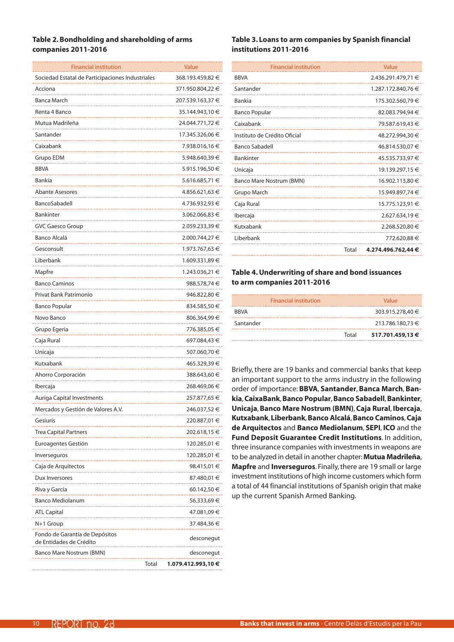### **Table 2. Bondholding and shareholding of arms companies 2011-2016**

| <b>Financial institution</b>                              |       | Value              |
|-----------------------------------------------------------|-------|--------------------|
| Sociedad Estatal de Participaciones Industriales          |       | 368.193.459,82 €   |
| Acciona                                                   |       | 371.950.804,22 €   |
| Banca March                                               |       | 207.539.163,37 €   |
| Renta 4 Banco                                             |       | 35.144.943,10 €    |
| Mutua Madrileña                                           |       | 24.044.771,72 €    |
| Santander                                                 |       | 17.345.326,06 €    |
| Caixabank                                                 |       | 7.938.016,16 €     |
| Grupo EDM                                                 |       | 5.948.640,39 €     |
| <b>BBVA</b>                                               |       | 5.915.196,50 €     |
| Bankia                                                    |       | 5.616.685,71 €     |
| <b>Abante Asesores</b>                                    |       | 4.856.621,63 €     |
| BancoSabadell                                             |       | 4.736.932,93 €     |
| <b>Bankinter</b>                                          |       | 3.062.066,83 €     |
| <b>GVC Gaesco Group</b>                                   |       | 2.059.233,39 €     |
| Banco Alcalá                                              |       | 2.000.744,27 €     |
| Gesconsult                                                |       | 1.973.767,63 €     |
| Liberbank                                                 |       | 1.609.331,89 €     |
| Mapfre                                                    |       | 1.243.036,21 €     |
| <b>Banco Caminos</b>                                      |       | 988.578,74 €       |
| Privat Bank Patrimonio                                    |       | 946.822,80 €       |
| <b>Banco Popular</b>                                      |       | 834.585,50 €       |
| Novo Banco                                                |       | 806.364,99 €       |
| Grupo Egeria                                              |       | 776.385,05 €       |
| Caja Rural                                                |       | 697.084,43 €       |
| Unicaja                                                   |       | 507.060,70 €       |
| Kutxabank                                                 |       | 465.329,39 €       |
| Ahorro Corporación                                        |       | 388.643,60 €       |
| Ibercaja                                                  |       | 268.469,06 €       |
| Auriga Capital Investments                                |       | 257.877,65 €       |
| Mercados y Gestión de Valores A.V.                        |       | 246.037,52€        |
| Gesiuris                                                  |       | 220.887,01 €       |
| <b>Trea Capital Partners</b>                              |       | 202.618,15 €       |
| Euroagentes Gestión                                       |       | 120.285,01 €       |
| Inverseguros                                              |       | 120.285,01 €       |
| Caja de Arquitectos                                       |       | 98.415,01 €        |
| Dux Inversores                                            |       | 87.480,01 €        |
| Riva y García                                             |       | 60.142,50 €        |
| <b>Banco Mediolanum</b>                                   |       | 56.333,69 €        |
| <b>ATL Capital</b>                                        |       | 47.081,09 €        |
| N+1 Group                                                 |       | 37.484,36 €        |
| Fondo de Garantía de Depósitos<br>de Entidades de Crédito |       | desconegut         |
| Banco Mare Nostrum (BMN)                                  |       | desconegut         |
|                                                           | Total | 1.079.412.993,10 € |

### **Table 3. Loans to arm companies by Spanish financial institutions 2011-2016**

| <b>Financial institution</b> |       | Value              |
|------------------------------|-------|--------------------|
| <b>BBVA</b>                  |       | 2.436.291.479,71 € |
| Santander                    |       | 1.287.172.840,76 € |
| Bankia                       |       | 175.302.560,79 €   |
| <b>Banco Popular</b>         |       | 82.083.794,94 €    |
| Caixabank                    |       | 79.587.619,43 €    |
| Instituto de Crédito Oficial |       | 48.272.994,30 €    |
| <b>Banco Sabadell</b>        |       | 46.814.530,07 €    |
| <b>Bankinter</b>             |       | 45.535.733.97 €    |
| Unicaja                      |       | 19.139.297,15 €    |
| Banco Mare Nostrum (BMN)     |       | 16.902.113,80 €    |
| Grupo March                  |       | 15.949.897.74 €    |
| Caja Rural                   |       | 15.775.123,91 €    |
| Ibercaja                     |       | 2.627.634,19 €     |
| Kutxabank                    |       | 2.268.520.80 €     |
| Liberbank                    |       | 772.620,88 €       |
|                              | Total | 4.274.496.762.44 € |

### **Table 4.Underwriting of share and bond issuances to arm companies 2011-2016**

|             | <b>Financial institution</b> | Value            |
|-------------|------------------------------|------------------|
| <b>BRVA</b> |                              | 303.915.278.40 € |
| Santander   |                              | 213.786.180.73 € |
|             | Total                        | 517.701.459.13 € |

Briefly, there are 19 banks and commercial banks that keep an important support to the arms industry in the following order of importance: **BBVA**, **Santander**, **Banca March**, **Bankia**, **CaixaBank**, **Banco Popular**, **Banco Sabadell**, **Bankinter**, **Unicaja**, **Banco Mare Nostrum (BMN)**, **Caja Rural**, **Ibercaja**, **Kutxabank**, **Liberbank**, **Banco Alcalá**, **Banco Caminos**, **Caja de Arquitectos** and **Banco Mediolanum**, **SEPI**, **ICO** and the **Fund Deposit Guarantee Credit Institutions**. In addition, three insurance companies with investments in weapons are to be analyzed in detail in another chapter: **Mutua Madrileña**, **Mapfre** and **Inverseguros**. Finally, there are 19 small or large investment institutions of high income customers which form a total of 44 financial institutions of Spanish origin that make up the current Spanish Armed Banking.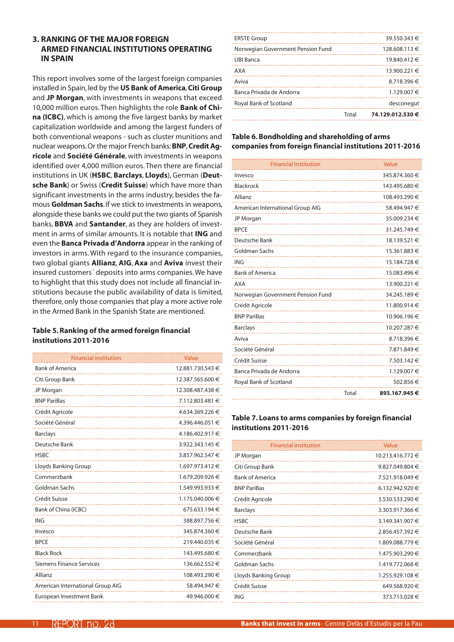### <span id="page-10-0"></span>**3. Ranking of the major foreign armed financial institutions operating in Spain**

This report involves some of the largest foreign companies installed in Spain, led by the **US Bank of America**, **Citi Group** and **JP Morgan**, with investments in weapons that exceed 10,000 million euros. Then highlights the role **Bank of China (ICBC)**, which is among the five largest banks by market capitalization worldwide and among the largest funders of both conventional weapons - such as cluster munitions and nuclear weapons. Or the major French banks: **BNP**, **Credit Agricole** and **Société Générale**, with investments in weapons identified over 4,000 million euros. Then there are financial institutions in UK (**HSBC**, **Barclays**, **Lloyds**), German (**Deutsche Bank**) or Swiss (**Credit Suisse**) which have more than significant investments in the arms industry, besides the famous **Goldman Sachs**. If we stick to investments in weapons, alongside these banks we could put the two giants of Spanish banks, **BBVA** and **Santander**, as they are holders of investment in arms of similar amounts. It is notable that **ING** and even the **Banca Privada d'Andorra** appear in the ranking of investors in arms. With regard to the insurance companies, two global giants **Allianz**, **AIG**, **Axa** and **Aviva** invest their insured customers´ deposits into arms companies. We have to highlight that this study does not include all financial institutions because the public availability of data is limited, therefore, only those companies that play a more active role in the Armed Bank in the Spanish State are mentioned.

### **Table 5.Ranking of the armed foreign financial institutions 2011-2016**

| <b>Financial institution</b>     | Value            |
|----------------------------------|------------------|
| <b>Bank of America</b>           | 12.881.730.543 € |
| Citi Group Bank                  | 12.387.565.600 € |
| JP Morgan                        | 12.308.487.438 € |
| <b>BNP PariBas</b>               | 7.112.803.481 €  |
| Crédit Agricole                  | 4.634.369.226 €  |
| Société Général                  | 4.396.446.051 €  |
| <b>Barclays</b>                  | 4.186.402.917 €  |
| Deutsche Bank                    | 3.922.343.145 €  |
| <b>HSBC</b>                      | 3.857.962.547 €  |
| Lloyds Banking Group             | 1.697.973.412 €  |
| Commerzbank                      | 1.679.209.926 €  |
| Goldman Sachs                    | 1.549.993.933 €  |
| Crédit Suisse                    | 1.175.040.006 €  |
| Bank of China (ICBC)             | 675.633.194 €    |
| <b>ING</b>                       | 388.897.756 €    |
| Invesco                          | 345.874.360 €    |
| <b>BPCE</b>                      | 219.440.035 €    |
| <b>Black Rock</b>                | 143.495.680 €    |
| Siemens Finance Services         | 136.662.552 €    |
| Allianz                          | 108.493.290 €    |
| American International Group AIG | 58.494.947 €     |
| European Investment Bank         | 49.946.000 €     |

|                                   | Total | 74.129.012.530€  |
|-----------------------------------|-------|------------------|
| Royal Bank of Scotland            |       | desconegut       |
| Banca Privada de Andorra          |       | 1.129.007 €      |
| Aviva                             |       | 8.718.396€       |
| AXA                               |       | 13.900.221 €     |
| <b>UBI Banca</b>                  |       | $19.840.412 \in$ |
| Norwegian Government Pension Fund |       | 128.608.113 €    |
| <b>ERSTE Group</b>                |       | 39.550.343 €     |
|                                   |       |                  |

### **Table 6. Bondholding and shareholding of arms companies from foreign financial institutions 2011-2016**

| <b>Financial Institution</b>      |       | Value         |
|-----------------------------------|-------|---------------|
| Invesco                           |       | 345.874.360 € |
| <b>Blackrock</b>                  |       | 143.495.680 € |
| Allianz                           |       | 108.493.290 € |
| American International Group AIG  |       | 58.494.947 €  |
| JP Morgan                         |       | 35.009.234 €  |
| <b>BPCE</b>                       |       | 31.245.749€   |
| Deutsche Bank                     |       | 18.139.521 €  |
| <b>Goldman Sachs</b>              |       | 15.361.883 €  |
| <b>ING</b>                        |       | 15.184.728€   |
| <b>Bank of America</b>            |       | 15.083.496 €  |
| <b>AXA</b>                        |       | 13.900.221 €  |
| Norwegian Government Pension Fund |       | 34.245.189€   |
| Crédit Agricole                   |       | 11.800.914 €  |
| <b>BNP PariBas</b>                |       | 10.906.196 €  |
| <b>Barclays</b>                   |       | 10.207.287 €  |
| Aviva                             |       | 8.718.396€    |
| Société Général                   |       | 7.871.849 €   |
| Crédit Suisse                     |       | 7.503.142 €   |
| Banca Privada de Andorra          |       | 1.129.007€    |
| Royal Bank of Scotland            |       | 502.856€      |
|                                   | Total | 893.167.945€  |

### **Table 7. Loans to arms companies by foreign financial institutions 2011-2016**

| <b>Financial institution</b> | Value               |
|------------------------------|---------------------|
| JP Morgan                    | 10.213.416.772 €    |
| Citi Group Bank              | 9.827.049.804 $\in$ |
| <b>Bank of America</b>       | 7.521.918.049 €     |
| <b>BNP PariBas</b>           | $6.132.942.920 \in$ |
| Crédit Agricole              | 3.530.533.290 €     |
| <b>Barclays</b>              | 3.303.917.366 €     |
| <b>HSBC</b>                  | 3.149.341.907 €     |
| Deutsche Bank                | 2.856.457.392 €     |
| Société Général              | 1.809.088.779 €     |
| Commerzbank                  | 1.475.903.290 €     |
| Goldman Sachs                | 1.419.772.068€      |
| Lloyds Banking Group         | 1.255.929.108€      |
| Crédit Suisse                | 649.568.920 €       |
| ING                          | 373.713.028 €       |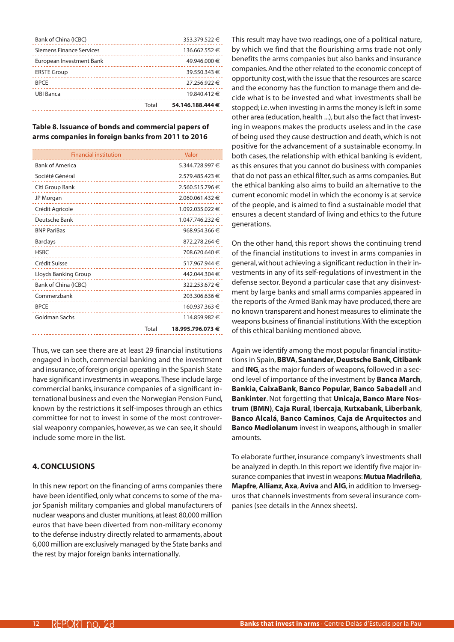<span id="page-11-0"></span>

|                          | Total | 54.146.188.444 € |
|--------------------------|-------|------------------|
| <b>UBI Banca</b>         |       | 19.840.412 €     |
| <b>BPCE</b>              |       | 27.256.922 €     |
| <b>ERSTE Group</b>       |       | 39.550.343 €     |
| European Investment Bank |       | 49.946.000 €     |
| Siemens Finance Services |       | 136.662.552 €    |
| Bank of China (ICBC)     |       | 353.379.522 €    |
|                          |       |                  |

### **Table 8. Issuance of bonds and commercial papers of arms companies in foreign banks from 2011 to 2016**

|       | Valor           |
|-------|-----------------|
|       | 5.344.728.997 € |
|       | 2.579.485.423 € |
|       | 2.560.515.796 € |
|       | 2.060.061.432 € |
|       | 1.092.035.022 € |
|       | 1.047.746.232 € |
|       | 968.954.366€    |
|       | 872.278.264 €   |
|       | 708.620.640 €   |
|       | 517.967.944 €   |
|       | 442.044.304 €   |
|       | 322.253.672 €   |
|       | 203.306.636 €   |
|       | 160.937.363 €   |
|       | 114.859.982 €   |
| Total | 18.995.796.073€ |
|       |                 |

Thus, we can see there are at least 29 financial institutions engaged in both, commercial banking and the investment and insurance, of foreign origin operating in the Spanish State have significant investments in weapons. These include large commercial banks, insurance companies of a significant international business and even the Norwegian Pension Fund, known by the restrictions it self-imposes through an ethics committee for not to invest in some of the most controversial weaponry companies, however, as we can see, it should include some more in the list.

### **4. Conclusions**

In this new report on the financing of arms companies there have been identified, only what concerns to some of the major Spanish military companies and global manufacturers of nuclear weapons and cluster munitions, at least 80,000 million euros that have been diverted from non-military economy to the defense industry directly related to armaments, about 6,000 million are exclusively managed by the State banks and the rest by major foreign banks internationally.

This result may have two readings, one of a political nature, by which we find that the flourishing arms trade not only benefits the arms companies but also banks and insurance companies. And the other related to the economic concept of opportunity cost, with the issue that the resources are scarce and the economy has the function to manage them and decide what is to be invested and what investments shall be stopped; i.e. when investing in arms the money is left in some other area (education, health ...), but also the fact that investing in weapons makes the products useless and in the case of being used they cause destruction and death, which is not positive for the advancement of a sustainable economy. In both cases, the relationship with ethical banking is evident, as this ensures that you cannot do business with companies that do not pass an ethical filter, such as arms companies. But the ethical banking also aims to build an alternative to the current economic model in which the economy is at service of the people, and is aimed to find a sustainable model that ensures a decent standard of living and ethics to the future generations.

On the other hand, this report shows the continuing trend of the financial institutions to invest in arms companies in general, without achieving a significant reduction in their investments in any of its self-regulations of investment in the defense sector. Beyond a particular case that any disinvestment by large banks and small arms companies appeared in the reports of the Armed Bank may have produced, there are no known transparent and honest measures to eliminate the weapons business of financial institutions. With the exception of this ethical banking mentioned above.

Again we identify among the most popular financial institutions in Spain, **BBVA**, **Santander**, **Deustsche Bank**, **Citibank** and **ING**, as the major funders of weapons, followed in a second level of importance of the investment by **Banca March**, **Bankia**, **CaixaBank**, **Banco Popular**, **Banco Sabadell** and **Bankinter**. Not forgetting that **Unicaja**, **Banco Mare Nostrum (BMN)**, **Caja Rural**, **Ibercaja**, **Kutxabank**, **Liberbank**, **Banco Alcalá**, **Banco Caminos**, **Caja de Arquitectos** and **Banco Mediolanum** invest in weapons, although in smaller amounts.

To elaborate further, insurance company's investments shall be analyzed in depth. In this report we identify five major insurance companies that invest in weapons: **Mutua Madrileña**, **Mapfre**, **Allianz**, **Axa**, **Aviva** and **AIG**, in addition to Inverseguros that channels investments from several insurance companies (see details in the Annex sheets).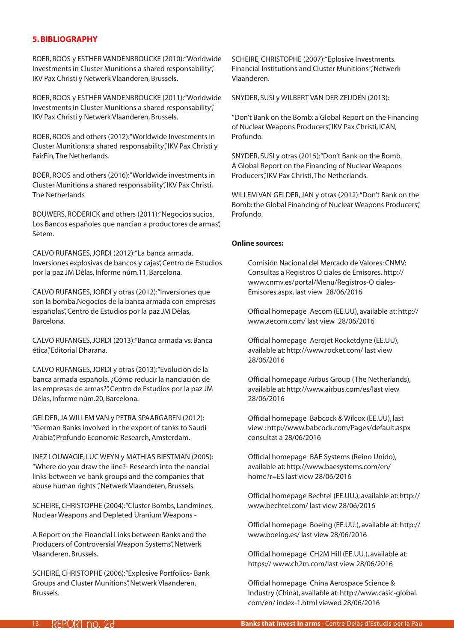### <span id="page-12-0"></span>**5. BIBLIOGRAPHY**

BOER, ROOS y ESTHER VANDENBROUCKE (2010):"Worldwide Investments in Cluster Munitions a shared responsability", IKV Pax Christi y Netwerk Vlaanderen, Brussels.

BOER, ROOS y ESTHER VANDENBROUCKE (2011):"Worldwide Investments in Cluster Munitions a shared responsability", IKV Pax Christi y Netwerk Vlaanderen, Brussels.

BOER, ROOS and others (2012):"Worldwide Investments in Cluster Munitions: a shared responsability", IKV Pax Christi y FairFin, The Netherlands.

BOER, ROOS and others (2016):"Worldwide investments in Cluster Munitions a shared responsability", IKV Pax Christi, The Netherlands

BOUWERS, RODERICK and others (2011):"Negocios sucios. Los Bancos españoles que nancian a productores de armas", Setem.

CALVO RUFANGES, JORDI (2012):"La banca armada. Inversiones explosivas de bancos y cajas", Centro de Estudios por la paz JM Dèlas, Informe núm.11, Barcelona.

CALVO RUFANGES, JORDI y otras (2012):"Inversiones que son la bomba.Negocios de la banca armada con empresas españolas", Centro de Estudios por la paz JM Dèlas, Barcelona.

CALVO RUFANGES, JORDI (2013):"Banca armada vs. Banca ética", Editorial Dharana.

CALVO RUFANGES, JORDI y otras (2013):"Evolución de la banca armada española. ¿Cómo reducir la nanciación de las empresas de armas?", Centro de Estudios por la paz JM Dèlas, Informe núm.20, Barcelona.

GELDER, JA WILLEM VAN y PETRA SPAARGAREN (2012): "German Banks involved in the export of tanks to Saudi Arabia", Profundo Economic Research, Amsterdam.

INEZ LOUWAGIE, LUC WEYN y MATHIAS BIESTMAN (2005): "Where do you draw the line?- Research into the nancial links between ve bank groups and the companies that abuse human rights ", Netwerk Vlaanderen, Brussels.

SCHEIRE, CHRISTOPHE (2004):"Cluster Bombs, Landmines, Nuclear Weapons and Depleted Uranium Weapons -

A Report on the Financial Links between Banks and the Producers of Controversial Weapon Systems", Netwerk Vlaanderen, Brussels.

SCHEIRE, CHRISTOPHE (2006):"Explosive Portfolios- Bank Groups and Cluster Munitions", Netwerk Vlaanderen, Brussels.

SCHEIRE, CHRISTOPHE (2007):"Eplosive Investments. Financial Institutions and Cluster Munitions ", Netwerk Vlaanderen.

SNYDER, SUSI y WILBERT VAN DER ZEIJDEN (2013):

"Don't Bank on the Bomb: a Global Report on the Financing of Nuclear Weapons Producers", IKV Pax Christi, ICAN, Profundo.

SNYDER, SUSI y otras (2015):"Don't Bank on the Bomb. A Global Report on the Financing of Nuclear Weapons Producers", IKV Pax Christi, The Netherlands.

WILLEM VAN GELDER, JAN y otras (2012):"Don't Bank on the Bomb: the Global Financing of Nuclear Weapons Producers", Profundo.

### **Online sources:**

Comisión Nacional del Mercado de Valores: CNMV: Consultas a Registros O ciales de Emisores, http:// www.cnmv.es/portal/Menu/Registros-O ciales-Emisores.aspx, last view 28/06/2016

Official homepage Aecom (EE.UU), available at: http:// www.aecom.com/ last view 28/06/2016

Official homepage Aerojet Rocketdyne (EE.UU), available at: http://www.rocket.com/ last view 28/06/2016

Official homepage Airbus Group (The Netherlands), available at: http://www.airbus.com/es/last view 28/06/2016

Official homepage Babcock & Wilcox (EE.UU), last view : http://www.babcock.com/Pages/default.aspx consultat a 28/06/2016

Official homepage BAE Systems (Reino Unido), available at: http://www.baesystems.com/en/ home?r=ES last view 28/06/2016

Official homepage Bechtel (EE.UU.), available at: http:// www.bechtel.com/ last view 28/06/2016

Official homepage Boeing (EE.UU.), available at: http:// www.boeing.es/ last view 28/06/2016

Official homepage CH2M Hill (EE.UU.), available at: https:// www.ch2m.com/last view 28/06/2016

Official homepage China Aerospace Science & Industry (China), available at: http://www.casic-global. com/en/ index-1.html viewed 28/06/2016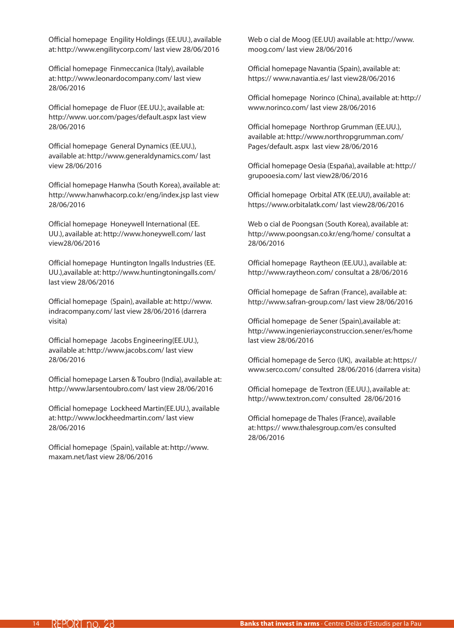Official homepage Engility Holdings (EE.UU.), available at: http://www.engilitycorp.com/ last view 28/06/2016

Official homepage Finmeccanica (Italy), available at: http://www.leonardocompany.com/ last view 28/06/2016

Official homepage de Fluor (EE.UU.):, available at: http://www. uor.com/pages/default.aspx last view 28/06/2016

Official homepage General Dynamics (EE.UU.), available at: http://www.generaldynamics.com/ last view 28/06/2016

Official homepage Hanwha (South Korea), available at: http://www.hanwhacorp.co.kr/eng/index.jsp last view 28/06/2016

Official homepage Honeywell International (EE. UU.), available at: http://www.honeywell.com/ last view28/06/2016

Official homepage Huntington Ingalls Industries (EE. UU.),available at: http://www.huntingtoningalls.com/ last view 28/06/2016

Official homepage (Spain), available at: http://www. indracompany.com/ last view 28/06/2016 (darrera visita)

Official homepage Jacobs Engineering(EE.UU.), available at: http://www.jacobs.com/ last view 28/06/2016

Official homepage Larsen & Toubro (India), available at: http://www.larsentoubro.com/ last view 28/06/2016

Official homepage Lockheed Martin(EE.UU.), available at: http://www.lockheedmartin.com/ last view 28/06/2016

Official homepage (Spain), vailable at: http://www. maxam.net/last view 28/06/2016

Web o cial de Moog (EE.UU) available at: http://www. moog.com/ last view 28/06/2016

Official homepage Navantia (Spain), available at: https:// www.navantia.es/ last view28/06/2016

Official homepage Norinco (China), available at: http:// www.norinco.com/ last view 28/06/2016

Official homepage Northrop Grumman (EE.UU.), available at: http://www.northropgrumman.com/ Pages/default. aspx last view 28/06/2016

Official homepage Oesia (España), available at: http:// grupooesia.com/ last view28/06/2016

Official homepage Orbital ATK (EE.UU), available at: https://www.orbitalatk.com/ last view28/06/2016

Web o cial de Poongsan (South Korea), available at: http://www.poongsan.co.kr/eng/home/ consultat a 28/06/2016

Official homepage Raytheon (EE.UU.), available at: http://www.raytheon.com/ consultat a 28/06/2016

Official homepage de Safran (France), available at: http://www.safran-group.com/ last view 28/06/2016

Official homepage de Sener (Spain),available at: http://www.ingenieriayconstruccion.sener/es/home last view 28/06/2016

Official homepage de Serco (UK), available at: https:// www.serco.com/ consulted 28/06/2016 (darrera visita)

Official homepage de Textron (EE.UU.), available at: http://www.textron.com/ consulted 28/06/2016

Official homepage de Thales (France), available at: https:// www.thalesgroup.com/es consulted 28/06/2016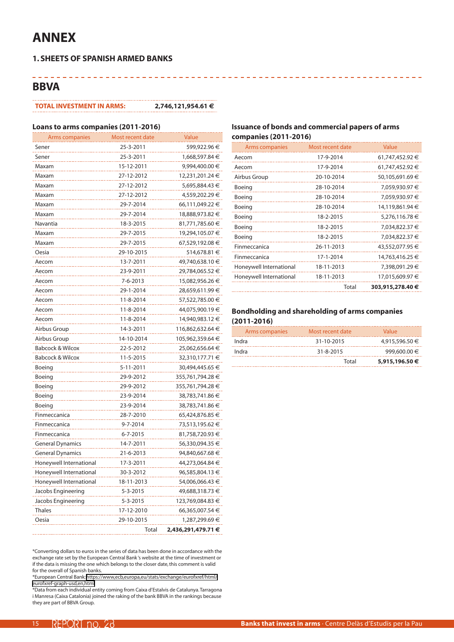# **ANNEX**

. . . . . . . . . .

### **1. SHEETS OF SPANISH ARMED BANKS**

### **BBVA**

#### **TOTAL INVESTMENT IN ARMS: 2,746,121,954.61 €**

-----------

#### **Loans to arms companies (2011-2016)**

| Arms companies              | Most recent date | Value              |
|-----------------------------|------------------|--------------------|
| Sener                       | 25-3-2011        | 599,922.96 €       |
| Sener                       | 25-3-2011        | 1,668,597.84 €     |
| Maxam                       | 15-12-2011       | 9,994,400.00 €     |
| Maxam                       | 27-12-2012       | 12,231,201.24 €    |
| Maxam                       | 27-12-2012       | 5,695,884.43 €     |
| Maxam                       | 27-12-2012       | 4,559,202.29 €     |
| Maxam                       | 29-7-2014        | 66,111,049.22 €    |
| Maxam                       | 29-7-2014        | 18,888,973.82 €    |
| Navantia                    | 18-3-2015        | 81,771,785.60 €    |
| Maxam                       | 29-7-2015        | 19,294,105.07 €    |
| Maxam                       | 29-7-2015        | 67,529,192.08 €    |
| Oesia                       | 29-10-2015       | 514,678.81 €       |
| Aecom                       | 13-7-2011        | 49,740,638.10 €    |
| Aecom                       | 23-9-2011        | 29,784,065.52 €    |
| Aecom                       | 7-6-2013         | 15,082,956.26 €    |
| Aecom                       | 29-1-2014        | 28,659,611.99 €    |
| Aecom                       | 11-8-2014        | 57,522,785.00 €    |
| Aecom                       | 11-8-2014        | 44,075,900.19 €    |
| Aecom                       | 11-8-2014        | 14,940,983.12 €    |
| Airbus Group                | 14-3-2011        | 116,862,632.64 €   |
| Airbus Group                | 14-10-2014       | 105,962,359.64 €   |
| <b>Babcock &amp; Wilcox</b> | 22-5-2012        | 25,062,656.64 €    |
| Babcock & Wilcox            | 11-5-2015        | 32,310,177.71 €    |
| Boeing                      | 5-11-2011        | 30,494,445.65 €    |
| Boeing                      | 29-9-2012        | 355,761,794.28 €   |
| Boeing                      | 29-9-2012        | 355,761,794.28 €   |
| Boeing                      | 23-9-2014        | 38,783,741.86 €    |
| Boeing                      | 23-9-2014        | 38,783,741.86 €    |
| Finmeccanica                | 28-7-2010        | 65,424,876.85 €    |
| Finmeccanica                | 9-7-2014         | 73,513,195.62 €    |
| Finmeccanica                | 6-7-2015         | 81,758,720.93 €    |
| General Dynamics            | 14-7-2011        | 56,330,094.35 €    |
| <b>General Dynamics</b>     | 21-6-2013        | 94,840,667.68 €    |
| Honeywell International     | 17-3-2011        | 44,273,064.84 €    |
| Honevwell International     | 30-3-2012        | 96,585,804.13 €    |
| Honeywell International     | 18-11-2013       | 54,006,066.43 €    |
| Jacobs Engineering          | 5-3-2015         | 49,688,318.73 €    |
| Jacobs Engineering          | 5-3-2015         | 123,769,084.83 €   |
| Thales                      | 17-12-2010       | 66,365,007.54 €    |
| Oesia                       | 29-10-2015       | 1,287,299.69 €     |
|                             | Total            | 2,436,291,479.71 € |

\*Converting dollars to euros in the series of data has been done in accordance with the exchange rate set by the European Central Bank 's website at the time of investment or if the data is missing the one which belongs to the closer date, this comment is valid for the overall of Spanish banks.

\*European Central Bank: [https://www,ecb,europa,eu/stats/exchange/eurofxref/html/](https://www.ecb.europa.eu/stats/exchange/eurofxref/html/eurofxref-graph-usd.en.html) [eurofxref-graph-usd,en,html](https://www.ecb.europa.eu/stats/exchange/eurofxref/html/eurofxref-graph-usd.en.html)

\*Data from each individual entity coming from Caixa d'Estalvis de Catalunya. Tarragona i Manresa (Caixa Catalonia) joined the raking of the bank BBVA in the rankings because they are part of BBVA Group.

### **Issuance of bonds and commercial papers of arms companies (2011-2016)**

| Arms companies          | Most recent date | Value            |
|-------------------------|------------------|------------------|
| Aecom                   | 17-9-2014        | 61,747,452.92 €  |
| Aecom                   | 17-9-2014        | 61,747,452.92 €  |
| Airbus Group            | 20-10-2014       | 50,105,691.69 €  |
| Boeing                  | 28-10-2014       | 7,059,930.97 €   |
| Boeing                  | 28-10-2014       | 7,059,930.97 €   |
| Boeing                  | 28-10-2014       | 14,119,861.94 €  |
| Boeing                  | 18-2-2015        | 5,276,116.78 €   |
| Boeing                  | 18-2-2015        | 7,034,822.37 €   |
| Boeing                  | 18-2-2015        | 7,034,822.37 €   |
| Finmeccanica            | 26-11-2013       | 43,552,077.95 €  |
| Finmeccanica            | 17-1-2014        | 14,763,416.25 €  |
| Honeywell International | 18-11-2013       | 7,398,091.29 €   |
| Honeywell International | 18-11-2013       | 17,015,609.97 €  |
|                         | Total            | 303,915,278.40 € |

| Arms companies | Most recent date | Value          |
|----------------|------------------|----------------|
| Indra          | 31-10-2015       | 4,915,596.50 € |
| Indra          | $31 - 8 - 2015$  | 999,600.00 €   |
|                | Total            | 5,915,196.50 € |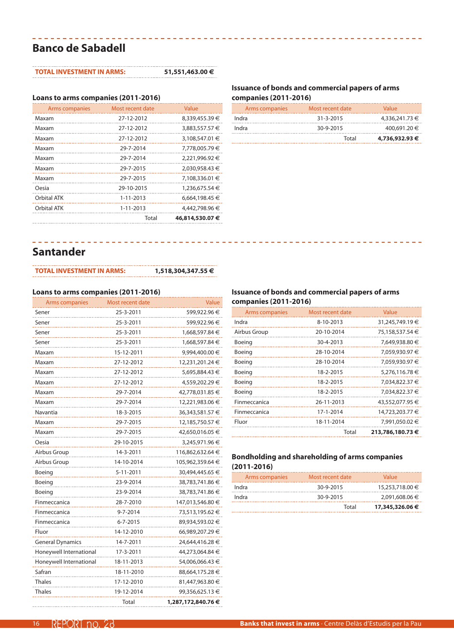# **Banco de Sabadell**

#### **TOTAL INVESTMENT IN ARMS: 51,551,463.00 €**

\_\_\_\_\_\_\_\_\_\_\_\_\_\_\_\_\_\_\_

### **Loans to arms companies (2011-2016)**

| Arms companies | Most recent date | Value           |
|----------------|------------------|-----------------|
| Maxam          | 27-12-2012       | 8,339,455.39 €  |
| Maxam          | 27-12-2012       | 3,883,557.57 €  |
| Maxam          | 27-12-2012       | 3,108,547.01 €  |
| Maxam          | 29-7-2014        | 7,778,005.79 €  |
| Maxam          | 29-7-2014        | 2,221,996.92 €  |
| Maxam          | 29-7-2015        | 2,030,958.43 €  |
| Maxam          | 29-7-2015        | 7,108,336.01 €  |
| Oesia          | 29-10-2015       | 1,236,675.54 €  |
| Orbital ATK    | $1 - 11 - 2013$  | 6,664,198.45 €  |
| Orbital ATK    | $1 - 11 - 2013$  | 4,442,798.96 €  |
|                | Total            | 46,814,530.07 € |

### **Issuance of bonds and commercial papers of arms companies (2011-2016)**

| Arms companies | Most recent date | Value          |
|----------------|------------------|----------------|
| Indra          | $31 - 3 - 2015$  | 4,336,241.73 € |
| Indra          | 30-9-2015        | 400,691.20 €   |
|                | Total            | 4,736,932.93 € |

### **Santander**

### **TOTAL INVESTMENT IN ARMS: 1,518,304,347.55 €**

### **Loans to arms companies (2011-2016)**

| Arms companies          | Most recent date | Value              |
|-------------------------|------------------|--------------------|
| Sener                   | 25-3-2011        | 599,922.96 €       |
| Sener                   | 25-3-2011        | 599,922.96 €       |
| Sener                   | 25-3-2011        | 1,668,597.84 €     |
| Sener                   | 25-3-2011        | 1,668,597.84 €     |
| Maxam                   | 15-12-2011       | 9,994,400.00 €     |
| Maxam                   | 27-12-2012       | 12,231,201.24 €    |
| Maxam                   | 27-12-2012       | 5,695,884.43 €     |
| Maxam                   | 27-12-2012       | 4,559,202.29 €     |
| Maxam                   | 29-7-2014        | 42,778,031.85 €    |
| Maxam                   | 29-7-2014        | 12,221,983.06 €    |
| Navantia                | 18-3-2015        | 36,343,581.57 €    |
| Maxam                   | 29-7-2015        | 12,185,750.57 €    |
| Maxam                   | 29-7-2015        | 42,650,016.05 €    |
| Oesia                   | 29-10-2015       | 3,245,971.96 €     |
| Airbus Group            | 14-3-2011        | 116,862,632.64 €   |
| Airbus Group            | 14-10-2014       | 105,962,359.64 €   |
| Boeing                  | 5-11-2011        | 30,494,445.65 €    |
| Boeing                  | 23-9-2014        | 38,783,741.86 €    |
| Boeing                  | 23-9-2014        | 38,783,741.86 €    |
| Finmeccanica            | 28-7-2010        | 147,013,546.80 €   |
| Finmeccanica            | 9-7-2014         | 73,513,195.62 €    |
| Finmeccanica            | $6 - 7 - 2015$   | 89,934,593.02 €    |
| Fluor                   | 14-12-2010       | 66,989,207.29 €    |
| <b>General Dynamics</b> | 14-7-2011        | 24,644,416.28 €    |
| Honeywell International | 17-3-2011        | 44,273,064.84 €    |
| Honeywell International | 18-11-2013       | 54,006,066.43 €    |
| Safran                  | 18-11-2010       | 88,664,175.28 €    |
| <b>Thales</b>           | 17-12-2010       | 81,447,963.80 €    |
| <b>Thales</b>           | 19-12-2014       | 99,356,625.13 €    |
|                         | Total            | 1,287,172,840.76 € |

### **Issuance of bonds and commercial papers of arms companies (2011-2016)**

| Arms companies | Most recent date | Value            |
|----------------|------------------|------------------|
| Indra          | 8-10-2013        | 31,245,749.19 €  |
| Airbus Group   | 20-10-2014       | 75,158,537.54 €  |
| Boeing         | 30-4-2013        | 7,649,938.80 €   |
| Boeing         | 28-10-2014       | 7,059,930.97 €   |
| Boeing         | 28-10-2014       | 7,059,930.97 €   |
| Boeing         | 18-2-2015        | 5,276,116.78 €   |
| Boeing         | 18-2-2015        | 7,034,822.37 €   |
| Boeing         | 18-2-2015        | 7,034,822.37 €   |
| Finmeccanica   | 26-11-2013       | 43,552,077.95 €  |
| Finmeccanica   | 17-1-2014        | 14,723,203.77 €  |
| Fluor          | 18-11-2014       | 7,991,050.02 €   |
|                | Total            | 213,786,180.73 € |

| Arms companies | Most recent date | Value           |
|----------------|------------------|-----------------|
| Indra          | 30-9-2015        | 15,253,718.00 € |
| Indra          | 30-9-2015        | 2.091.608.06 €  |
|                | Total            | 17,345,326.06 € |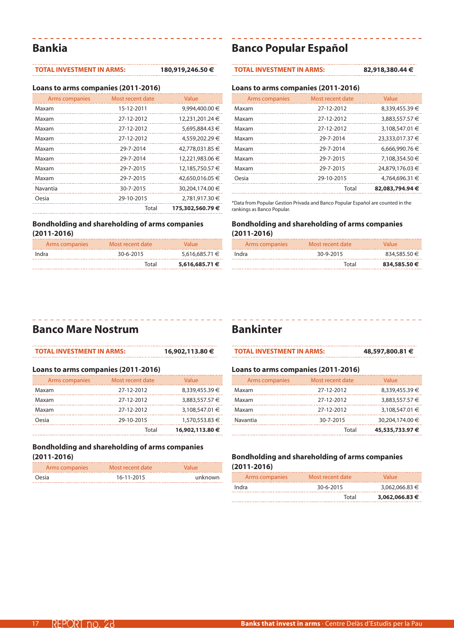### **Bankia**

### **TOTAL INVESTMENT IN ARMS: 180,919,246.50 €**

 $\begin{array}{cccccccccccccc} \multicolumn{2}{c}{} & \multicolumn{2}{c}{} & \multicolumn{2}{c}{} & \multicolumn{2}{c}{} & \multicolumn{2}{c}{} & \multicolumn{2}{c}{} & \multicolumn{2}{c}{} & \multicolumn{2}{c}{} & \multicolumn{2}{c}{} & \multicolumn{2}{c}{} & \multicolumn{2}{c}{} & \multicolumn{2}{c}{} & \multicolumn{2}{c}{} & \multicolumn{2}{c}{} & \multicolumn{2}{c}{} & \multicolumn{2}{c}{} & \multicolumn{2}{c}{} & \multicolumn{2}{c}{} & \multicolumn{2}{c}{} & \$ 

**Loans to arms companies (2011-2016)**

| Arms companies | Most recent date | Value           |
|----------------|------------------|-----------------|
| Maxam          | 15-12-2011       | 9,994,400.00 €  |
| Maxam          | 27-12-2012       | 12,231,201.24 € |
| Maxam          | 27-12-2012       | 5,695,884.43 €  |
| Maxam          | 27-12-2012       | 4,559,202.29 €  |
| Maxam          | 29-7-2014        | 42,778,031.85 € |
| Maxam          | 29-7-2014        | 12,221,983.06 € |
| Maxam          | 29-7-2015        | 12,185,750.57 € |
| Maxam          | 29-7-2015        | 42,650,016.05 € |
| Navantia       | 30-7-2015        | 30,204,174.00 € |
| Oesia          | 29-10-2015       | 2,781,917.30 €  |
|                | Total            | 175,302,560,79€ |

### **Bondholding and shareholding of arms companies (2011-2016)**

| Arms companies | Most recent date | Value          |
|----------------|------------------|----------------|
| Indra          | 30-6-2015        | 5,616,685,71 € |
|                | Total            | 5,616,685.71 € |

### **Banco Popular Español**

#### **TOTAL INVESTMENT IN ARMS: 82,918,380.44 €**

#### **Loans to arms companies (2011-2016)**

| Arms companies | Most recent date | Value           |
|----------------|------------------|-----------------|
| Maxam          | 27-12-2012       | 8,339,455.39 €  |
| Maxam          | 27-12-2012       | 3,883,557.57 €  |
| Maxam          | 27-12-2012       | 3,108,547.01 €  |
| Maxam          | 29-7-2014        | 23,333,017.37 € |
| Maxam          | 29-7-2014        | 6.666.990.76 €  |
| Maxam          | 29-7-2015        | 7,108,354.50 €  |
| Maxam          | 29-7-2015        | 24,879,176.03 € |
| Oesia          | 29-10-2015       | 4.764.696.31 €  |
|                | Total            | 82,083,794.94 € |

\*Data from Popular Gestion Privada and Banco Popular Español are counted in the rankings as Banco Popular.

### **Bondholding and shareholding of arms companies (2011-2016)**

| Arms companies | Most recent date | Value        |
|----------------|------------------|--------------|
| Indra          | 30-9-2015        | 834,585.50 € |
|                | Total            | 834,585,50€  |

## **Banco Mare Nostrum**

| <b>TOTAL INVESTMENT IN ARMS:</b>    |                  | 16,902,113.80 € |  |  |
|-------------------------------------|------------------|-----------------|--|--|
| Loans to arms companies (2011-2016) |                  |                 |  |  |
| Arms companies                      | Most recent date | Value           |  |  |
| Maxam                               | 27-12-2012       | 8,339,455.39 €  |  |  |
| Maxam                               | 27-12-2012       | 3,883,557.57 €  |  |  |
| Maxam                               | 27-12-2012       | 3,108,547.01 €  |  |  |
| Oesia                               | 29-10-2015       | 1,570,553.83 €  |  |  |
|                                     | Total            | 16,902,113,80 € |  |  |

#### **Bondholding and shareholding of arms companies (2011-2016)**

| Arms companies | Most recent date | Value   |
|----------------|------------------|---------|
| Oesia          | 16-11-2015       | unknown |

# **Bankinter**

| <b>TOTAL INVESTMENT IN ARMS:</b> | 48,597,800.81 € |
|----------------------------------|-----------------|
|                                  |                 |

\_\_\_\_\_\_\_\_\_\_\_\_\_\_\_\_

#### **Loans to arms companies (2011-2016)**

| Arms companies | Most recent date | Value           |
|----------------|------------------|-----------------|
| Maxam          | 27-12-2012       | 8,339,455.39 €  |
| Maxam          | 27-12-2012       | 3,883,557.57 €  |
| Maxam          | 27-12-2012       | 3,108,547.01 €  |
| Navantia       | 30-7-2015        | 30.204.174.00 € |
|                | Total            | 45,535,733.97 € |

| Arms companies | Most recent date | Value          |
|----------------|------------------|----------------|
| Indra          | 30-6-2015        | 3,062,066.83 € |
|                | Total            | 3,062,066,83 € |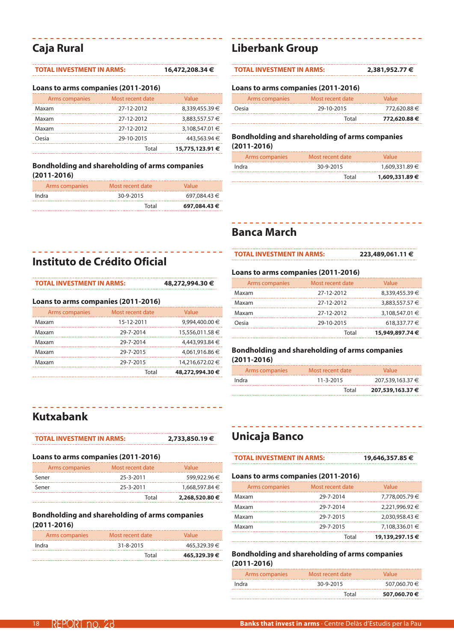# **Caja Rural**

### **TOTAL INVESTMENT IN ARMS: 16,472,208.34 €**

#### **Loans to arms companies (2011-2016)**

| Arms companies | Most recent date | Value           |
|----------------|------------------|-----------------|
| Maxam          | 27-12-2012       | 8,339,455.39 €  |
| Maxam          | 27-12-2012       | 3,883,557.57 €  |
| Maxam          | 27-12-2012       | 3,108,547.01 €  |
| Oesia          | 29-10-2015       | 443,563.94 €    |
|                | Total            | 15,775,123.91 € |

### **Bondholding and shareholding of arms companies (2011-2016)**

| Arms companies | Most recent date | Value        |
|----------------|------------------|--------------|
| Indra          | 30-9-2015        | 697,084.43 € |
|                | Total            | 697,084.43 € |

# **Instituto de Crédito Oficial**

| <b>TOTAL INVESTMENT IN ARMS:</b> |
|----------------------------------|
|----------------------------------|

**TOTAL INVESTMENT IN ARMS: 48,272,994.30 €**

#### **Loans to arms companies (2011-2016)**

| Arms companies | Most recent date | Value           |
|----------------|------------------|-----------------|
| Maxam          | 15-12-2011       | 9,994,400.00 €  |
| Maxam          | 29-7-2014        | 15,556,011.58 € |
| Maxam          | 29-7-2014        | 4,443,993.84 €  |
| Maxam          | 29-7-2015        | 4.061.916.86 €  |
| Maxam          | 29-7-2015        | 14,216,672.02 € |
|                | Total            | 48,272,994.30 € |

# **Kutxabank**

| <b>TOTAL INVESTMENT IN ARMS:</b>    |                  | 2,733,850.19€  |
|-------------------------------------|------------------|----------------|
| Loans to arms companies (2011-2016) |                  |                |
| Arms companies                      | Most recent date | Value          |
| Sener                               | 25-3-2011        | 599,922.96 €   |
| Sener                               | 25-3-2011        | 1,668,597.84 € |
|                                     | Total            | 2,268,520.80 € |

### **Bondholding and shareholding of arms companies (2011-2016)**

| Arms companies | Most recent date | Value        |
|----------------|------------------|--------------|
| Indra          | 31-8-2015        | 465,329.39 € |
|                | Total            | 465,329,39€  |

# **Liberbank Group**

| <b>TOTAL INVESTMENT IN ARMS:</b> | 2,381,952,77 € |
|----------------------------------|----------------|
|                                  |                |

#### **Loans to arms companies (2011-2016)**

| Arms companies | Most recent date | Value        |
|----------------|------------------|--------------|
| Oesia          | 29-10-2015       | 772,620.88 € |
|                | Total            | 772,620.88 € |

### **Bondholding and shareholding of arms companies (2011-2016)**

| Arms companies | Most recent date | Value          |
|----------------|------------------|----------------|
| Indra          | 30-9-2015        | 1,609,331.89 € |
|                | Total            | 1,609,331.89 € |

# **Banca March**

**TOTAL INVESTMENT IN ARMS: 223,489,061.11 €**

### **Loans to arms companies (2011-2016)**

| Arms companies | Most recent date | Value           |
|----------------|------------------|-----------------|
| Maxam          | 27-12-2012       | 8,339,455.39 €  |
| Maxam          | 27-12-2012       | 3,883,557.57 €  |
| Maxam          | 27-12-2012       | 3,108,547.01 €  |
| Oesia          | 29-10-2015       | 618,337.77 €    |
|                | Total            | 15,949,897.74 € |

### **Bondholding and shareholding of arms companies (2011-2016)**

| Arms companies | Most recent date | Value            |
|----------------|------------------|------------------|
| Indra          | $11 - 3 - 2015$  | 207.539.163.37 € |
|                | Total            | 207,539,163.37 € |

# **Unicaja Banco**

| <b>TOTAL INVESTMENT IN ARMS:</b> | 19,646,357.85 € |
|----------------------------------|-----------------|
|                                  |                 |

--------

### **Loans to arms companies (2011-2016)**

| Arms companies | Most recent date | Value           |
|----------------|------------------|-----------------|
| Maxam          | 29-7-2014        | 7,778,005.79 €  |
| Maxam          | 29-7-2014        | 2,221,996.92 €  |
| Maxam          | 29-7-2015        | 2,030,958.43 €  |
| Maxam          | 29-7-2015        | 7,108,336.01 €  |
|                | Total            | 19,139,297.15 € |

| Arms companies | Most recent date | Value        |
|----------------|------------------|--------------|
| Indra          | 30-9-2015        | 507,060.70 € |
|                | Total            | 507,060,70€  |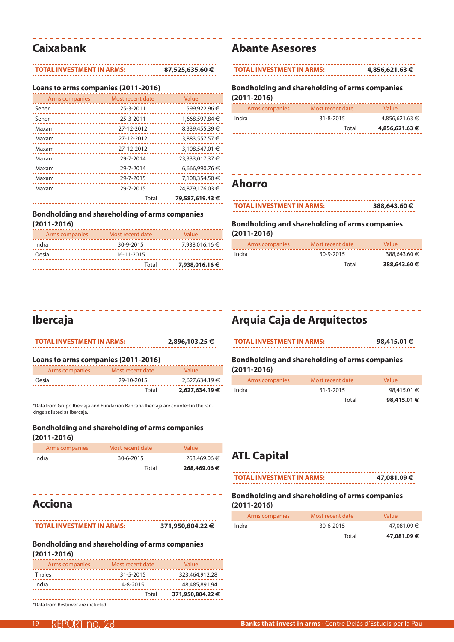# **Caixabank**

### **TOTAL INVESTMENT IN ARMS: 87,525,635.60 €**

#### **Loans to arms companies (2011-2016)**

| Arms companies | Most recent date | Value           |
|----------------|------------------|-----------------|
| Sener          | 25-3-2011        | 599,922.96 €    |
| Sener          | 25-3-2011        | 1,668,597.84 €  |
| Maxam          | 27-12-2012       | 8,339,455.39 €  |
| Maxam          | 27-12-2012       | 3,883,557.57 €  |
| Maxam          | 27-12-2012       | 3,108,547.01 €  |
| Maxam          | 29-7-2014        | 23,333,017.37 € |
| Maxam          | 29-7-2014        | 6,666,990.76 €  |
| Maxam          | 29-7-2015        | 7,108,354.50 €  |
| Maxam          | 29-7-2015        | 24,879,176.03 € |
|                | Total            | 79,587,619.43 € |

### **Bondholding and shareholding of arms companies (2011-2016)**

| Arms companies | Most recent date | Value          |
|----------------|------------------|----------------|
| Indra          | 30-9-2015        | 7,938,016.16 € |
| Oesia          | 16-11-2015       |                |
|                | Total            | 7,938,016.16 € |

### **Abante Asesores**

| <b>TOTAL INVESTMENT IN ARMS:</b> | 4,856,621.63 € |
|----------------------------------|----------------|
|                                  |                |

**Bondholding and shareholding of arms companies (2011-2016)**

| Arms companies | Most recent date | Value          |
|----------------|------------------|----------------|
| Indra          | 31-8-2015        | 4,856,621.63 € |
|                | Total            | 4,856,621,63 € |

### **Ahorro**

| <b>TOTAL INVESTMENT IN ARMS:</b> | 388,643.60 € |
|----------------------------------|--------------|
|                                  |              |

--------

**Bondholding and shareholding of arms companies (2011-2016)**

| Arms companies | Most recent date | Value        |
|----------------|------------------|--------------|
| Indra          | 30-9-2015        | 388,643.60 € |
|                | Total            | 388,643,60 € |

# **Ibercaja**

| <b>TOTAL INVESTMENT IN ARMS:</b>    |                  | 2,896,103.25 € |
|-------------------------------------|------------------|----------------|
| Loans to arms companies (2011-2016) |                  |                |
| Arms companies                      | Most recent date | Value          |

Oesia 29-10-2015 2,627,634.19 € Total **2,627,634.19 €**

\*Data from Grupo Ibercaja and Fundacion Bancaria Ibercaja are counted in the rankings as listed as Ibercaja.

### **Bondholding and shareholding of arms companies (2011-2016)**

| Arms companies | Most recent date | Value        |
|----------------|------------------|--------------|
| Indra          | 30-6-2015        | 268,469.06 € |
|                | Total            | 268,469.06 € |

**Acciona**

**TOTAL INVESTMENT IN ARMS: 371,950,804.22 €**

### **Bondholding and shareholding of arms companies (2011-2016)**

| Arms companies | Most recent date | Value            |
|----------------|------------------|------------------|
| <b>Thales</b>  | 31-5-2015        | 323,464,912.28 € |
| Indra          | $4 - 8 - 2015$   | 48,485,891.94 €  |
|                | Total            | 371,950,804.22 € |

\*Data from Bestinver are included

# **Arquia Caja de Arquitectos**

| <b>TOTAL INVESTMENT IN ARMS:</b> | 98,415.01 € |
|----------------------------------|-------------|
|                                  |             |

**Bondholding and shareholding of arms companies (2011-2016)**

| Arms companies | Most recent date | Value       |
|----------------|------------------|-------------|
| Indra          | $31 - 3 - 2015$  | 98,415.01 € |
|                | Total            | 98,415.01 € |

- - - - - - - - - - -

# **ATL Capital**

**TOTAL INVESTMENT IN ARMS: 47,081.09 €**

| Arms companies | Most recent date | Value       |
|----------------|------------------|-------------|
| Indra          | 30-6-2015        | 47,081.09 € |
|                | Total            | 47,081.09 € |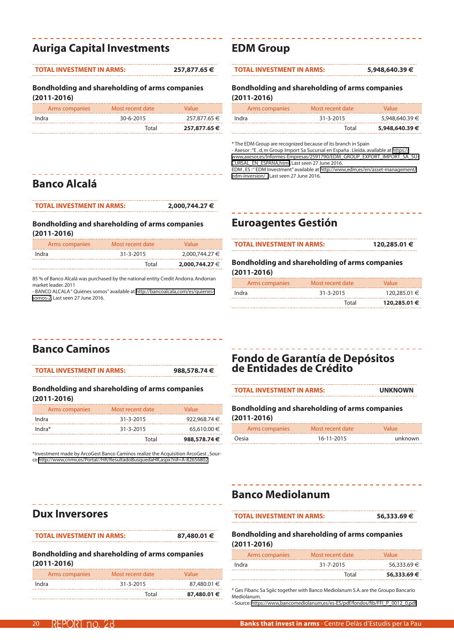# **Auriga Capital Investments**

| <b>TOTAL INVESTMENT IN ARMS:</b> | 257,877.65 € |
|----------------------------------|--------------|
|                                  |              |

#### **Bondholding and shareholding of arms companies (2011-2016)**

| Arms companies | Most recent date | Value        |
|----------------|------------------|--------------|
| Indra          | 30-6-2015        | 257,877,65 € |
|                | Total            | 257,877.65 € |

# **EDM Group**

#### **TOTAL INVESTMENT IN ARMS: 5,948,640.39 €**

### **Bondholding and shareholding of arms companies (2011-2016)**

| Arms companies | Most recent date | Value          |
|----------------|------------------|----------------|
| Indra          | $31 - 3 - 2015$  | 5,948,640.39 € |
|                | Total            | 5,948,640.39 € |

\* The EDM Group are recognized because of its branch in Spain

- Axesor : "E , d, m Group Import Sa Sucursal en España . Lleida. available at [https://](https://www.axesor.es/Informes-Empresas/2591790/EDM_GROUP_EXPORT_IMPORT_SA_SUCURSAL_EN_ESPANA.html) [www,axesor,es/Informes-Empresas/2591790/EDM\\_GROUP\\_EXPORT\\_IMPORT\\_SA\\_SU-](https://www.axesor.es/Informes-Empresas/2591790/EDM_GROUP_EXPORT_IMPORT_SA_SUCURSAL_EN_ESPANA.html)[CURSAL\\_EN\\_ESPANA,html.](https://www.axesor.es/Informes-Empresas/2591790/EDM_GROUP_EXPORT_IMPORT_SA_SUCURSAL_EN_ESPANA.html) Last seen 27 June 2016.

EDM, ES:" EDM Investment" available at [http://www,edm,es/en/asset-management/](http://www.edm.es/en/asset-management/edm-inversion/ , �ltima visualizaci�n el 27 de Junio de 2016) [edm-inversion/ .](http://www.edm.es/en/asset-management/edm-inversion/ , �ltima visualizaci�n el 27 de Junio de 2016) Last seen 27 June 2016.

# **Banco Alcalá**

| <b>TOTAL INVESTMENT IN ARMS:</b> | 2,000,744.27 € |
|----------------------------------|----------------|
|----------------------------------|----------------|

### **Bondholding and shareholding of arms companies (2011-2016)**

| Arms companies | Most recent date | Value          |
|----------------|------------------|----------------|
| Indra          | $31 - 3 - 2015$  | 2,000,744.27 € |
|                | Total            | 2,000,744.27 € |

85 % of Banco Alcalá was purchased by the national entity Credit Andorra. Andorran market leader. 2011

- BANCO ALCALA " Quiénes somos" available at [http://bancoalcala,com/es/quienes](http://bancoalcala.com/es/quienes-somos-2)[somos-2](http://bancoalcala.com/es/quienes-somos-2). Last seen 27 June 2016.

# **Euroagentes Gestión**

| <b>TOTAL INVESTMENT IN ARMS:</b> | 120,285.01 € |
|----------------------------------|--------------|
|                                  |              |

**Bondholding and shareholding of arms companies (2011-2016)**

| Arms companies | Most recent date | Value        |
|----------------|------------------|--------------|
| Indra          | $31 - 3 - 2015$  | 120,285.01 € |
|                | Total            | 120,285.01 € |

# **Banco Caminos**

**TOTAL INVESTMENT IN ARMS: 988,578.74 €**

#### **Bondholding and shareholding of arms companies (2011-2016)**

| Arms companies | Most recent date | Value        |
|----------------|------------------|--------------|
| Indra          | $31 - 3 - 2015$  | 922,968.74 € |
| $Indra*$       | $31 - 3 - 2015$  | 65,610,00 €  |
|                | Total            | 988,578,74€  |

\*Investment made by ArcoGest Banco Caminos realize the Acquisition ArcoGest , Source [http://www,cnmv,es/Portal//HR/ResultadoBusquedaHR,aspx?nif=A-82656802](http://www.cnmv.es/Portal//HR/ResultadoBusquedaHR.aspx?nif=A-82656802)

# **Fondo de Garantía de Depósitos de Entidades de Crédito**

| <b>TOTAL INVESTMENT IN ARMS:</b> | <b>UNKNOWN</b> |
|----------------------------------|----------------|
|----------------------------------|----------------|

### **Bondholding and shareholding of arms companies (2011-2016)**

| Arms companies | Most recent date | Value   |
|----------------|------------------|---------|
| Oesia          | 16-11-2015       | unknown |

## **Banco Mediolanum**

| <b>TOTAL INVESTMENT IN ARMS:</b> | 56,333.69€ |
|----------------------------------|------------|
|                                  |            |

### **Bondholding and shareholding of arms companies (2011-2016)**

| Arms companies | Most recent date | Value       |
|----------------|------------------|-------------|
| Indra          | 31-7-2015        | 56,333,69 € |
|                | Total            | 56,333.69 € |

\* Ges Fibanc Sa Sgiic together with Banco Mediolanum S.A. are the Groupo Bancario Mediolanum.

- Source: [https://www,bancomediolanum,es/es-ES/pdf/fondos/fib/FFI\\_P\\_0012\\_0,pdf](https://www.bancomediolanum.es/es-ES/pdf/fondos/fib/FFI_P_0012_0.pdf)

# **Dux Inversores**

**TOTAL INVESTMENT IN ARMS: 87,480.01 €**

**Bondholding and shareholding of arms companies** 

|                 |  | _____________ |  |
|-----------------|--|---------------|--|
| $(2011 - 2016)$ |  |               |  |

| .              |                  |             |
|----------------|------------------|-------------|
| Arms companies | Most recent date | Value       |
| Indra          | $31 - 3 - 2015$  | 87,480.01 € |
|                | Total            | 87,480.01 € |

| $\mathcal{L}(\mathcal{L})$ and $\mathcal{L}(\mathcal{L})$ and $\mathcal{L}(\mathcal{L})$                             |  |  |
|----------------------------------------------------------------------------------------------------------------------|--|--|
| <b>Contract Contract Contract Contract Contract Contract Contract Contract Contract Contract Contract Contract C</b> |  |  |
|                                                                                                                      |  |  |
|                                                                                                                      |  |  |
| <b>Contract Contract Contract Contract Contract Contract Contract Contract Contract Contract Contract Contract C</b> |  |  |
|                                                                                                                      |  |  |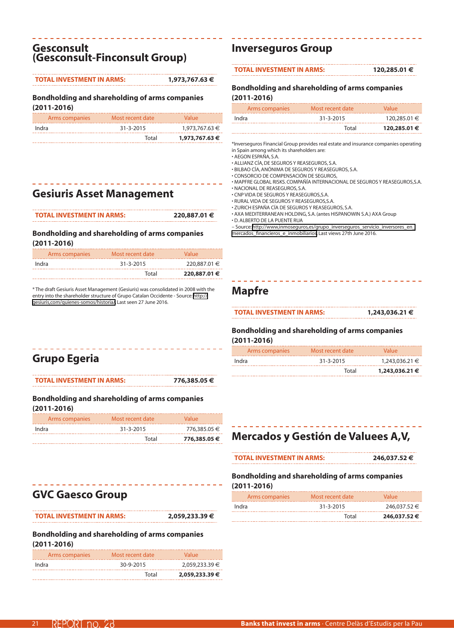### **Gesconsult (Gesconsult-Finconsult Group)**

#### **TOTAL INVESTMENT IN ARMS: 1,973,767.63 €**

#### **Bondholding and shareholding of arms companies (2011-2016)**

| Arms companies | Most recent date | <b>Value</b>   |
|----------------|------------------|----------------|
| Indra          | $31 - 3 - 2015$  | 1,973,767,63 € |
|                | Total            | 1,973,767.63 € |

# **Gesiuris Asset Management**

| <b>TOTAL INVESTMENT IN ARMS:</b> | 220,887.01 € |
|----------------------------------|--------------|
|                                  |              |

### **Bondholding and shareholding of arms companies (2011-2016)**

| Arms companies | Most recent date | Value        |
|----------------|------------------|--------------|
| Indra          | $31 - 3 - 2015$  | 220,887,01 € |
|                | Total            | 220,887.01 € |

\* The draft Gesiuris Asset Management (Gesiuris) was consolidated in 2008 with the entry into the shareholder structure of Grupo Catalan Occidente - Source: [http://](http://gesiuris.com/quienes-somos/historia/) [gesiuris,com/quienes-somos/historia/](http://gesiuris.com/quienes-somos/historia/). Last seen 27 June 2016.

# **Inverseguros Group**

#### **TOTAL INVESTMENT IN ARMS: 120,285.01 €**

### **Bondholding and shareholding of arms companies (2011-2016)**

| Arms companies | Most recent date | Value        |
|----------------|------------------|--------------|
| Indra          | $31 - 3 - 2015$  | 120,285.01 € |
|                | Total            | 120,285.01 € |

\*Inverseguros Financial Group provides real estate and insurance companies operating in Spain among which its shareholders are:

- AEGON ESPAÑA, S.A.
- ALLIANZ CÍA, DE SEGUROS Y REASEGUROS, S.A. • BILBAO CÍA, ANÓNIMA DE SEGUROS Y REASEGUROS, S.A.
- CONSORCIO DE COMPENSACIÓN DE SEGUROS,
- MAPFRE GLOBAL RISKS. COMPAÑÍA INTERNACIONAL DE SEGUROS Y REASEGUROS,S.A.
- NACIONAL DE REASEGUROS, S.A.
- CNP VIDA DE SEGUROS Y REASEGUROS,S.A.
- RURAL VIDA DE SEGUROS Y REASEGUROS,S.A.
- ZURICH ESPAÑA CÍA DE SEGUROS Y REASEGUROS, S.A.
- AXA MEDITERRANEAN HOLDING, S.A. (antes HISPANOWIN S.A.) AXA Group
- D. ALBERTO DE LA PUENTE RUA
- Source: [http://www,inmoseguros,es/grupo\\_inverseguros\\_servicio\\_inversores\\_en\\_](http://www.inmoseguros.es/grupo_inverseguros_servicio_inversores_en_mercados_financieros_e_inmobiliarios) [mercados\\_financieros\\_e\\_inmobiliarios](http://www.inmoseguros.es/grupo_inverseguros_servicio_inversores_en_mercados_financieros_e_inmobiliarios). Last views 27th June 2016.

### **Mapfre**

**TOTAL INVESTMENT IN ARMS: 1,243,036.21 €**

### **Bondholding and shareholding of arms companies (2011-2016)**

| Arms companies | Most recent date | Value          |
|----------------|------------------|----------------|
| Indra          | $31 - 3 - 2015$  | 1,243,036.21 € |
|                | Total            | 1,243,036,21 € |

# **Grupo Egeria**

**TOTAL INVESTMENT IN ARMS: 776,385.05 €**

### **Bondholding and shareholding of arms companies (2011-2016)**

| Arms companies | Most recent date | Value        |
|----------------|------------------|--------------|
| Indra          | $31 - 3 - 2015$  | 776,385.05 € |
|                | Total            | 776,385,05 € |

# **Mercados y Gestión de Valuees A,V,**

| <b>TOTAL INVESTMENT IN ARMS:</b> | 246,037.52 € |
|----------------------------------|--------------|
|----------------------------------|--------------|

### **Bondholding and shareholding of arms companies (2011-2016)**

| Arms companies | Most recent date | Value        |
|----------------|------------------|--------------|
| Indra          | $31 - 3 - 2015$  | 246,037.52 € |
|                | Total            | 246,037.52 € |

# **GVC Gaesco Group**

**TOTAL INVESTMENT IN ARMS: 2,059,233.39 €**

| Arms companies | Most recent date | Value          |
|----------------|------------------|----------------|
| Indra          | 30-9-2015        | 2,059,233.39 € |
|                | Total            | 2,059,233.39 € |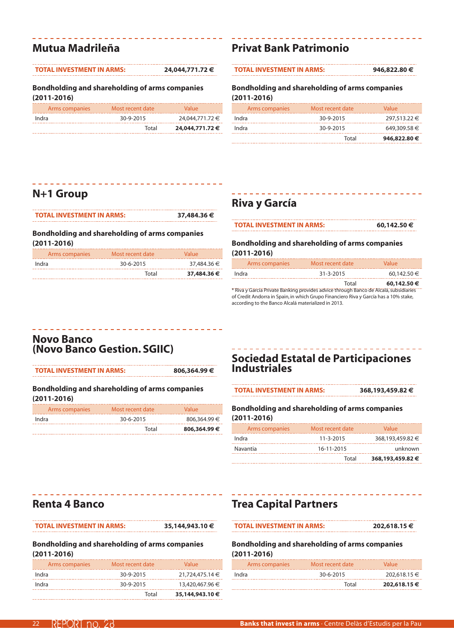# **Mutua Madrileña**

#### **TOTAL INVESTMENT IN ARMS: 24,044,771.72 €**

**Bondholding and shareholding of arms companies (2011-2016)**

|                | Total            | 24,044,771.72 € |
|----------------|------------------|-----------------|
| Indra          | 30-9-2015        | 24,044,771.72 € |
| Arms companies | Most recent date | Value           |

### **Privat Bank Patrimonio**

**TOTAL INVESTMENT IN ARMS: 946,822.80 €**

### **Bondholding and shareholding of arms companies (2011-2016)**

| Arms companies | Most recent date | Value        |
|----------------|------------------|--------------|
| Indra          | 30-9-2015        | 297.513.22 € |
| Indra          | 30-9-2015        | 649,309.58 € |
|                | Total            | 946,822.80 € |

## **N+1 Group**

| <b>TOTAL INVESTMENT IN ARMS:</b> | 37,484.36 € |
|----------------------------------|-------------|

### **Bondholding and shareholding of arms companies (2011-2016)**

| Arms companies | Most recent date | Value       |
|----------------|------------------|-------------|
| Indra          | 30-6-2015        | 37,484.36 € |
|                | Total            | 37,484.36 € |

## **Riva y García**

| <b>TOTAL INVESTMENT IN ARMS:</b> | 60,142.50 € |
|----------------------------------|-------------|
|----------------------------------|-------------|

### **Bondholding and shareholding of arms companies (2011-2016)**

| Arms companies                                                                             | Most recent date | Value       |
|--------------------------------------------------------------------------------------------|------------------|-------------|
| Indra                                                                                      | $31 - 3 - 2015$  | 60,142.50 € |
|                                                                                            | Total            | 60,142.50 € |
| * Riva y García Private Banking provides advice through Banco de Alcalá, subsidiaries<br>. |                  |             |

of Credit Andorra in Spain, in which Grupo Financiero Riva y García has a 10% stake, according to the Banco Alcalá materialized in 2013.

### **Novo Banco (Novo Banco Gestion. SGIIC)**

**TOTAL INVESTMENT IN ARMS: 806,364.99 €**

### **Bondholding and shareholding of arms companies (2011-2016)**

| Arms companies | Most recent date | Value        |
|----------------|------------------|--------------|
| Indra          | 30-6-2015        | 806.364.99 € |
|                | Total            | 806,364,99€  |

# **Sociedad Estatal de Participaciones Industriales**

**TOTAL INVESTMENT IN ARMS: 368,193,459.82 €**

**Bondholding and shareholding of arms companies (2011-2016)**

| Arms companies | Most recent date | Value            |
|----------------|------------------|------------------|
| Indra          | $11 - 3 - 2015$  | 368,193,459.82 € |
| Navantia       | 16-11-2015       | unknown          |
|                | Total            | 368,193,459.82 € |

# **Renta 4 Banco**

**TOTAL INVESTMENT IN ARMS: 35,144,943.10 €**

### **Bondholding and shareholding of arms companies (2011-2016)**

| Arms companies | Most recent date | Value           |
|----------------|------------------|-----------------|
| Indra          | 30-9-2015        | 21,724,475.14 € |
| Indra          | 30-9-2015        | 13,420,467.96 € |
|                | Total            | 35,144,943.10 € |

# **Trea Capital Partners**

| <b>TOTAL INVESTMENT IN ARMS:</b> |
|----------------------------------|
|----------------------------------|

**TOTAL INVESTMENT IN ARMS: 202,618.15 €**

| Arms companies | Most recent date | Value        |
|----------------|------------------|--------------|
| Indra          | 30-6-2015        | 202,618.15 € |
|                | Total            | 202,618.15 € |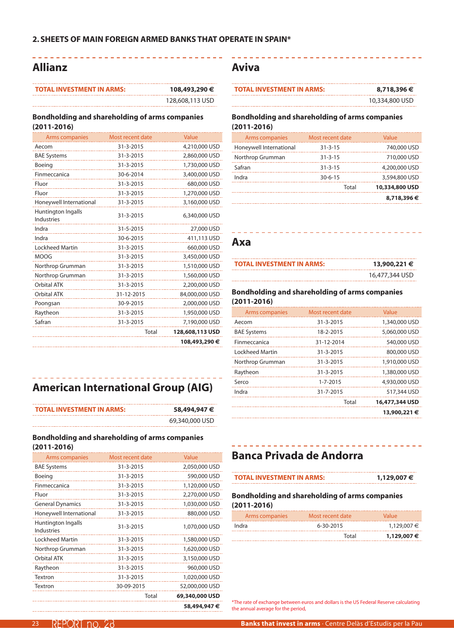### **Allianz**

. . . . . . . . . . .

| <b>TOTAL INVESTMENT IN ARMS:</b> | 108,493,290 €   |
|----------------------------------|-----------------|
|                                  | 128,608,113 USD |

### **Bondholding and shareholding of arms companies (2011-2016)**

| <b>Arms companies</b>                   | Most recent date | Value           |
|-----------------------------------------|------------------|-----------------|
| Aecom                                   | 31-3-2015        | 4,210,000 USD   |
| <b>BAE Systems</b>                      | 31-3-2015        | 2,860,000 USD   |
| Boeing                                  | 31-3-2015        | 1,730,000 USD   |
| Finmeccanica                            | 30-6-2014        | 3,400,000 USD   |
| Fluor                                   | 31-3-2015        | 680,000 USD     |
| Fluor                                   | 31-3-2015        | 1,270,000 USD   |
| Honeywell International                 | 31-3-2015        | 3,160,000 USD   |
| Huntington Ingalls<br><b>Industries</b> | 31-3-2015        | 6,340,000 USD   |
| Indra                                   | 31-5-2015        | 27,000 USD      |
| Indra                                   | 30-6-2015        | 411,113 USD     |
| <b>Lockheed Martin</b>                  | 31-3-2015        | 660,000 USD     |
| <b>MOOG</b>                             | 31-3-2015        | 3,450,000 USD   |
| Northrop Grumman                        | 31-3-2015        | 1,510,000 USD   |
| Northrop Grumman                        | 31-3-2015        | 1,560,000 USD   |
| Orbital ATK                             | 31-3-2015        | 2,200,000 USD   |
| <b>Orbital ATK</b>                      | 31-12-2015       | 84,000,000 USD  |
| Poongsan                                | 30-9-2015        | 2,000,000 USD   |
| Raytheon                                | 31-3-2015        | 1,950,000 USD   |
| Safran                                  | 31-3-2015        | 7,190,000 USD   |
|                                         | Total            | 128,608,113 USD |
|                                         |                  | 108,493,290 €   |
|                                         |                  |                 |

# **American International Group (AIG)**

| <b>TOTAL INVESTMENT IN ARMS:</b> | 58,494,947 €   |
|----------------------------------|----------------|
|                                  | 69,340,000 USD |

### **Bondholding and shareholding of arms companies (2011-2016)**

| Arms companies                   | Most recent date | Value          |
|----------------------------------|------------------|----------------|
| <b>BAE Systems</b>               | 31-3-2015        | 2,050,000 USD  |
| Boeing                           | 31-3-2015        | 590,000 USD    |
| Finmeccanica                     | 31-3-2015        | 1,120,000 USD  |
| Fluor                            | 31-3-2015        | 2,270,000 USD  |
| <b>General Dynamics</b>          | 31-3-2015        | 1,030,000 USD  |
| Honeywell International          | 31-3-2015        | 880,000 USD    |
| Huntington Ingalls<br>Industries | 31-3-2015        | 1,070,000 USD  |
| Lockheed Martin                  | 31-3-2015        | 1,580,000 USD  |
| Northrop Grumman                 | 31-3-2015        | 1,620,000 USD  |
| Orbital ATK                      | 31-3-2015        | 3,150,000 USD  |
| Raytheon                         | 31-3-2015        | 960,000 USD    |
| Textron                          | 31-3-2015        | 1,020,000 USD  |
| Textron                          | 30-09-2015       | 52,000,000 USD |
|                                  | Total            | 69,340,000 USD |
|                                  |                  | 58,494,947 €   |

### **Aviva**

| <b>TOTAL INVESTMENT IN ARMS:</b> | 8,718,396 €    |
|----------------------------------|----------------|
|                                  | 10,334,800 USD |

### **Bondholding and shareholding of arms companies (2011-2016)**

| Arms companies          | Most recent date | Value          |
|-------------------------|------------------|----------------|
| Honeywell International | $31 - 3 - 15$    | 740,000 USD    |
| Northrop Grumman        | $31 - 3 - 15$    | 710,000 USD    |
| Safran                  | $31 - 3 - 15$    | 4,200,000 USD  |
| Indra                   | $30 - 6 - 15$    | 3,594,800 USD  |
|                         | Total            | 10,334,800 USD |
|                         |                  | 8,718,396€     |

### **Axa**

| <b>TOTAL INVESTMENT IN ARMS:</b> | 13,900,221 €   |
|----------------------------------|----------------|
|                                  | 16,477,344 USD |

### **Bondholding and shareholding of arms companies (2011-2016)**

| Arms companies      | Most recent date | Value          |
|---------------------|------------------|----------------|
| Aecom               | 31-3-2015        | 1,340,000 USD  |
| <b>BAE Systems</b>  | 18-2-2015        | 5,060,000 USD  |
| <b>Finmeccanica</b> | 31-12-2014       | 540,000 USD    |
| Lockheed Martin     | 31-3-2015        | 800,000 USD    |
| Northrop Grumman    | 31-3-2015        | 1,910,000 USD  |
| Raytheon            | 31-3-2015        | 1,380,000 USD  |
| Serco               | $1 - 7 - 2015$   | 4,930,000 USD  |
| Indra               | 31-7-2015        | 517,344 USD    |
|                     | Total            | 16,477,344 USD |
|                     |                  | 13,900,221 €   |

. . . . . . . . . . . . . . . . . . .

# **Banca Privada de Andorra**

| <b>TOTAL INVESTMENT IN ARMS:</b> | 1,129,007 € |
|----------------------------------|-------------|
|                                  |             |

### **Bondholding and shareholding of arms companies (2011-2016)**

| Arms companies | Most recent date | Value       |
|----------------|------------------|-------------|
| Indra          | 6-30-2015        | 1.129.007 € |
|                | Total            | 1,129,007 € |

\*The rate of exchange between euros and dollars is the US Federal Reserve calculating the annual average for the period,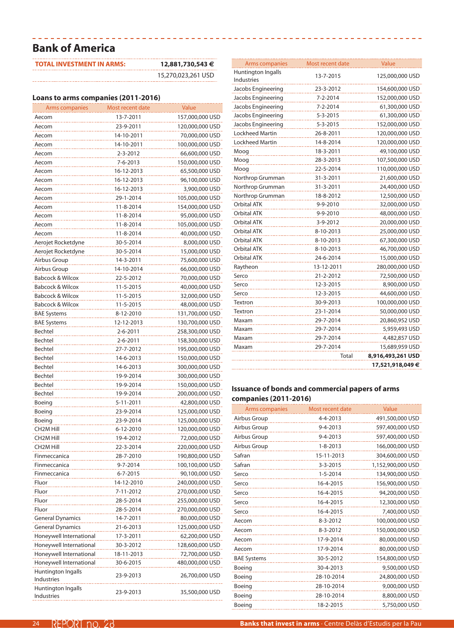# **Bank of America**

| <b>TOTAL INVESTMENT IN ARMS:</b> | 12,881,730,543 €   |
|----------------------------------|--------------------|
|                                  | 15,270,023,261 USD |

### **Loans to arms companies (2011-2016)**

| Arms companies                   | Most recent date | Value           |
|----------------------------------|------------------|-----------------|
| Aecom                            | 13-7-2011        | 157,000,000 USD |
| Aecom                            | 23-9-2011        | 120,000,000 USD |
| Aecom                            | 14-10-2011       | 70,000,000 USD  |
| Aecom                            | 14-10-2011       | 100,000,000 USD |
| Aecom                            | 2-3-2012         | 66,600,000 USD  |
| Aecom                            | 7-6-2013         | 150,000,000 USD |
| Aecom                            | 16-12-2013       | 65,500,000 USD  |
| Aecom                            | 16-12-2013       | 96,100,000 USD  |
| Aecom                            | 16-12-2013       | 3,900,000 USD   |
| Aecom                            | 29-1-2014        | 105,000,000 USD |
| Aecom                            | 11-8-2014        | 154,000,000 USD |
| Aecom                            | 11-8-2014        | 95,000,000 USD  |
| Aecom                            | 11-8-2014        | 105,000,000 USD |
| Aecom                            | 11-8-2014        | 40,000,000 USD  |
| Aerojet Rocketdyne               | 30-5-2014        | 8,000,000 USD   |
| Aerojet Rocketdyne               | 30-5-2014        | 15,000,000 USD  |
| Airbus Group                     | 14-3-2011        | 75,600,000 USD  |
| Airbus Group                     | 14-10-2014       | 66,000,000 USD  |
| <b>Babcock &amp; Wilcox</b>      | 22-5-2012        | 70,000,000 USD  |
| <b>Babcock &amp; Wilcox</b>      | 11-5-2015        | 40,000,000 USD  |
| <b>Babcock &amp; Wilcox</b>      | 11-5-2015        | 32,000,000 USD  |
| <b>Babcock &amp; Wilcox</b>      | 11-5-2015        | 48,000,000 USD  |
| <b>BAE Systems</b>               | 8-12-2010        | 131,700,000 USD |
| <b>BAE Systems</b>               | 12-12-2013       | 130,700,000 USD |
| Bechtel                          | 2-6-2011         | 258,300,000 USD |
| Bechtel                          | 2-6-2011         | 158,300,000 USD |
| Bechtel                          | 27-7-2012        | 195,000,000 USD |
| Bechtel                          | 14-6-2013        | 150,000,000 USD |
| Bechtel                          | 14-6-2013        | 300,000,000 USD |
| Bechtel                          | 19-9-2014        | 300,000,000 USD |
| Bechtel                          | 19-9-2014        | 150,000,000 USD |
| Bechtel                          | 19-9-2014        | 200,000,000 USD |
| Boeing                           | 5-11-2011        | 42,800,000 USD  |
| Boeing                           | 23-9-2014        | 125,000,000 USD |
| Boeing                           | 23-9-2014        | 125,000,000 USD |
| CH2M Hill                        | 6-12-2010        | 120,000,000 USD |
| <b>CH2M Hill</b>                 | 19-4-2012        | 72,000,000 USD  |
| CH2M Hill                        | 22-3-2014        | 220,000,000 USD |
| Finmeccanica                     | 28-7-2010        | 190,800,000 USD |
| Finmeccanica                     | 9-7-2014         | 100,100,000 USD |
| Finmeccanica                     | $6 - 7 - 2015$   | 90,100,000 USD  |
| Fluor                            | 14-12-2010       | 240,000,000 USD |
| Fluor                            | 7-11-2012        | 270,000,000 USD |
| Fluor                            | 28-5-2014        | 255,000,000 USD |
| Fluor                            | 28-5-2014        | 270,000,000 USD |
| <b>General Dynamics</b>          | 14-7-2011        | 80,000,000 USD  |
| <b>General Dynamics</b>          | 21-6-2013        | 125,000,000 USD |
| Honeywell International          | 17-3-2011        | 62,200,000 USD  |
| Honeywell International          | 30-3-2012        | 128,600,000 USD |
| Honeywell International          | 18-11-2013       | 72,700,000 USD  |
| Honeywell International          | 30-6-2015        | 480,000,000 USD |
| Huntington Ingalls<br>Industries | 23-9-2013        | 26,700,000 USD  |
| Huntington Ingalls<br>Industries | 23-9-2013        | 35,500,000 USD  |

| <b>Arms companies</b>            | Most recent date | Value             |
|----------------------------------|------------------|-------------------|
| Huntington Ingalls<br>Industries | 13-7-2015        | 125,000,000 USD   |
| Jacobs Engineering               | 23-3-2012        | 154,600,000 USD   |
| Jacobs Engineering               | 7-2-2014         | 152,000,000 USD   |
| Jacobs Engineering               | 7-2-2014         | 61,300,000 USD    |
| Jacobs Engineering               | $5 - 3 - 2015$   | 61,300,000 USD    |
| Jacobs Engineering               | $5 - 3 - 2015$   | 152,000,000 USD   |
| Lockheed Martin                  | 26-8-2011        | 120,000,000 USD   |
| <b>Lockheed Martin</b>           | 14-8-2014        | 120,000,000 USD   |
| Moog                             | 18-3-2011        | 49,100,000 USD    |
| Moog                             | 28-3-2013        | 107,500,000 USD   |
| Moog                             | 22-5-2014        | 110,000,000 USD   |
| Northrop Grumman                 | 31-3-2011        | 21,600,000 USD    |
| Northrop Grumman                 | 31-3-2011        | 24,400,000 USD    |
| Northrop Grumman                 | 18-8-2012        | 12,500,000 USD    |
| <b>Orbital ATK</b>               | 9-9-2010         | 32,000,000 USD    |
| <b>Orbital ATK</b>               | 9-9-2010         | 48,000,000 USD    |
| <b>Orbital ATK</b>               | 3-9-2012         | 20,000,000 USD    |
| <b>Orbital ATK</b>               | 8-10-2013        | 25,000,000 USD    |
| <b>Orbital ATK</b>               | 8-10-2013        | 67,300,000 USD    |
| <b>Orbital ATK</b>               | 8-10-2013        | 46,700,000 USD    |
| <b>Orbital ATK</b>               | 24-6-2014        | 15,000,000 USD    |
| Raytheon                         | 13-12-2011       | 280,000,000 USD   |
| Serco                            | 21-2-2012        | 72,500,000 USD    |
| Serco                            | 12-3-2015        | 8,900,000 USD     |
| Serco                            | 12-3-2015        | 44,600,000 USD    |
| Textron                          | 30-9-2013        | 100,000,000 USD   |
| Textron                          | 23-1-2014        | 50,000,000 USD    |
| Maxam                            | 29-7-2014        | 20,860,952 USD    |
| Maxam                            | 29-7-2014        | 5,959,493 USD     |
| Maxam                            | 29-7-2014        | 4,482,857 USD     |
| Maxam                            | 29-7-2014        | 15,689,959 USD    |
|                                  | Total            | 8,916,493,261 USD |
|                                  |                  | 17,521,918,049 €  |

### **Issuance of bonds and commercial papers of arms companies (2011-2016)**

| Arms companies     | Most recent date | Value             |
|--------------------|------------------|-------------------|
| Airbus Group       | 4-4-2013         | 491,500,000 USD   |
| Airbus Group       | 9-4-2013         | 597,400,000 USD   |
| Airbus Group       | $9 - 4 - 2013$   | 597,400,000 USD   |
| Airbus Group       | $1 - 8 - 2013$   | 166,000,000 USD   |
| Safran             | 15-11-2013       | 304,600,000 USD   |
| Safran             | $3 - 3 - 2015$   | 1,152,900,000 USD |
| Serco              | $1 - 5 - 2014$   | 134,900,000 USD   |
| Serco              | 16-4-2015        | 156,900,000 USD   |
| Serco              | 16-4-2015        | 94,200,000 USD    |
| Serco<br><u>.</u>  | 16-4-2015        | 12,300,000 USD    |
| Serco              | 16-4-2015        | 7,400,000 USD     |
| Aecom              | 8-3-2012         | 100,000,000 USD   |
| Aecom<br>.         | $8 - 3 - 2012$   | 150,000,000 USD   |
| Aecom              | 17-9-2014        | 80,000,000 USD    |
| Aecom              | 17-9-2014        | 80,000,000 USD    |
| <b>BAE Systems</b> | 30-5-2012        | 154,800,000 USD   |
| Boeing             | 30-4-2013        | 9,500,000 USD     |
| Boeing             | 28-10-2014       | 24,800,000 USD    |
| Boeing             | 28-10-2014       | 9,000,000 USD     |
| Boeing             | 28-10-2014       | 8,800,000 USD     |
| Boeing             | 18-2-2015        | 5,750,000 USD     |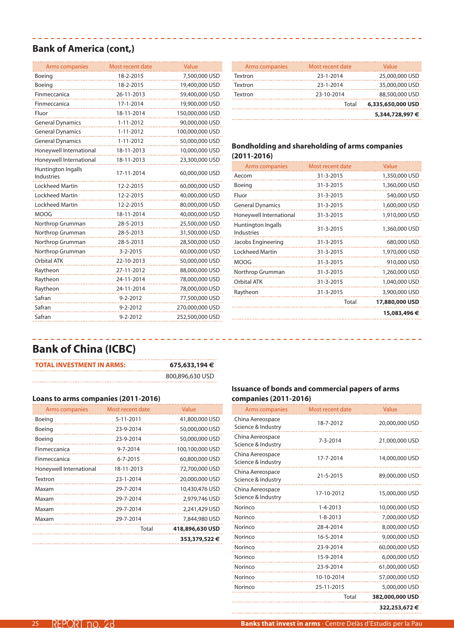### **Bank of America (cont,)**

| Arms companies                          | Most recent date | Value           |
|-----------------------------------------|------------------|-----------------|
| Boeing                                  | 18-2-2015        | 7,500,000 USD   |
| Boeing                                  | 18-2-2015        | 19,400,000 USD  |
| Finmeccanica                            | 26-11-2013       | 59,400,000 USD  |
| Finmeccanica                            | 17-1-2014        | 19,900,000 USD  |
| Fluor                                   | 18-11-2014       | 150,000,000 USD |
| <b>General Dynamics</b>                 | $1 - 11 - 2012$  | 90,000,000 USD  |
| <b>General Dynamics</b>                 | $1 - 11 - 2012$  | 100,000,000 USD |
| <b>General Dynamics</b>                 | $1 - 11 - 2012$  | 50,000,000 USD  |
| Honeywell International                 | 18-11-2013       | 10,000,000 USD  |
| Honeywell International                 | 18-11-2013       | 23,300,000 USD  |
| Huntington Ingalls<br><b>Industries</b> | 17-11-2014       | 60,000,000 USD  |
| <b>Lockheed Martin</b>                  | 12-2-2015        | 60,000,000 USD  |
| <b>Lockheed Martin</b>                  | 12-2-2015        | 40,000,000 USD  |
| Lockheed Martin                         | 12-2-2015        | 80,000,000 USD  |
| <b>MOOG</b>                             | 18-11-2014       | 40,000,000 USD  |
| Northrop Grumman                        | 28-5-2013        | 25,500,000 USD  |
| Northrop Grumman                        | 28-5-2013        | 31,500,000 USD  |
| Northrop Grumman                        | 28-5-2013        | 28,500,000 USD  |
| Northrop Grumman                        | $3 - 2 - 2015$   | 60,000,000 USD  |
| <b>Orbital ATK</b>                      | 22-10-2013       | 50,000,000 USD  |
| Raytheon                                | 27-11-2012       | 88,000,000 USD  |
| Raytheon                                | 24-11-2014       | 78,000,000 USD  |
| Raytheon                                | 24-11-2014       | 78,000,000 USD  |
| Safran                                  | 9-2-2012         | 77,500,000 USD  |
| Safran                                  | $9 - 2 - 2012$   | 270,000,000 USD |
| Safran                                  | $9 - 2 - 2012$   | 252,500,000 USD |

|                |                  | 6,335,650,000 USD<br>5,344,728,997 € |
|----------------|------------------|--------------------------------------|
|                | Total            |                                      |
| Textron        | 23-10-2014       | 88,500,000 USD                       |
| Textron        | 23-1-2014        | 35,000,000 USD                       |
| Textron        | 23-1-2014        | 25,000,000 USD                       |
| Arms companies | Most recent date | Value                                |
|                |                  |                                      |

### **Bondholding and shareholding of arms companies (2011-2016)**

| 47 I I 47 I V                           |                  |                |
|-----------------------------------------|------------------|----------------|
| Arms companies                          | Most recent date | Value          |
| Aecom                                   | 31-3-2015        | 1,350,000 USD  |
| Boeing                                  | 31-3-2015        | 1,360,000 USD  |
| Fluor                                   | 31-3-2015        | 540,000 USD    |
| <b>General Dynamics</b>                 | 31-3-2015        | 1,600,000 USD  |
| Honeywell International                 | 31-3-2015        | 1,910,000 USD  |
| Huntington Ingalls<br><b>Industries</b> | 31-3-2015        | 1,360,000 USD  |
| Jacobs Engineering                      | 31-3-2015        | 680,000 USD    |
| <b>Lockheed Martin</b>                  | 31-3-2015        | 1,970,000 USD  |
| <b>MOOG</b>                             | 31-3-2015        | 910,000 USD    |
| Northrop Grumman                        | 31-3-2015        | 1,260,000 USD  |
| Orbital ATK                             | 31-3-2015        | 1,040,000 USD  |
| Raytheon                                | 31-3-2015        | 3,900,000 USD  |
|                                         | Total            | 17,880,000 USD |
|                                         |                  | 15,083,496 €   |
|                                         |                  |                |

# **Bank of China (ICBC)**

| <b>TOTAL INVESTMENT IN ARMS:</b> | 675,633,194 €   |
|----------------------------------|-----------------|
|                                  | 800,896,630 USD |

### **Loans to arms companies (2011-2016)**

| Arms companies          | Most recent date | Value           |
|-------------------------|------------------|-----------------|
| Boeing                  | 5-11-2011        | 41,800,000 USD  |
| Boeing                  | 23-9-2014        | 50,000,000 USD  |
| Boeing                  | 23-9-2014        | 50,000,000 USD  |
| Finmeccanica            | $9 - 7 - 2014$   | 100,100,000 USD |
| Finmeccanica            | $6 - 7 - 2015$   | 60,800,000 USD  |
| Honeywell International | 18-11-2013       | 72,700,000 USD  |
| Textron                 | 23-1-2014        | 20,000,000 USD  |
| Maxam                   | 29-7-2014        | 10,430,476 USD  |
| Maxam                   | 29-7-2014        | 2,979,746 USD   |
| Maxam                   | 29-7-2014        | 2,241,429 USD   |
| Maxam                   | 29-7-2014        | 7,844,980 USD   |
|                         | Total            | 418,896,630 USD |
|                         |                  | 353,379,522 €   |

### **Issuance of bonds and commercial papers of arms companies (2011-2016)**

| Arms companies                         | Most recent date | Value           |
|----------------------------------------|------------------|-----------------|
| China Aereospace<br>Science & Industry | 18-7-2012        | 20,000,000 USD  |
| China Aereospace<br>Science & Industry | 7-3-2014         | 21,000,000 USD  |
| China Aereospace<br>Science & Industry | 17-7-2014        | 14,000,000 USD  |
| China Aereospace<br>Science & Industry | 21-5-2015        | 89,000,000 USD  |
| China Aereospace<br>Science & Industry | 17-10-2012       | 15,000,000 USD  |
| Norinco                                | $1 - 4 - 2013$   | 10,000,000 USD  |
| Norinco                                | $1 - 8 - 2013$   | 7,000,000 USD   |
| Norinco                                | 28-4-2014        | 8,000,000 USD   |
| Norinco                                | 16-5-2014        | 9,000,000 USD   |
| Norinco                                | 23-9-2014        | 60,000,000 USD  |
| Norinco                                | 15-9-2014        | 6,000,000 USD   |
| Norinco                                | 23-9-2014        | 61,000,000 USD  |
| Norinco                                | 10-10-2014       | 57,000,000 USD  |
| Norinco                                | 25-11-2015       | 5,000,000 USD   |
|                                        | Total            | 382,000,000 USD |
|                                        |                  | 322,253,672€    |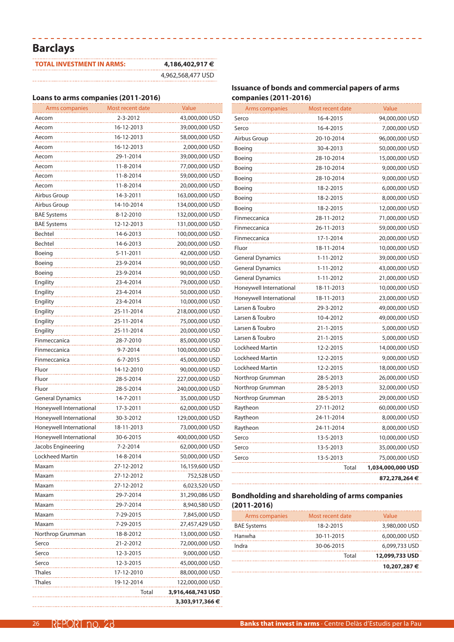# **Barclays**

| <b>TOTAL INVESTMENT IN ARMS:</b> | 4,186,402,917 €   |
|----------------------------------|-------------------|
|                                  | 4,962,568,477 USD |

----------------------------------

### **Loans to arms companies (2011-2016)**

| Arms companies          | Most recent date        | Value             |
|-------------------------|-------------------------|-------------------|
| Aecom                   | 2-3-2012                | 43,000,000 USD    |
| Aecom                   | 16-12-2013              | 39,000,000 USD    |
| Aecom                   | 16-12-2013              | 58,000,000 USD    |
| Aecom                   | 16-12-2013              | 2,000,000 USD     |
| Aecom                   | 29-1-2014               | 39,000,000 USD    |
| Aecom                   | 11-8-2014               | 77,000,000 USD    |
| Aecom                   | 11-8-2014               | 59,000,000 USD    |
| Aecom                   | 11-8-2014               | 20,000,000 USD    |
| Airbus Group            | 14-3-2011               | 163,000,000 USD   |
| Airbus Group            | 14-10-2014              | 134,000,000 USD   |
| <b>BAE Systems</b>      | 8-12-2010               | 132,000,000 USD   |
| <b>BAE Systems</b>      | 12-12-2013              | 131,000,000 USD   |
| Bechtel                 | 14-6-2013               | 100,000,000 USD   |
| Bechtel                 | 14-6-2013               | 200,000,000 USD   |
| Boeing                  | 5-11-2011               | 42,000,000 USD    |
| Boeing                  | 23-9-2014               | 90,000,000 USD    |
| Boeing                  | 23-9-2014               | 90,000,000 USD    |
| Engility                | 23-4-2014               | 79,000,000 USD    |
| Engility                | 23-4-2014               | 50,000,000 USD    |
| Engility                | 23-4-2014               | 10,000,000 USD    |
| Engility                | 25-11-2014              | 218,000,000 USD   |
| Engility                | 25-11-2014              | 75,000,000 USD    |
| Engility                | 25-11-2014              | 20,000,000 USD    |
| Finmeccanica            | 28-7-2010               | 85,000,000 USD    |
| Finmeccanica            | 9-7-2014                | 100,000,000 USD   |
| Finmeccanica            | 6-7-2015                | 45,000,000 USD    |
| Fluor                   | 14-12-2010              | 90,000,000 USD    |
| Fluor                   | 28-5-2014               | 227,000,000 USD   |
| Fluor                   | 28-5-2014               | 240,000,000 USD   |
| <b>General Dynamics</b> | 14-7-2011               | 35,000,000 USD    |
| Honeywell International | 17-3-2011               | 62,000,000 USD    |
| Honeywell International | 30-3-2012               | 129,000,000 USD   |
| Honeywell International | 18-11-2013              | 73,000,000 USD    |
| Honeywell International | 30-6-2015               | 400,000,000 USD   |
| Jacobs Engineering      | 7-2-2014                | 62,000,000 USD    |
| Lockheed Martin         | 14-8-2014               | 50,000,000 USD    |
| Maxam                   | 27-12-2012              | 16,159,600 USD    |
|                         |                         |                   |
| Maxam                   | 27-12-2012              | 752,528 USD       |
| Maxam                   | 27-12-2012<br>29-7-2014 | 6,023,520 USD     |
| Maxam                   |                         | 31,290,086 USD    |
| Maxam                   | 29-7-2014               | 8,940,580 USD     |
| Maxam                   | 7-29-2015               | 7,845,000 USD     |
| Maxam                   | 7-29-2015               | 27,457,429 USD    |
| Northrop Grumman        | 18-8-2012               | 13,000,000 USD    |
| Serco                   | 21-2-2012               | 72,000,000 USD    |
| Serco                   | 12-3-2015               | 9,000,000 USD     |
| Serco                   | 12-3-2015               | 45,000,000 USD    |
| Thales                  | 17-12-2010              | 88,000,000 USD    |
| Thales                  | 19-12-2014              | 122,000,000 USD   |
|                         | Total                   | 3,916,468,743 USD |
|                         |                         | 3,303,917,366 €   |

### **Issuance of bonds and commercial papers of arms companies (2011-2016)**

| Arms companies          | Most recent date | Value             |
|-------------------------|------------------|-------------------|
| Serco                   | 16-4-2015        | 94,000,000 USD    |
| Serco                   | 16-4-2015        | 7,000,000 USD     |
| Airbus Group            | 20-10-2014       | 96,000,000 USD    |
| Boeing                  | 30-4-2013        | 50,000,000 USD    |
| Boeing                  | 28-10-2014       | 15,000,000 USD    |
| Boeing                  | 28-10-2014       | 9,000,000 USD     |
| Boeing                  | 28-10-2014       | 9,000,000 USD     |
| Boeing                  | 18-2-2015        | 6,000,000 USD     |
| Boeing                  | 18-2-2015        | 8,000,000 USD     |
| Boeing                  | 18-2-2015        | 12,000,000 USD    |
| Finmeccanica            | 28-11-2012       | 71,000,000 USD    |
| Finmeccanica            | 26-11-2013       | 59,000,000 USD    |
| Finmeccanica            | 17-1-2014        | 20,000,000 USD    |
| Fluor                   | 18-11-2014       | 10,000,000 USD    |
| <b>General Dynamics</b> | 1-11-2012        | 39,000,000 USD    |
| <b>General Dynamics</b> | $1 - 11 - 2012$  | 43,000,000 USD    |
| <b>General Dynamics</b> | 1-11-2012        | 21,000,000 USD    |
| Honeywell International | 18-11-2013       | 10,000,000 USD    |
| Honeywell International | 18-11-2013       | 23,000,000 USD    |
| Larsen & Toubro         | 29-3-2012        | 49,000,000 USD    |
| Larsen & Toubro         | 10-4-2012        | 49,000,000 USD    |
| Larsen & Toubro         | 21-1-2015        | 5,000,000 USD     |
| Larsen & Toubro         | 21-1-2015        | 5,000,000 USD     |
| <b>Lockheed Martin</b>  | 12-2-2015        | 14,000,000 USD    |
| Lockheed Martin         | 12-2-2015        | 9,000,000 USD     |
| Lockheed Martin         | 12-2-2015        | 18,000,000 USD    |
| Northrop Grumman        | 28-5-2013        | 26,000,000 USD    |
| Northrop Grumman        | 28-5-2013        | 32,000,000 USD    |
| Northrop Grumman        | 28-5-2013        | 29,000,000 USD    |
| Raytheon                | 27-11-2012       | 60,000,000 USD    |
| Raytheon                | 24-11-2014       | 8,000,000 USD     |
| Raytheon                | 24-11-2014       | 8,000,000 USD     |
| Serco                   | 13-5-2013        | 10,000,000 USD    |
| Serco                   | 13-5-2013        | 35,000,000 USD    |
| Serco                   | 13-5-2013        | 75,000,000 USD    |
|                         | <b>Total</b>     | 1,034,000,000 USD |
|                         |                  | 872,278,264€      |

| Arms companies     | Most recent date | Value          |
|--------------------|------------------|----------------|
| <b>BAE Systems</b> | 18-2-2015        | 3,980,000 USD  |
| Hanwha             | 30-11-2015       | 6,000,000 USD  |
| Indra              | 30-06-2015       | 6,099,733 USD  |
|                    | Total            | 12,099,733 USD |
|                    |                  | 10,207,287 €   |
|                    |                  |                |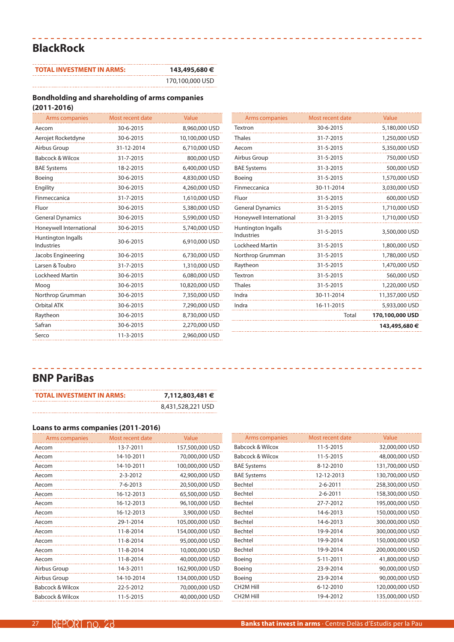# **BlackRock**

| <b>TOTAL INVESTMENT IN ARMS:</b> | 143,495,680 €   |
|----------------------------------|-----------------|
|                                  | 170.100.000 USD |

---------------------------------

#### **Bondholding and shareholding of arms companies (2011-2016)**

|            | Value            |
|------------|------------------|
| 30-6-2015  | 8,960,000 USD    |
| 30-6-2015  | 10,100,000 USD   |
| 31-12-2014 | 6,710,000 USD    |
| 31-7-2015  | 800,000 USD      |
| 18-2-2015  | 6,400,000 USD    |
| 30-6-2015  | 4,830,000 USD    |
| 30-6-2015  | 4,260,000 USD    |
| 31-7-2015  | 1,610,000 USD    |
| 30-6-2015  | 5,380,000 USD    |
| 30-6-2015  | 5,590,000 USD    |
| 30-6-2015  | 5,740,000 USD    |
| 30-6-2015  | 6,910,000 USD    |
| 30-6-2015  | 6,730,000 USD    |
| 31-7-2015  | 1,310,000 USD    |
| 30-6-2015  | 6,080,000 USD    |
| 30-6-2015  | 10,820,000 USD   |
| 30-6-2015  | 7,350,000 USD    |
| 30-6-2015  | 7,290,000 USD    |
| 30-6-2015  | 8,730,000 USD    |
| 30-6-2015  | 2,270,000 USD    |
| 11-3-2015  | 2,960,000 USD    |
|            | Most recent date |

| Arms companies                                 | Most recent date | Value           |
|------------------------------------------------|------------------|-----------------|
| Textron                                        | 30-6-2015        | 5,180,000 USD   |
| <b>Thales</b>                                  | 31-7-2015        | 1,250,000 USD   |
| Aecom                                          | 31-5-2015        | 5,350,000 USD   |
| Airbus Group                                   | 31-5-2015        | 750,000 USD     |
| <b>BAE Systems</b>                             | 31-3-2015        | 500,000 USD     |
| Boeing                                         | 31-5-2015        | 1,570,000 USD   |
| Finmeccanica                                   | 30-11-2014       | 3,030,000 USD   |
| Fluor                                          | 31-5-2015        | 600,000 USD     |
| <b>General Dynamics</b>                        | 31-5-2015        | 1,710,000 USD   |
| Honeywell International                        | 31-3-2015        | 1,710,000 USD   |
| <b>Huntington Ingalls</b><br><b>Industries</b> | 31-5-2015        | 3,500,000 USD   |
| <b>Lockheed Martin</b>                         | 31-5-2015        | 1,800,000 USD   |
| Northrop Grumman                               | 31-5-2015        | 1,780,000 USD   |
| Raytheon                                       | 31-5-2015        | 1,470,000 USD   |
| Textron                                        | 31-5-2015        | 560,000 USD     |
| <b>Thales</b>                                  | 31-5-2015        | 1,220,000 USD   |
| Indra                                          | 30-11-2014       | 11,357,000 USD  |
| Indra                                          | 16-11-2015       | 5,933,000 USD   |
|                                                | Total            | 170,100,000 USD |
|                                                |                  | 143,495,680€    |

## **BNP PariBas**

| <b>TOTAL INVESTMENT IN ARMS:</b> | 7,112,803,481 €   |
|----------------------------------|-------------------|
|                                  | 8,431,528,221 USD |

------------------------------

### **Loans to arms companies (2011-2016)**

| Arms companies              | Most recent date | Value           |
|-----------------------------|------------------|-----------------|
| Aecom                       | 13-7-2011        | 157,500,000 USD |
| Aecom                       | 14-10-2011       | 70,000,000 USD  |
| Aecom                       | 14-10-2011       | 100,000,000 USD |
| Aecom                       | $2 - 3 - 2012$   | 42,900,000 USD  |
| Aecom                       | $7 - 6 - 2013$   | 20,500,000 USD  |
| Aecom                       | 16-12-2013       | 65,500,000 USD  |
| Aecom                       | 16-12-2013       | 96,100,000 USD  |
| Aecom                       | 16-12-2013       | 3,900,000 USD   |
| Aecom                       | 29-1-2014        | 105,000,000 USD |
| Aecom                       | 11-8-2014        | 154,000,000 USD |
| Aecom                       | 11-8-2014        | 95,000,000 USD  |
| Aecom                       | 11-8-2014        | 10,000,000 USD  |
| Aecom                       | 11-8-2014        | 40,000,000 USD  |
| Airbus Group                | 14-3-2011        | 162,900,000 USD |
| Airbus Group                | 14-10-2014       | 134,000,000 USD |
| <b>Babcock &amp; Wilcox</b> | 22-5-2012        | 70,000,000 USD  |
| <b>Babcock &amp; Wilcox</b> | 11-5-2015        | 40,000,000 USD  |

| Arms companies              | Most recent date | Value           |
|-----------------------------|------------------|-----------------|
| Babcock & Wilcox            | 11-5-2015        | 32,000,000 USD  |
| <b>Babcock &amp; Wilcox</b> | 11-5-2015        | 48,000,000 USD  |
| <b>BAE Systems</b>          | 8-12-2010        | 131,700,000 USD |
| <b>BAE Systems</b>          | 12-12-2013       | 130,700,000 USD |
| Bechtel                     | $2 - 6 - 2011$   | 258,300,000 USD |
| Bechtel                     | $2 - 6 - 2011$   | 158,300,000 USD |
| Bechtel                     | 27-7-2012        | 195,000,000 USD |
| Bechtel                     | 14-6-2013        | 150,000,000 USD |
| Bechtel                     | 14-6-2013        | 300,000,000 USD |
| Bechtel                     | 19-9-2014        | 300,000,000 USD |
| Bechtel                     | 19-9-2014        | 150,000,000 USD |
| Bechtel                     | 19-9-2014        | 200,000,000 USD |
| Boeing                      | 5-11-2011        | 41,800,000 USD  |
| Boeing                      | 23-9-2014        | 90,000,000 USD  |
| Boeing                      | 23-9-2014        | 90,000,000 USD  |
| CH <sub>2</sub> M Hill      | 6-12-2010        | 120,000,000 USD |
| <b>CH<sub>2</sub>M</b> Hill | 19-4-2012        | 135,000,000 USD |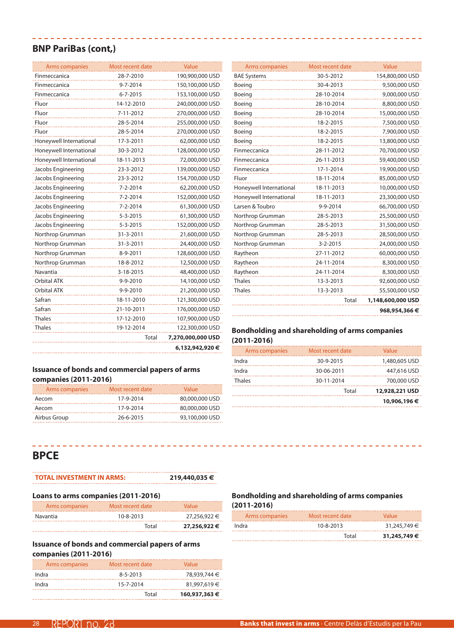### **BNP PariBas (cont,)**

| Arms companies          | Most recent date | Value             |
|-------------------------|------------------|-------------------|
| Finmeccanica            | 28-7-2010        | 190,900,000 USD   |
| Finmeccanica            | 9-7-2014         | 150,100,000 USD   |
| Finmeccanica            | 6-7-2015         | 153,100,000 USD   |
| Fluor                   | 14-12-2010       | 240,000,000 USD   |
| Fluor                   | 7-11-2012        | 270,000,000 USD   |
| Fluor                   | 28-5-2014        | 255,000,000 USD   |
| Fluor                   | 28-5-2014        | 270,000,000 USD   |
| Honeywell International | 17-3-2011        | 62,000,000 USD    |
| Honeywell International | 30-3-2012        | 128,000,000 USD   |
| Honeywell International | 18-11-2013       | 72,000,000 USD    |
| Jacobs Engineering      | 23-3-2012        | 139,000,000 USD   |
| Jacobs Engineering      | 23-3-2012        | 154,700,000 USD   |
| Jacobs Engineering      | 7-2-2014         | 62,200,000 USD    |
| Jacobs Engineering      | 7-2-2014         | 152,000,000 USD   |
| Jacobs Engineering      | 7-2-2014         | 61,300,000 USD    |
| Jacobs Engineering      | $5 - 3 - 2015$   | 61,300,000 USD    |
| Jacobs Engineering      | 5-3-2015         | 152,000,000 USD   |
| Northrop Grumman        | 31-3-2011        | 21,600,000 USD    |
| Northrop Grumman        | 31-3-2011        | 24,400,000 USD    |
| Northrop Grumman        | 8-9-2011         | 128,600,000 USD   |
| Northrop Grumman        | 18-8-2012        | 12,500,000 USD    |
| Navantia                | 3-18-2015        | 48,400,000 USD    |
| Orbital ATK             | 9-9-2010         | 14,100,000 USD    |
| <b>Orbital ATK</b>      | 9-9-2010         | 21,200,000 USD    |
| Safran                  | 18-11-2010       | 121,300,000 USD   |
| Safran                  | 21-10-2011       | 176,000,000 USD   |
| <b>Thales</b>           | 17-12-2010       | 107,900,000 USD   |
| <b>Thales</b>           | 19-12-2014       | 122,300,000 USD   |
|                         | Total            | 7,270,000,000 USD |
|                         |                  | 6,132,942,920€    |
|                         |                  |                   |

\_\_\_\_\_\_\_\_\_\_\_\_\_\_\_\_\_\_\_\_\_\_\_\_\_

| <b>Issuance of bonds and commercial papers of arms</b> |
|--------------------------------------------------------|
| companies (2011-2016)                                  |

| Arms companies | Most recent date | Value          |
|----------------|------------------|----------------|
| Aecom          | 17-9-2014        | 80,000,000 USD |
| Aecom          | 17-9-2014        | 80,000,000 USD |
| Airbus Group   | 26-6-2015        | 93,100,000 USD |

| <b>Arms companies</b>   | Most recent date | Value             |
|-------------------------|------------------|-------------------|
| <b>BAE Systems</b>      | 30-5-2012        | 154,800,000 USD   |
| Boeing                  | 30-4-2013        | 9,500,000 USD     |
| Boeing                  | 28-10-2014       | 9,000,000 USD     |
| Boeing                  | 28-10-2014       | 8,800,000 USD     |
| Boeing                  | 28-10-2014       | 15,000,000 USD    |
| Boeing                  | 18-2-2015        | 7,500,000 USD     |
| Boeing                  | 18-2-2015        | 7,900,000 USD     |
| Boeing                  | 18-2-2015        | 13,800,000 USD    |
| Finmeccanica            | 28-11-2012       | 70,700,000 USD    |
| Finmeccanica            | 26-11-2013       | 59,400,000 USD    |
| Finmeccanica            | 17-1-2014        | 19,900,000 USD    |
| Fluor                   | 18-11-2014       | 85,000,000 USD    |
| Honeywell International | 18-11-2013       | 10,000,000 USD    |
| Honeywell International | 18-11-2013       | 23,300,000 USD    |
| Larsen & Toubro         | 9-9-2014         | 66,700,000 USD    |
| Northrop Grumman        | 28-5-2013        | 25,500,000 USD    |
| Northrop Grumman        | 28-5-2013        | 31,500,000 USD    |
| Northrop Grumman        | 28-5-2013        | 28,500,000 USD    |
| Northrop Grumman        | 3-2-2015         | 24,000,000 USD    |
| Raytheon                | 27-11-2012       | 60,000,000 USD    |
| Raytheon                | 24-11-2014       | 8,300,000 USD     |
| Raytheon                | 24-11-2014       | 8,300,000 USD     |
| <b>Thales</b>           | 13-3-2013        | 92,600,000 USD    |
| <b>Thales</b>           | 13-3-2013        | 55,500,000 USD    |
|                         | Total            | 1,148,600,000 USD |
|                         |                  | 968,954,366 €     |
|                         |                  |                   |

### **Bondholding and shareholding of arms companies (2011-2016)**

| Arms companies | Most recent date | Value          |
|----------------|------------------|----------------|
| Indra          | 30-9-2015        | 1,480,605 USD  |
| Indra          | 30-06-2011       | 447,616 USD    |
| <b>Thales</b>  | 30-11-2014       | 700,000 USD    |
|                | Total            | 12,928,221 USD |
|                |                  | 10,906,196 €   |
|                |                  |                |

# **BPCE**

# **TOTAL INVESTMENT IN ARMS: 219,440,035 €**

Total **27,256,922 €**

| Loans to arms companies (2011-2016) |                  |              |
|-------------------------------------|------------------|--------------|
| Arms companies                      | Most recent date | Value        |
| Navantia                            | $10 - 8 - 2013$  | 27,256,922 € |
|                                     | $T_{n+1}$        | 27.256.022   |

### **Issuance of bonds and commercial papers of arms companies (2011-2016)**

| Arms companies | Most recent date | Value         |
|----------------|------------------|---------------|
| Indra          | $8 - 5 - 2013$   | 78,939,744 €  |
| Indra          | 15-7-2014        | 81,997,619 €  |
|                | Total            | 160,937,363 € |

| Arms companies | Most recent date | Value        |
|----------------|------------------|--------------|
| Indra          | $10 - 8 - 2013$  | 31,245,749 € |
|                | Total            | 31,245,749€  |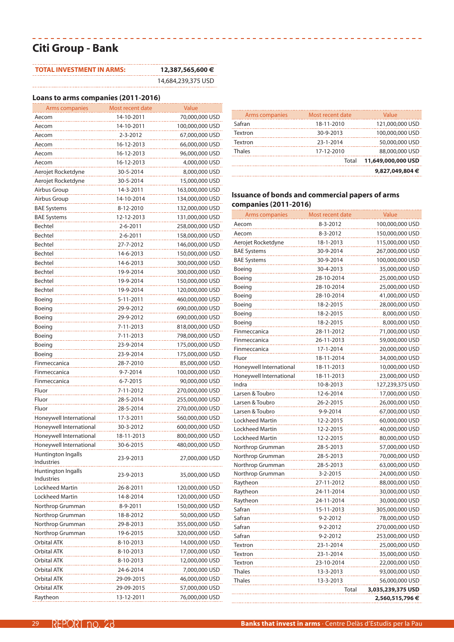# **Citi Group - Bank**

| <b>TOTAL INVESTMENT IN ARMS:</b> | 12,387,565,600 €   |
|----------------------------------|--------------------|
|                                  | 14,684,239,375 USD |

----------------

### **Loans to arms companies (2011-2016)**

| Arms companies                   | Most recent date | Value           |
|----------------------------------|------------------|-----------------|
| Aecom                            | 14-10-2011       | 70,000,000 USD  |
| Aecom                            | 14-10-2011       | 100,000,000 USD |
| Aecom                            | 2-3-2012         | 67,000,000 USD  |
| Aecom                            | 16-12-2013       | 66,000,000 USD  |
| Aecom                            | 16-12-2013       | 96,000,000 USD  |
| Aecom                            | 16-12-2013       | 4,000,000 USD   |
| Aerojet Rocketdyne               | 30-5-2014        | 8,000,000 USD   |
| Aerojet Rocketdyne               | 30-5-2014        | 15,000,000 USD  |
| Airbus Group                     | 14-3-2011        | 163,000,000 USD |
| Airbus Group                     | 14-10-2014       | 134,000,000 USD |
| <b>BAE Systems</b>               | 8-12-2010        | 132,000,000 USD |
| <b>BAE Systems</b>               | 12-12-2013       | 131,000,000 USD |
| Bechtel                          | 2-6-2011         | 258,000,000 USD |
| Bechtel                          | 2-6-2011         | 158,000,000 USD |
| Bechtel                          | 27-7-2012        | 146,000,000 USD |
| Bechtel                          | 14-6-2013        | 150,000,000 USD |
| Bechtel                          | 14-6-2013        | 300,000,000 USD |
| Bechtel                          | 19-9-2014        | 300,000,000 USD |
| Bechtel                          | 19-9-2014        | 150,000,000 USD |
| Bechtel                          | 19-9-2014        | 120,000,000 USD |
| Boeing                           | 5-11-2011        |                 |
|                                  |                  | 460,000,000 USD |
| Boeing                           | 29-9-2012        | 690,000,000 USD |
| Boeing                           | 29-9-2012        | 690,000,000 USD |
| Boeing                           | 7-11-2013        | 818,000,000 USD |
| Boeing                           | 7-11-2013        | 798,000,000 USD |
| Boeing                           | 23-9-2014        | 175,000,000 USD |
| Boeing                           | 23-9-2014        | 175,000,000 USD |
| Finmeccanica                     | 28-7-2010        | 85,000,000 USD  |
| Finmeccanica                     | 9-7-2014         | 100,000,000 USD |
| Finmeccanica                     | $6 - 7 - 2015$   | 90,000,000 USD  |
| Fluor                            | 7-11-2012        | 270,000,000 USD |
| Fluor                            | 28-5-2014        | 255,000,000 USD |
| Fluor                            | 28-5-2014        | 270,000,000 USD |
| Honeywell International          | 17-3-2011        | 560,000,000 USD |
| Honeywell International          | 30-3-2012        | 600,000,000 USD |
| Honeywell International          | 18-11-2013       | 800,000,000 USD |
| Honeywell International          | 30-6-2015        | 480,000,000 USD |
| Huntington Ingalls               | 23-9-2013        | 27,000,000 USD  |
| Industries                       |                  |                 |
| Huntington Ingalls<br>Industries | 23-9-2013        | 35,000,000 USD  |
| Lockheed Martin                  | 26-8-2011        | 120,000,000 USD |
| Lockheed Martin                  | 14-8-2014        | 120,000,000 USD |
| Northrop Grumman                 | 8-9-2011         | 150,000,000 USD |
| Northrop Grumman                 | 18-8-2012        | 50,000,000 USD  |
| Northrop Grumman                 | 29-8-2013        | 355,000,000 USD |
| Northrop Grumman                 | 19-6-2015        | 320,000,000 USD |
| <b>Orbital ATK</b>               | 8-10-2013        | 14,000,000 USD  |
| Orbital ATK                      | 8-10-2013        | 17,000,000 USD  |
| Orbital ATK                      | 8-10-2013        | 12,000,000 USD  |
| Orbital ATK                      | 24-6-2014        | 7,000,000 USD   |
| Orbital ATK                      | 29-09-2015       | 46,000,000 USD  |
| Orbital ATK                      | 29-09-2015       | 57,000,000 USD  |
| Raytheon                         | 13-12-2011       | 76,000,000 USD  |

| Arms companies | Most recent date | Value              |
|----------------|------------------|--------------------|
| Safran         | 18-11-2010       | 121,000,000 USD    |
| Textron        | 30-9-2013        | 100,000,000 USD    |
| Textron        | 23-1-2014        | 50,000,000 USD     |
| Thales         | 17-12-2010       | 88,000,000 USD     |
|                | Total            | 11,649,000,000 USD |
|                |                  | 9,827,049,804 €    |

### **Issuance of bonds and commercial papers of arms companies (2011-2016)**

| Arms companies          | Most recent date | Value             |
|-------------------------|------------------|-------------------|
| Aecom                   | 8-3-2012         | 100,000,000 USD   |
| Aecom                   | 8-3-2012         | 150,000,000 USD   |
| Aerojet Rocketdyne      | 18-1-2013        | 115,000,000 USD   |
| <b>BAE Systems</b>      | 30-9-2014        | 267,000,000 USD   |
| <b>BAE Systems</b>      | 30-9-2014        | 100,000,000 USD   |
| Boeing                  | 30-4-2013        | 35,000,000 USD    |
| Boeing                  | 28-10-2014       | 25,000,000 USD    |
| Boeing                  | 28-10-2014       | 25,000,000 USD    |
| Boeing                  | 28-10-2014       | 41,000,000 USD    |
| Boeing                  | 18-2-2015        | 28,000,000 USD    |
| Boeing                  | 18-2-2015        | 8,000,000 USD     |
| Boeing                  | 18-2-2015        | 8,000,000 USD     |
| Finmeccanica            | 28-11-2012       | 71,000,000 USD    |
| Finmeccanica            | 26-11-2013       | 59,000,000 USD    |
| Finmeccanica            | 17-1-2014        | 20,000,000 USD    |
| Fluor                   | 18-11-2014       | 34,000,000 USD    |
| Honeywell International | 18-11-2013       | 10,000,000 USD    |
| Honeywell International | 18-11-2013       | 23,000,000 USD    |
| Indra                   | 10-8-2013        | 127,239,375 USD   |
| Larsen & Toubro         | 12-6-2014        | 17,000,000 USD    |
| Larsen & Toubro         | 26-2-2015        | 26,000,000 USD    |
| Larsen & Toubro         | 9-9-2014         | 67,000,000 USD    |
| <b>Lockheed Martin</b>  | 12-2-2015        | 60,000,000 USD    |
| <b>Lockheed Martin</b>  | 12-2-2015        | 40,000,000 USD    |
| <b>Lockheed Martin</b>  | 12-2-2015        | 80,000,000 USD    |
| Northrop Grumman        | 28-5-2013        | 57,000,000 USD    |
| Northrop Grumman        | 28-5-2013        | 70,000,000 USD    |
| Northrop Grumman        | 28-5-2013        | 63,000,000 USD    |
| Northrop Grumman        | 3-2-2015         | 24,000,000 USD    |
| Raytheon                | 27-11-2012       | 88,000,000 USD    |
| Raytheon                | 24-11-2014       | 30,000,000 USD    |
| Raytheon                | 24-11-2014       | 30,000,000 USD    |
| Safran                  | 15-11-2013       | 305,000,000 USD   |
| Safran                  | 9-2-2012         | 78,000,000 USD    |
| Safran                  | $9 - 2 - 2012$   | 270,000,000 USD   |
| Safran                  | $9 - 2 - 2012$   | 253,000,000 USD   |
| <b>Textron</b>          | 23-1-2014        | 25,000,000 USD    |
| <b>Textron</b>          | 23-1-2014        | 35,000,000 USD    |
| Textron                 | 23-10-2014       | 22,000,000 USD    |
| <b>Thales</b>           | 13-3-2013        | 93,000,000 USD    |
| <b>Thales</b>           | 13-3-2013        | 56,000,000 USD    |
|                         | Total            | 3,035,239,375 USD |
|                         |                  | 2,560,515,796 €   |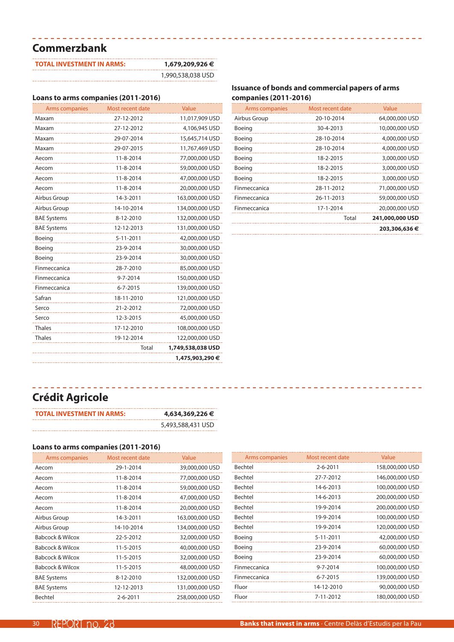# **Commerzbank**

| <b>TOTAL INVESTMENT IN ARMS:</b> | 1,679,209,926 €   |
|----------------------------------|-------------------|
|                                  | 1,990,538,038 USD |

\_\_\_\_\_\_\_\_\_\_\_\_\_\_\_\_\_\_\_\_\_\_

# **Loans to arms companies (2011-2016)**

| Arms companies     | Most recent date | Value             |
|--------------------|------------------|-------------------|
| Maxam              | 27-12-2012       | 11,017,909 USD    |
| Maxam              | 27-12-2012       | 4,106,945 USD     |
| Maxam              | 29-07-2014       | 15,645,714 USD    |
| Maxam              | 29-07-2015       | 11,767,469 USD    |
| Aecom              | 11-8-2014        | 77,000,000 USD    |
| Aecom              | 11-8-2014        | 59,000,000 USD    |
| Aecom              | 11-8-2014        | 47,000,000 USD    |
| Aecom              | 11-8-2014        | 20,000,000 USD    |
| Airbus Group       | 14-3-2011        | 163,000,000 USD   |
| Airbus Group       | 14-10-2014       | 134,000,000 USD   |
| <b>BAE Systems</b> | 8-12-2010        | 132,000,000 USD   |
| <b>BAE Systems</b> | 12-12-2013       | 131,000,000 USD   |
| Boeing             | 5-11-2011        | 42,000,000 USD    |
| Boeing             | 23-9-2014        | 30,000,000 USD    |
| Boeing             | 23-9-2014        | 30,000,000 USD    |
| Finmeccanica       | 28-7-2010        | 85,000,000 USD    |
| Finmeccanica       | $9 - 7 - 2014$   | 150,000,000 USD   |
| Finmeccanica       | $6 - 7 - 2015$   | 139,000,000 USD   |
| Safran             | 18-11-2010       | 121,000,000 USD   |
| Serco              | 21-2-2012        | 72,000,000 USD    |
| Serco              | 12-3-2015        | 45,000,000 USD    |
| <b>Thales</b>      | 17-12-2010       | 108,000,000 USD   |
| <b>Thales</b>      | 19-12-2014       | 122,000,000 USD   |
|                    | Total            | 1,749,538,038 USD |
|                    |                  | 1,475,903,290 €   |

### **Issuance of bonds and commercial papers of arms companies (2011-2016)**

| Arms companies | Most recent date | Value           |
|----------------|------------------|-----------------|
| Airbus Group   | 20-10-2014       | 64,000,000 USD  |
| Boeing         | 30-4-2013        | 10,000,000 USD  |
| Boeing         | 28-10-2014       | 4,000,000 USD   |
| Boeing         | 28-10-2014       | 4,000,000 USD   |
| Boeing         | 18-2-2015        | 3,000,000 USD   |
| Boeing         | 18-2-2015        | 3,000,000 USD   |
| Boeing         | 18-2-2015        | 3,000,000 USD   |
| Finmeccanica   | 28-11-2012       | 71,000,000 USD  |
| Finmeccanica   | 26-11-2013       | 59,000,000 USD  |
| Finmeccanica   | 17-1-2014        | 20,000,000 USD  |
|                | Total            | 241,000,000 USD |
|                |                  | 203,306,636 €   |

# **Crédit Agricole**

| TOTAL INVESTMENT IN ARMS: | 4,634,369,226 €   |
|---------------------------|-------------------|
|                           | 5,493,588,431 USD |

### **Loans to arms companies (2011-2016)**

| Arms companies              | Most recent date | Value           |
|-----------------------------|------------------|-----------------|
| Aecom                       | 29-1-2014        | 39,000,000 USD  |
| Aecom                       | 11-8-2014        | 77,000,000 USD  |
| Aecom                       | 11-8-2014        | 59,000,000 USD  |
| Aecom                       | 11-8-2014        | 47,000,000 USD  |
| Aecom                       | 11-8-2014        | 20,000,000 USD  |
| Airbus Group                | 14-3-2011        | 163,000,000 USD |
| Airbus Group                | 14-10-2014       | 134,000,000 USD |
| <b>Babcock &amp; Wilcox</b> | 22-5-2012        | 32,000,000 USD  |
| <b>Babcock &amp; Wilcox</b> | 11-5-2015        | 40,000,000 USD  |
| <b>Babcock &amp; Wilcox</b> | 11-5-2015        | 32,000,000 USD  |
| Babcock & Wilcox            | 11-5-2015        | 48,000,000 USD  |
| <b>BAE Systems</b>          | 8-12-2010        | 132,000,000 USD |
| <b>BAE Systems</b>          | 12-12-2013       | 131,000,000 USD |
| Bechtel                     | $2 - 6 - 2011$   | 258,000,000 USD |

| Arms companies | Most recent date | Value           |
|----------------|------------------|-----------------|
| Bechtel        | $2 - 6 - 2011$   | 158,000,000 USD |
| Bechtel        | 27-7-2012        | 146,000,000 USD |
| <b>Bechtel</b> | 14-6-2013        | 100,000,000 USD |
| Bechtel        | 14-6-2013        | 200,000,000 USD |
| <b>Bechtel</b> | 19-9-2014        | 200,000,000 USD |
| Bechtel        | 19-9-2014        | 100,000,000 USD |
| Bechtel        | 19-9-2014        | 120,000,000 USD |
| Boeing         | 5-11-2011        | 42,000,000 USD  |
| Boeing         | 23-9-2014        | 60,000,000 USD  |
| Boeing         | 23-9-2014        | 60,000,000 USD  |
| Finmeccanica   | $9 - 7 - 2014$   | 100,000,000 USD |
| Finmeccanica   | $6 - 7 - 2015$   | 139,000,000 USD |
| Fluor          | 14-12-2010       | 90,000,000 USD  |
| Fluor          | 7-11-2012        | 180,000,000 USD |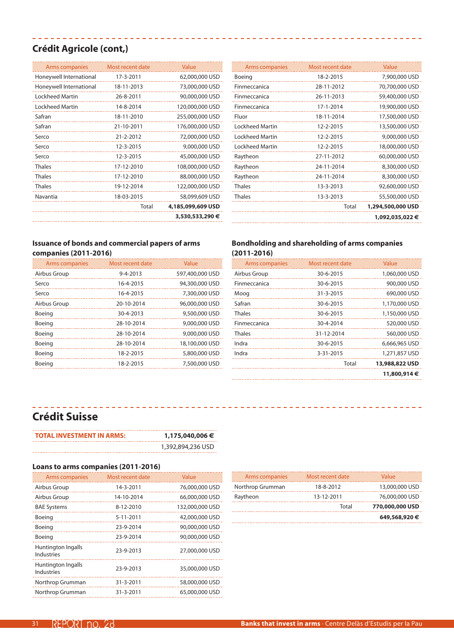### **Crédit Agricole (cont,)**

| Arms companies          | Most recent date | Value             |
|-------------------------|------------------|-------------------|
| Honeywell International | 17-3-2011        | 62,000,000 USD    |
| Honeywell International | 18-11-2013       | 73,000,000 USD    |
| Lockheed Martin         | 26-8-2011        | 90,000,000 USD    |
| Lockheed Martin         | 14-8-2014        | 120,000,000 USD   |
| Safran                  | 18-11-2010       | 255,000,000 USD   |
| Safran                  | 21-10-2011       | 176,000,000 USD   |
| Serco                   | 21-2-2012        | 72,000,000 USD    |
| Serco                   | 12-3-2015        | 9,000,000 USD     |
| Serco                   | 12-3-2015        | 45,000,000 USD    |
| <b>Thales</b>           | 17-12-2010       | 108,000,000 USD   |
| <b>Thales</b>           | 17-12-2010       | 88,000,000 USD    |
| <b>Thales</b>           | 19-12-2014       | 122,000,000 USD   |
| Navantia                | 18-03-2015       | 58,099,609 USD    |
|                         | Total            | 4,185,099,609 USD |
|                         |                  | 3,530,533,290 €   |

,,,,,,,,,,,,,,,,,,,,,,,,,,

\_\_\_\_\_\_\_\_\_\_\_\_\_\_\_\_\_\_

| Arms companies         | Most recent date | Value             |
|------------------------|------------------|-------------------|
| Boeing                 | 18-2-2015        | 7,900,000 USD     |
| Finmeccanica           | 28-11-2012       | 70,700,000 USD    |
| Finmeccanica           | 26-11-2013       | 59,400,000 USD    |
| Finmeccanica           | 17-1-2014        | 19,900,000 USD    |
| Fluor                  | 18-11-2014       | 17,500,000 USD    |
| Lockheed Martin        | 12-2-2015        | 13,500,000 USD    |
| Lockheed Martin        | 12-2-2015        | 9,000,000 USD     |
| <b>Lockheed Martin</b> | 12-2-2015        | 18,000,000 USD    |
| Raytheon               | 27-11-2012       | 60,000,000 USD    |
| Raytheon               | 24-11-2014       | 8,300,000 USD     |
| Raytheon               | 24-11-2014       | 8,300,000 USD     |
| <b>Thales</b>          | 13-3-2013        | 92,600,000 USD    |
| <b>Thales</b>          | 13-3-2013        | 55,500,000 USD    |
|                        | <b>Total</b>     | 1,294,500,000 USD |
|                        |                  | 1,092,035,022 €   |
|                        |                  |                   |

Arms companies Most recent date Value

------------

#### **Issuance of bonds and commercial papers of arms companies (2011-2016)**

| Arms companies | Most recent date | Value           |
|----------------|------------------|-----------------|
| Airbus Group   | $9 - 4 - 2013$   | 597,400,000 USD |
| Serco          | 16-4-2015        | 94,300,000 USD  |
| Serco          | 16-4-2015        | 7,300,000 USD   |
| Airbus Group   | 20-10-2014       | 96,000,000 USD  |
| Boeing         | 30-4-2013        | 9,500,000 USD   |
| Boeing         | 28-10-2014       | 9,000,000 USD   |
| Boeing         | 28-10-2014       | 9,000,000 USD   |
| Boeing         | 28-10-2014       | 18,100,000 USD  |
| Boeing         | 18-2-2015        | 5,800,000 USD   |
| Boeing         | 18-2-2015        | 7,500,000 USD   |

### **Bondholding and shareholding of arms companies (2011-2016)**

| Arms companies      | Most recent date | Value          |
|---------------------|------------------|----------------|
| Airbus Group        | 30-6-2015        | 1,060,000 USD  |
| Finmeccanica        | 30-6-2015        | 900,000 USD    |
| Moog                | 31-3-2015        | 690,000 USD    |
| Safran              | 30-6-2015        | 1,170,000 USD  |
| <b>Thales</b>       | 30-6-2015        | 1,150,000 USD  |
| <b>Finmeccanica</b> | 30-4-2014        | 520,000 USD    |
| <b>Thales</b>       | 31-12-2014       | 560,000 USD    |
| Indra               | 30-6-2015        | 6,666,965 USD  |
| Indra               | 3-31-2015        | 1,271,857 USD  |
|                     | Total            | 13,988,822 USD |
|                     |                  | 11,800,914€    |

# **Crédit Suisse**

| <b>TOTAL INVESTMENT IN ARMS:</b> | 1,175,040,006 €   |
|----------------------------------|-------------------|
|                                  | 1,392,894,236 USD |

### **Loans to arms companies (2011-2016)**

| Arms companies                          | Most recent date | Value           |
|-----------------------------------------|------------------|-----------------|
| Airbus Group                            | 14-3-2011        | 76,000,000 USD  |
| Airbus Group                            | 14-10-2014       | 66,000,000 USD  |
| <b>BAE Systems</b>                      | 8-12-2010        | 132,000,000 USD |
| Boeing                                  | 5-11-2011        | 42,000,000 USD  |
| Boeing                                  | 23-9-2014        | 90,000,000 USD  |
| Boeing                                  | 23-9-2014        | 90,000,000 USD  |
| Huntington Ingalls<br><b>Industries</b> | 23-9-2013        | 27,000,000 USD  |
| Huntington Ingalls<br><b>Industries</b> | 23-9-2013        | 35,000,000 USD  |
| Northrop Grumman                        | 31-3-2011        | 58,000,000 USD  |
| Northrop Grumman                        | 31-3-2011        | 65,000,000 USD  |

| Arms companies   | Most recent date | Value           |
|------------------|------------------|-----------------|
| Northrop Grumman | 18-8-2012        | 13,000,000 USD  |
| Raytheon         | 13-12-2011       | 76,000,000 USD  |
|                  | Total            | 770,000,000 USD |
|                  |                  | 649,568,920 €   |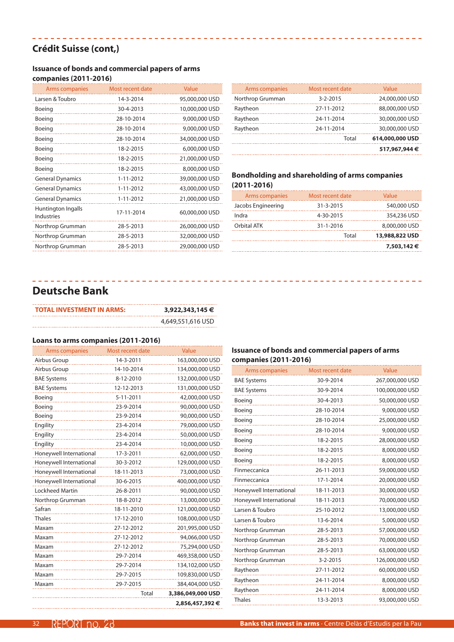### **Crédit Suisse (cont,)**

### **Issuance of bonds and commercial papers of arms**

-----------------------------

### **companies (2011-2016)**

| Arms companies                          | Most recent date | Value          |
|-----------------------------------------|------------------|----------------|
| Larsen & Toubro                         | 14-3-2014        | 95,000,000 USD |
| Boeing                                  | 30-4-2013        | 10,000,000 USD |
| Boeing                                  | 28-10-2014       | 9,000,000 USD  |
| Boeing                                  | 28-10-2014       | 9,000,000 USD  |
| Boeing                                  | 28-10-2014       | 34,000,000 USD |
| Boeing                                  | 18-2-2015        | 6,000,000 USD  |
| Boeing                                  | 18-2-2015        | 21,000,000 USD |
| Boeing                                  | 18-2-2015        | 8,000,000 USD  |
| <b>General Dynamics</b>                 | $1 - 11 - 2012$  | 39,000,000 USD |
| <b>General Dynamics</b>                 | $1 - 11 - 2012$  | 43,000,000 USD |
| <b>General Dynamics</b>                 | $1 - 11 - 2012$  | 21,000,000 USD |
| Huntington Ingalls<br><b>Industries</b> | 17-11-2014       | 60,000,000 USD |
| Northrop Grumman                        | 28-5-2013        | 26,000,000 USD |
| Northrop Grumman                        | 28-5-2013        | 32,000,000 USD |
| Northrop Grumman                        | 28-5-2013        | 29,000,000 USD |
|                                         |                  |                |

|                  |                  | 517,967,944 €   |
|------------------|------------------|-----------------|
|                  | Total            | 614,000,000 USD |
| Raytheon         | 24-11-2014       | 30,000,000 USD  |
| Raytheon         | 24-11-2014       | 30,000,000 USD  |
| Raytheon         | 27-11-2012       | 88,000,000 USD  |
| Northrop Grumman | $3 - 2 - 2015$   | 24,000,000 USD  |
| Arms companies   | Most recent date | Value           |

#### **Bondholding and shareholding of arms companies (2011-2016)**

| Arms companies     | Most recent date | Value          |
|--------------------|------------------|----------------|
| Jacobs Engineering | 31-3-2015        | 540,000 USD    |
| Indra              | 4-30-2015        | 354,236 USD    |
| Orbital ATK        | 31-1-2016        | 8,000,000 USD  |
|                    | Total            | 13,988,822 USD |
|                    |                  | 7,503,142€     |

### **Deutsche Bank**

| 3,922,343,145 €   |
|-------------------|
| 4,649,551,616 USD |
|                   |

#### **Loans to arms companies (2011-2016)**

| Arms companies          | Most recent date | Value             |
|-------------------------|------------------|-------------------|
| Airbus Group            | 14-3-2011        | 163,000,000 USD   |
| Airbus Group            | 14-10-2014       | 134,000,000 USD   |
| <b>BAE Systems</b>      | 8-12-2010        | 132,000,000 USD   |
| <b>BAE Systems</b>      | 12-12-2013       | 131,000,000 USD   |
| Boeing                  | 5-11-2011        | 42,000,000 USD    |
| Boeing                  | 23-9-2014        | 90,000,000 USD    |
| Boeing                  | 23-9-2014        | 90,000,000 USD    |
| Engility                | 23-4-2014        | 79,000,000 USD    |
| Engility                | 23-4-2014        | 50,000,000 USD    |
| Engility                | 23-4-2014        | 10,000,000 USD    |
| Honeywell International | 17-3-2011        | 62,000,000 USD    |
| Honeywell International | 30-3-2012        | 129,000,000 USD   |
| Honeywell International | 18-11-2013       | 73,000,000 USD    |
| Honeywell International | 30-6-2015        | 400,000,000 USD   |
| <b>Lockheed Martin</b>  | 26-8-2011        | 90,000,000 USD    |
| Northrop Grumman        | 18-8-2012        | 13,000,000 USD    |
| Safran                  | 18-11-2010       | 121,000,000 USD   |
| <b>Thales</b>           | 17-12-2010       | 108,000,000 USD   |
| Maxam                   | 27-12-2012       | 201,995,000 USD   |
| Maxam                   | 27-12-2012       | 94,066,000 USD    |
| Maxam                   | 27-12-2012       | 75,294,000 USD    |
| Maxam                   | 29-7-2014        | 469,358,000 USD   |
| Maxam                   | 29-7-2014        | 134,102,000 USD   |
| Maxam                   | 29-7-2015        | 109,830,000 USD   |
| Maxam                   | 29-7-2015        | 384,404,000 USD   |
|                         | Total            | 3,386,049,000 USD |
|                         |                  | 2,856,457,392 €   |

### **Issuance of bonds and commercial papers of arms companies (2011-2016)**

| Arms companies          | Most recent date | Value           |
|-------------------------|------------------|-----------------|
| <b>BAE Systems</b>      | 30-9-2014        | 267,000,000 USD |
| <b>BAE Systems</b>      | 30-9-2014        | 100,000,000 USD |
| Boeing                  | 30-4-2013        | 50,000,000 USD  |
| Boeing                  | 28-10-2014       | 9,000,000 USD   |
| Boeing                  | 28-10-2014       | 25,000,000 USD  |
| Boeing                  | 28-10-2014       | 9,000,000 USD   |
| Boeing                  | 18-2-2015        | 28,000,000 USD  |
| Boeing                  | 18-2-2015        | 8,000,000 USD   |
| Boeing                  | 18-2-2015        | 8,000,000 USD   |
| Finmeccanica            | 26-11-2013       | 59,000,000 USD  |
| Finmeccanica            | 17-1-2014        | 20,000,000 USD  |
| Honeywell International | 18-11-2013       | 30,000,000 USD  |
| Honeywell International | 18-11-2013       | 70,000,000 USD  |
| Larsen & Toubro         | 25-10-2012       | 13,000,000 USD  |
| Larsen & Toubro         | 13-6-2014        | 5,000,000 USD   |
| Northrop Grumman        | 28-5-2013        | 57,000,000 USD  |
| Northrop Grumman        | 28-5-2013        | 70,000,000 USD  |
| Northrop Grumman        | 28-5-2013        | 63,000,000 USD  |
| Northrop Grumman        | $3 - 2 - 2015$   | 126,000,000 USD |
| Raytheon                | 27-11-2012       | 60,000,000 USD  |
| Raytheon                | 24-11-2014       | 8,000,000 USD   |
| Raytheon                | 24-11-2014       | 8,000,000 USD   |
| <b>Thales</b>           | 13-3-2013        | 93,000,000 USD  |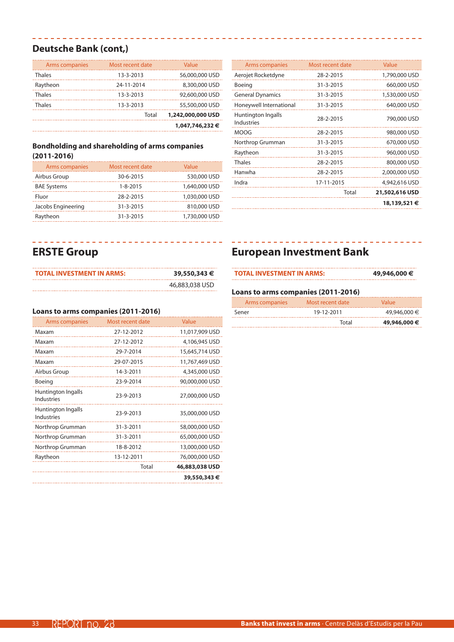### **Deutsche Bank (cont,)**

| Arms companies | Most recent date | Value             |
|----------------|------------------|-------------------|
| Thales         | 13-3-2013        | 56,000,000 USD    |
| Raytheon       | 24-11-2014       | 8,300,000 USD     |
| <b>Thales</b>  | 13-3-2013        | 92,600,000 USD    |
| Thales         | 13-3-2013        | 55,500,000 USD    |
|                | Total            | 1,242,000,000 USD |
|                |                  | 1,047,746,232 €   |

### **Bondholding and shareholding of arms companies (2011-2016)**

| Arms companies     | Most recent date | Value         |
|--------------------|------------------|---------------|
| Airbus Group       | 30-6-2015        | 530,000 USD   |
| <b>BAE Systems</b> | $1 - 8 - 2015$   | 1,640,000 USD |
| Fluor              | 28-2-2015        | 1,030,000 USD |
| Jacobs Engineering | 31-3-2015        | 810,000 USD   |
| Raytheon           | 31-3-2015        | 1,730,000 USD |

 $\mathcal{L}^{\mathcal{A}}\left( \mathcal{A}^{\mathcal{A}}\right) =\mathcal{L}^{\mathcal{A}}\left( \mathcal{A}^{\mathcal{A}}\right) =\mathcal{L}^{\mathcal{A}}\left( \mathcal{A}^{\mathcal{A}}\right)$ 

 $\begin{array}{cccccccccccccc} \bot & \bot & \bot & \bot & \bot & \bot & \bot & \bot \end{array}$ 

........

| Arms companies                          | Most recent date | Value          |
|-----------------------------------------|------------------|----------------|
| Aerojet Rocketdyne                      | 28-2-2015        | 1,790,000 USD  |
| Boeing                                  | 31-3-2015        | 660,000 USD    |
| <b>General Dynamics</b>                 | 31-3-2015        | 1,530,000 USD  |
| Honeywell International                 | 31-3-2015        | 640,000 USD    |
| Huntington Ingalls<br><b>Industries</b> | 28-2-2015        | 790,000 USD    |
| <b>MOOG</b>                             | 28-2-2015        | 980,000 USD    |
| Northrop Grumman                        | 31-3-2015        | 670,000 USD    |
| Raytheon                                | 31-3-2015        | 960,000 USD    |
| <b>Thales</b>                           | 28-2-2015        | 800,000 USD    |
| Hanwha                                  | 28-2-2015        | 2,000,000 USD  |
| Indra                                   | 17-11-2015       | 4,942,616 USD  |
|                                         | Total            | 21,502,616 USD |
|                                         |                  | 18,139,521 €   |

--------------------------

# **ERSTE Group**

| <b>TOTAL INVESTMENT IN ARMS:</b> | 39,550,343 €   |
|----------------------------------|----------------|
|                                  | 46,883,038 USD |

# **European Investment Bank**

# **Loans to arms companies (2011-2016)**

| Arms companies | Most recent date | Value        |
|----------------|------------------|--------------|
| Sener          | 19-12-2011       | 49,946,000 € |
|                | Total            | 49,946,000 € |

**TOTAL INVESTMENT IN ARMS: 49,946,000 €**

### **Loans to arms companies (2011-2016)**

| Arms companies                          | Most recent date | Value          |
|-----------------------------------------|------------------|----------------|
| Maxam                                   | 27-12-2012       | 11,017,909 USD |
| Maxam                                   | 27-12-2012       | 4,106,945 USD  |
| Maxam                                   | 29-7-2014        | 15,645,714 USD |
| Maxam                                   | 29-07-2015       | 11,767,469 USD |
| Airbus Group                            | 14-3-2011        | 4,345,000 USD  |
| Boeing                                  | 23-9-2014        | 90,000,000 USD |
| Huntington Ingalls<br><b>Industries</b> | 23-9-2013        | 27,000,000 USD |
| Huntington Ingalls<br><b>Industries</b> | 23-9-2013        | 35,000,000 USD |
| Northrop Grumman                        | 31-3-2011        | 58,000,000 USD |
| Northrop Grumman                        | 31-3-2011        | 65,000,000 USD |
| Northrop Grumman                        | 18-8-2012        | 13,000,000 USD |
| Raytheon                                | 13-12-2011       | 76,000,000 USD |
|                                         | Total            | 46,883,038 USD |
|                                         |                  | 39,550,343 €   |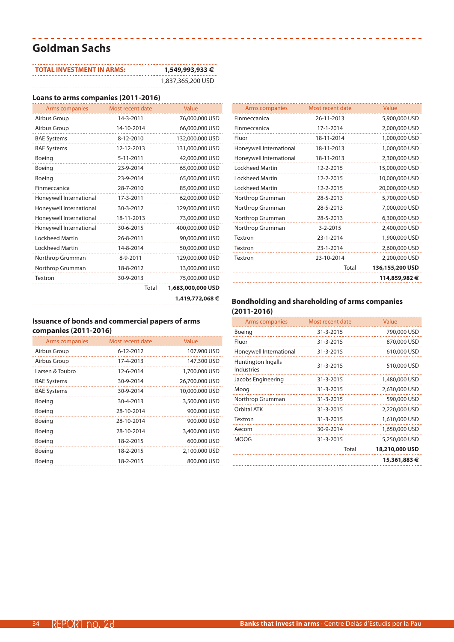# **Goldman Sachs**

| <b>TOTAL INVESTMENT IN ARMS:</b> | 1,549,993,933 €   |
|----------------------------------|-------------------|
|                                  | 1,837,365,200 USD |

### **Loans to arms companies (2011-2016)**

| Arms companies          | Most recent date | Value             |
|-------------------------|------------------|-------------------|
| Airbus Group            | 14-3-2011        | 76,000,000 USD    |
| Airbus Group            | 14-10-2014       | 66,000,000 USD    |
| <b>BAE Systems</b>      | 8-12-2010        | 132,000,000 USD   |
| <b>BAE Systems</b>      | 12-12-2013       | 131,000,000 USD   |
| Boeing                  | 5-11-2011        | 42,000,000 USD    |
| Boeing                  | 23-9-2014        | 65,000,000 USD    |
| Boeing                  | 23-9-2014        | 65,000,000 USD    |
| Finmeccanica            | 28-7-2010        | 85,000,000 USD    |
| Honeywell International | 17-3-2011        | 62,000,000 USD    |
| Honeywell International | 30-3-2012        | 129,000,000 USD   |
| Honeywell International | 18-11-2013       | 73,000,000 USD    |
| Honeywell International | 30-6-2015        | 400,000,000 USD   |
| <b>Lockheed Martin</b>  | 26-8-2011        | 90,000,000 USD    |
| <b>Lockheed Martin</b>  | 14-8-2014        | 50,000,000 USD    |
| Northrop Grumman        | 8-9-2011         | 129,000,000 USD   |
| Northrop Grumman        | 18-8-2012        | 13,000,000 USD    |
| Textron                 | 30-9-2013        | 75,000,000 USD    |
|                         | Total            | 1,683,000,000 USD |
|                         |                  | 1,419,772,068 €   |
|                         |                  |                   |

### **Issuance of bonds and commercial papers of arms companies (2011-2016)**

| Arms companies     | Most recent date | Value          |
|--------------------|------------------|----------------|
| Airbus Group       | 6-12-2012        | 107,900 USD    |
| Airbus Group       | 17-4-2013        | 147,300 USD    |
| Larsen & Toubro    | 12-6-2014        | 1,700,000 USD  |
| <b>BAE Systems</b> | 30-9-2014        | 26,700,000 USD |
| <b>BAE Systems</b> | 30-9-2014        | 10,000,000 USD |
| Boeing             | 30-4-2013        | 3,500,000 USD  |
| Boeing             | 28-10-2014       | 900,000 USD    |
| Boeing             | 28-10-2014       | 900,000 USD    |
| Boeing             | 28-10-2014       | 3,400,000 USD  |
| Boeing             | 18-2-2015        | 600,000 USD    |
| Boeing             | 18-2-2015        | 2,100,000 USD  |
| Boeing             | 18-2-2015        | 800,000 USD    |

| Arms companies          | Most recent date | Value           |
|-------------------------|------------------|-----------------|
| Finmeccanica            | 26-11-2013       | 5,900,000 USD   |
| Finmeccanica            | 17-1-2014        | 2,000,000 USD   |
| Fluor                   | 18-11-2014       | 1,000,000 USD   |
| Honeywell International | 18-11-2013       | 1,000,000 USD   |
| Honeywell International | 18-11-2013       | 2,300,000 USD   |
| Lockheed Martin         | 12-2-2015        | 15,000,000 USD  |
| <b>Lockheed Martin</b>  | 12-2-2015        | 10,000,000 USD  |
| Lockheed Martin         | 12-2-2015        | 20,000,000 USD  |
| Northrop Grumman        | 28-5-2013        | 5,700,000 USD   |
| Northrop Grumman        | 28-5-2013        | 7,000,000 USD   |
| Northrop Grumman        | 28-5-2013        | 6,300,000 USD   |
| Northrop Grumman        | $3 - 2 - 2015$   | 2,400,000 USD   |
| Textron                 | 23-1-2014        | 1,900,000 USD   |
| Textron                 | 23-1-2014        | 2,600,000 USD   |
| Textron                 | 23-10-2014       | 2,200,000 USD   |
|                         | Total            | 136,155,200 USD |
|                         |                  | 114,859,982 €   |
|                         |                  |                 |

| Arms companies                   | Most recent date | Value          |
|----------------------------------|------------------|----------------|
| Boeing                           | 31-3-2015        | 790,000 USD    |
| Fluor                            | 31-3-2015        | 870,000 USD    |
| Honeywell International          | 31-3-2015        | 610,000 USD    |
| Huntington Ingalls<br>Industries | 31-3-2015        | 510,000 USD    |
| Jacobs Engineering               | 31-3-2015        | 1,480,000 USD  |
| Moog                             | 31-3-2015        | 2,630,000 USD  |
| Northrop Grumman                 | 31-3-2015        | 590,000 USD    |
| Orbital ATK                      | 31-3-2015        | 2,220,000 USD  |
| Textron                          | 31-3-2015        | 1,610,000 USD  |
| Aecom                            | 30-9-2014        | 1,650,000 USD  |
| <b>MOOG</b>                      | 31-3-2015        | 5,250,000 USD  |
|                                  | Total            | 18,210,000 USD |
|                                  |                  | 15,361,883 €   |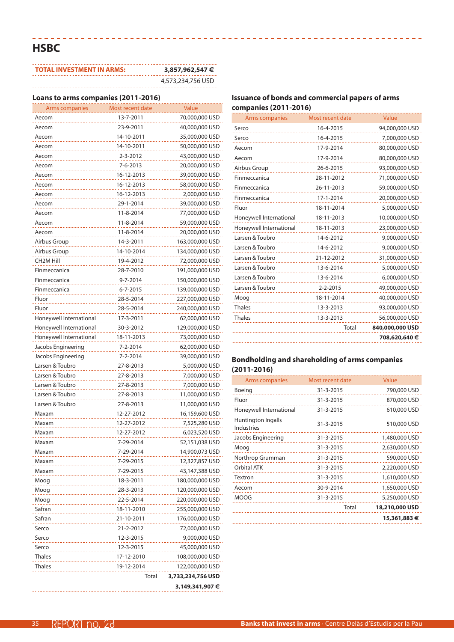# **HSBC**

| <b>TOTAL INVESTMENT IN ARMS:</b> | 3,857,962,547 €   |
|----------------------------------|-------------------|
|                                  | 4,573,234,756 USD |

---------------------------------

#### **Loans to arms companies (2011-2016)**

 $\label{eq:2.1} \frac{1}{2} \left( \frac{1}{2} \right) \frac{1}{2} \left( \frac{1}{2} \right) \frac{1}{2} \left( \frac{1}{2} \right) \frac{1}{2} \left( \frac{1}{2} \right)$ 

| LUAIIS (U ATIIIS CUIIIPANIES (2011-2010) |                  |                   |
|------------------------------------------|------------------|-------------------|
| Arms companies                           | Most recent date | Value             |
| Aecom                                    | 13-7-2011        | 70,000,000 USD    |
| Aecom                                    | 23-9-2011        | 40,000,000 USD    |
| Aecom                                    | 14-10-2011       | 35,000,000 USD    |
| Aecom                                    | 14-10-2011       | 50,000,000 USD    |
| Aecom                                    | 2-3-2012         | 43,000,000 USD    |
| Aecom                                    | 7-6-2013         | 20,000,000 USD    |
| Aecom                                    | 16-12-2013       | 39,000,000 USD    |
| Aecom                                    | 16-12-2013       | 58,000,000 USD    |
| Aecom                                    | 16-12-2013       | 2,000,000 USD     |
| Aecom                                    | 29-1-2014        | 39,000,000 USD    |
| Aecom                                    | 11-8-2014        | 77,000,000 USD    |
| Aecom                                    | 11-8-2014        | 59,000,000 USD    |
| Aecom                                    | 11-8-2014        | 20,000,000 USD    |
| Airbus Group                             | 14-3-2011        | 163,000,000 USD   |
| Airbus Group                             | 14-10-2014       | 134,000,000 USD   |
| <b>CH2M Hill</b>                         | 19-4-2012        | 72,000,000 USD    |
| Finmeccanica                             | 28-7-2010        | 191,000,000 USD   |
| Finmeccanica                             | 9-7-2014         | 150,000,000 USD   |
| Finmeccanica                             | 6-7-2015         | 139,000,000 USD   |
| Fluor                                    | 28-5-2014        | 227,000,000 USD   |
| Fluor                                    | 28-5-2014        | 240,000,000 USD   |
| Honeywell International                  | 17-3-2011        | 62,000,000 USD    |
| Honeywell International                  | 30-3-2012        | 129,000,000 USD   |
| Honeywell International                  | 18-11-2013       | 73,000,000 USD    |
| Jacobs Engineering                       | 7-2-2014         | 62,000,000 USD    |
| Jacobs Engineering                       | 7-2-2014         | 39,000,000 USD    |
| Larsen & Toubro                          | 27-8-2013        | 5,000,000 USD     |
| Larsen & Toubro                          | 27-8-2013        | 7,000,000 USD     |
| Larsen & Toubro                          | 27-8-2013        | 7,000,000 USD     |
| Larsen & Toubro                          | 27-8-2013        | 11,000,000 USD    |
| Larsen & Toubro                          | 27-8-2013        |                   |
|                                          |                  | 11,000,000 USD    |
| Maxam                                    | 12-27-2012       | 16,159,600 USD    |
| Maxam                                    | 12-27-2012       | 7,525,280 USD     |
| Maxam                                    | 12-27-2012       | 6,023,520 USD     |
| Maxam                                    | 7-29-2014        | 52,151,038 USD    |
| Maxam                                    | 7-29-2014        | 14,900,073 USD    |
| Maxam                                    | 7-29-2015        | 12,327,857 USD    |
| Maxam                                    | 7-29-2015        | 43,147,388 USD    |
| Moog                                     | 18-3-2011        | 180,000,000 USD   |
| Moog                                     | 28-3-2013        | 120,000,000 USD   |
| Moog                                     | 22-5-2014        | 220,000,000 USD   |
| Safran                                   | 18-11-2010       | 255,000,000 USD   |
| Safran                                   | 21-10-2011       | 176,000,000 USD   |
| Serco                                    | 21-2-2012        | 72,000,000 USD    |
| Serco                                    | 12-3-2015        | 9,000,000 USD     |
| Serco                                    | 12-3-2015        | 45,000,000 USD    |
| <b>Thales</b>                            | 17-12-2010       | 108,000,000 USD   |
| <b>Thales</b>                            | 19-12-2014       | 122,000,000 USD   |
|                                          | Total            | 3,733,234,756 USD |
|                                          |                  | 3,149,341,907 €   |

### **Issuance of bonds and commercial papers of arms companies (2011-2016)**

------------------

| Arms companies          | Most recent date | Value           |
|-------------------------|------------------|-----------------|
| Serco                   | 16-4-2015        | 94,000,000 USD  |
| Serco                   | 16-4-2015        | 7,000,000 USD   |
| Aecom                   | 17-9-2014        | 80,000,000 USD  |
| Aecom                   | 17-9-2014        | 80,000,000 USD  |
| Airbus Group            | 26-6-2015        | 93,000,000 USD  |
| Finmeccanica            | 28-11-2012       | 71,000,000 USD  |
| Finmeccanica            | 26-11-2013       | 59,000,000 USD  |
| Finmeccanica            | 17-1-2014        | 20,000,000 USD  |
| Fluor                   | 18-11-2014       | 5,000,000 USD   |
| Honeywell International | 18-11-2013       | 10,000,000 USD  |
| Honeywell International | 18-11-2013       | 23,000,000 USD  |
| Larsen & Toubro         | 14-6-2012        | 9,000,000 USD   |
| Larsen & Toubro         | 14-6-2012        | 9,000,000 USD   |
| Larsen & Toubro         | 21-12-2012       | 31,000,000 USD  |
| Larsen & Toubro         | 13-6-2014        | 5,000,000 USD   |
| Larsen & Toubro         | 13-6-2014        | 6,000,000 USD   |
| Larsen & Toubro         | $2 - 2 - 2015$   | 49,000,000 USD  |
| Moog                    | 18-11-2014       | 40,000,000 USD  |
| <b>Thales</b>           | 13-3-2013        | 93,000,000 USD  |
| <b>Thales</b>           | 13-3-2013        | 56,000,000 USD  |
|                         | Total            | 840,000,000 USD |
|                         |                  | 708,620,640 €   |

| Arms companies                   | Most recent date | Value          |
|----------------------------------|------------------|----------------|
| Boeing                           | 31-3-2015        | 790,000 USD    |
| Fluor                            | 31-3-2015        | 870,000 USD    |
| Honeywell International          | 31-3-2015        | 610,000 USD    |
| Huntington Ingalls<br>Industries | 31-3-2015        | 510,000 USD    |
| Jacobs Engineering               | 31-3-2015        | 1,480,000 USD  |
| Moog                             | 31-3-2015        | 2,630,000 USD  |
| Northrop Grumman                 | 31-3-2015        | 590,000 USD    |
| Orbital ATK                      | 31-3-2015        | 2,220,000 USD  |
| Textron                          | 31-3-2015        | 1,610,000 USD  |
| Aecom                            | 30-9-2014        | 1,650,000 USD  |
| <b>MOOG</b>                      | 31-3-2015        | 5,250,000 USD  |
|                                  | Total            | 18,210,000 USD |
|                                  |                  | 15,361,883 €   |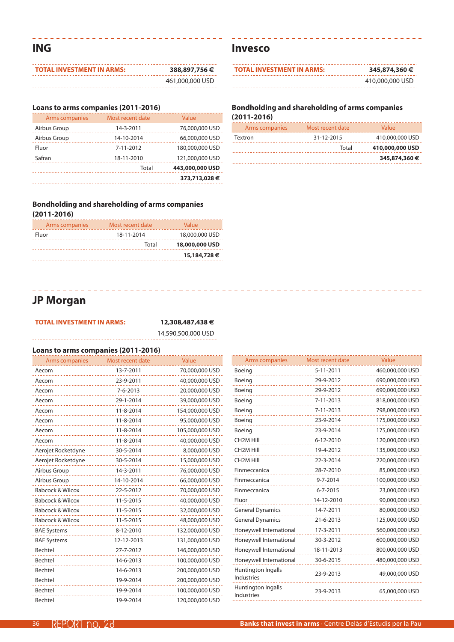**ING**

| TOTAL INVESTMENT IN ARMS: | 388,897,756€    |
|---------------------------|-----------------|
|                           | 461,000,000 USD |

\_\_\_\_\_\_\_\_\_\_\_\_\_\_\_\_\_\_\_\_\_\_\_\_\_

### **Loans to arms companies (2011-2016)**

| Arms companies | Most recent date | Value           |
|----------------|------------------|-----------------|
| Airbus Group   | 14-3-2011        | 76,000,000 USD  |
| Airbus Group   | 14-10-2014       | 66,000,000 USD  |
| Fluor          | 7-11-2012        | 180,000,000 USD |
| Safran         | 18-11-2010       | 121,000,000 USD |
|                | Total            | 443,000,000 USD |
|                |                  | 373,713,028€    |

### **Bondholding and shareholding of arms companies (2011-2016)**

| Arms companies | Most recent date | Value          |
|----------------|------------------|----------------|
| Fluor          | 18-11-2014       | 18,000,000 USD |
|                | Total            | 18,000,000 USD |
|                |                  | 15,184,728€    |

### **Invesco**

| <b>TOTAL INVESTMENT IN ARMS:</b> | 345,874,360 €   |
|----------------------------------|-----------------|
|                                  | 410,000,000 USD |

### **Bondholding and shareholding of arms companies (2011-2016)**

| Arms companies | Most recent date | Value           |
|----------------|------------------|-----------------|
| Textron        | 31-12-2015       | 410,000,000 USD |
|                | Total            | 410,000,000 USD |
|                |                  | 345,874,360 €   |

# **JP Morgan**

| <b>TOTAL INVESTMENT IN ARMS:</b> | 12,308,487,438 €   |
|----------------------------------|--------------------|
|                                  | 14,590,500,000 USD |

### **Loans to arms companies (2011-2016)**

| Arms companies              | Most recent date | Value           |
|-----------------------------|------------------|-----------------|
| Aecom                       | 13-7-2011        | 70,000,000 USD  |
| Aecom                       | 23-9-2011        | 40,000,000 USD  |
| Aecom                       | $7 - 6 - 2013$   | 20,000,000 USD  |
| Aecom                       | 29-1-2014        | 39,000,000 USD  |
| Aecom                       | 11-8-2014        | 154,000,000 USD |
| Aecom                       | 11-8-2014        | 95,000,000 USD  |
| Aecom                       | 11-8-2014        | 105,000,000 USD |
| Aecom                       | 11-8-2014        | 40,000,000 USD  |
| Aerojet Rocketdyne          | 30-5-2014        | 8,000,000 USD   |
| Aerojet Rocketdyne          | 30-5-2014        | 15,000,000 USD  |
| Airbus Group                | 14-3-2011        | 76,000,000 USD  |
| Airbus Group                | 14-10-2014       | 66,000,000 USD  |
| <b>Babcock &amp; Wilcox</b> | 22-5-2012        | 70,000,000 USD  |
| <b>Babcock &amp; Wilcox</b> | 11-5-2015        | 40,000,000 USD  |
| <b>Babcock &amp; Wilcox</b> | 11-5-2015        | 32,000,000 USD  |
| <b>Babcock &amp; Wilcox</b> | 11-5-2015        | 48,000,000 USD  |
| <b>BAE Systems</b>          | 8-12-2010        | 132,000,000 USD |
| <b>BAE Systems</b>          | 12-12-2013       | 131,000,000 USD |
| Bechtel                     | 27-7-2012        | 146,000,000 USD |
| Bechtel                     | 14-6-2013        | 100,000,000 USD |
| Bechtel                     | 14-6-2013        | 200,000,000 USD |
| Bechtel                     | 19-9-2014        | 200,000,000 USD |
| Bechtel                     | 19-9-2014        | 100,000,000 USD |
| Bechtel                     | 19-9-2014        | 120,000,000 USD |

| Arms companies                          | Most recent date | Value           |
|-----------------------------------------|------------------|-----------------|
| Boeing                                  | $5 - 11 - 2011$  | 460,000,000 USD |
| Boeing                                  | 29-9-2012        | 690,000,000 USD |
| Boeing                                  | 29-9-2012        | 690,000,000 USD |
| Boeing                                  | 7-11-2013        | 818,000,000 USD |
| Boeing                                  | 7-11-2013        | 798,000,000 USD |
| Boeing                                  | 23-9-2014        | 175,000,000 USD |
| Boeing                                  | 23-9-2014        | 175,000,000 USD |
| CH <sub>2</sub> M Hill                  | 6-12-2010        | 120,000,000 USD |
| CH <sub>2</sub> M Hill                  | 19-4-2012        | 135,000,000 USD |
| CH <sub>2</sub> M Hill                  | 22-3-2014        | 220,000,000 USD |
| Finmeccanica                            | 28-7-2010        | 85,000,000 USD  |
| Finmeccanica                            | $9 - 7 - 2014$   | 100,000,000 USD |
| Finmeccanica                            | $6 - 7 - 2015$   | 23,000,000 USD  |
| Fluor                                   | 14-12-2010       | 90,000,000 USD  |
| <b>General Dynamics</b>                 | 14-7-2011        | 80,000,000 USD  |
| <b>General Dynamics</b>                 | 21-6-2013        | 125,000,000 USD |
| Honeywell International                 | 17-3-2011        | 560,000,000 USD |
| Honeywell International                 | 30-3-2012        | 600,000,000 USD |
| Honeywell International                 | 18-11-2013       | 800,000,000 USD |
| Honeywell International                 | 30-6-2015        | 480,000,000 USD |
| Huntington Ingalls<br><b>Industries</b> | 23-9-2013        | 49,000,000 USD  |
| Huntington Ingalls<br><b>Industries</b> | 23-9-2013        | 65,000,000 USD  |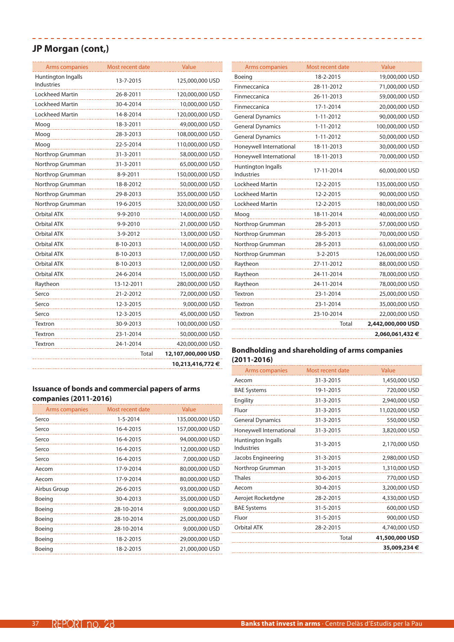### **JP Morgan (cont,)**

| <b>Arms companies</b>            | Most recent date | Value              |
|----------------------------------|------------------|--------------------|
| Huntington Ingalls<br>Industries | 13-7-2015        | 125,000,000 USD    |
| Lockheed Martin                  | 26-8-2011        | 120,000,000 USD    |
| <b>Lockheed Martin</b>           | 30-4-2014        | 10,000,000 USD     |
| Lockheed Martin                  | 14-8-2014        | 120,000,000 USD    |
| Moog                             | 18-3-2011        | 49,000,000 USD     |
| Moog                             | 28-3-2013        | 108,000,000 USD    |
| Moog                             | 22-5-2014        | 110,000,000 USD    |
| Northrop Grumman                 | 31-3-2011        | 58,000,000 USD     |
| Northrop Grumman                 | 31-3-2011        | 65,000,000 USD     |
| Northrop Grumman                 | 8-9-2011         | 150,000,000 USD    |
| Northrop Grumman                 | 18-8-2012        | 50,000,000 USD     |
| Northrop Grumman                 | 29-8-2013        | 355,000,000 USD    |
| Northrop Grumman                 | 19-6-2015        | 320,000,000 USD    |
| <b>Orbital ATK</b>               | 9-9-2010         | 14,000,000 USD     |
| Orbital ATK                      | 9-9-2010         | 21,000,000 USD     |
| Orbital ATK                      | 3-9-2012         | 13,000,000 USD     |
| Orbital ATK                      | 8-10-2013        | 14,000,000 USD     |
| <b>Orbital ATK</b>               | 8-10-2013        | 17,000,000 USD     |
| Orbital ATK                      | 8-10-2013        | 12,000,000 USD     |
| <b>Orbital ATK</b>               | 24-6-2014        | 15,000,000 USD     |
| Raytheon                         | 13-12-2011       | 280,000,000 USD    |
| Serco                            | 21-2-2012        | 72,000,000 USD     |
| Serco                            | 12-3-2015        | 9,000,000 USD      |
| Serco                            | 12-3-2015        | 45,000,000 USD     |
| Textron                          | 30-9-2013        | 100,000,000 USD    |
| Textron                          | 23-1-2014        | 50,000,000 USD     |
| Textron                          | 24-1-2014        | 420,000,000 USD    |
|                                  | Total            | 12,107,000,000 USD |
|                                  |                  | 10,213,416,772€    |

------------------------

### **Issuance of bonds and commercial papers of arms companies (2011-2016)**

| Arms companies | Most recent date | Value           |
|----------------|------------------|-----------------|
| Serco          | $1 - 5 - 2014$   | 135,000,000 USD |
| Serco          | 16-4-2015        | 157,000,000 USD |
| Serco          | 16-4-2015        | 94,000,000 USD  |
| Serco          | 16-4-2015        | 12,000,000 USD  |
| Serco          | 16-4-2015        | 7,000,000 USD   |
| Aecom          | 17-9-2014        | 80,000,000 USD  |
| Aecom          | 17-9-2014        | 80,000,000 USD  |
| Airbus Group   | 26-6-2015        | 93,000,000 USD  |
| Boeing         | 30-4-2013        | 35,000,000 USD  |
| Boeing         | 28-10-2014       | 9,000,000 USD   |
| Boeing         | 28-10-2014       | 25,000,000 USD  |
| Boeing         | 28-10-2014       | 9,000,000 USD   |
| Boeing         | 18-2-2015        | 29,000,000 USD  |
| Boeing         | 18-2-2015        | 21,000,000 USD  |
|                |                  |                 |

| Arms companies                          | Most recent date | Value             |
|-----------------------------------------|------------------|-------------------|
| Boeing                                  | 18-2-2015        | 19,000,000 USD    |
| Finmeccanica                            | 28-11-2012       | 71,000,000 USD    |
| Finmeccanica                            | 26-11-2013       | 59,000,000 USD    |
| Finmeccanica                            | 17-1-2014        | 20,000,000 USD    |
| <b>General Dynamics</b>                 | $1 - 11 - 2012$  | 90,000,000 USD    |
| <b>General Dynamics</b>                 | 1-11-2012        | 100,000,000 USD   |
| <b>General Dynamics</b>                 | 1-11-2012        | 50,000,000 USD    |
| Honeywell International                 | 18-11-2013       | 30,000,000 USD    |
| Honeywell International                 | 18-11-2013       | 70,000,000 USD    |
| Huntington Ingalls<br><b>Industries</b> | 17-11-2014       | 60,000,000 USD    |
| <b>Lockheed Martin</b>                  | 12-2-2015        | 135,000,000 USD   |
| <b>Lockheed Martin</b>                  | 12-2-2015        | 90,000,000 USD    |
| Lockheed Martin                         | 12-2-2015        | 180,000,000 USD   |
| Moog                                    | 18-11-2014       | 40,000,000 USD    |
| Northrop Grumman                        | 28-5-2013        | 57,000,000 USD    |
| Northrop Grumman                        | 28-5-2013        | 70,000,000 USD    |
| Northrop Grumman                        | 28-5-2013        | 63,000,000 USD    |
| Northrop Grumman                        | $3 - 2 - 2015$   | 126,000,000 USD   |
| Raytheon                                | 27-11-2012       | 88,000,000 USD    |
| Raytheon                                | 24-11-2014       | 78,000,000 USD    |
| Raytheon                                | 24-11-2014       | 78,000,000 USD    |
| Textron                                 | 23-1-2014        | 25,000,000 USD    |
| Textron                                 | 23-1-2014        | 35,000,000 USD    |
| Textron                                 | 23-10-2014       | 22,000,000 USD    |
|                                         | Total            | 2,442,000,000 USD |
|                                         |                  | 2,060,061,432 €   |

| Arms companies                          | Most recent date | Value          |
|-----------------------------------------|------------------|----------------|
| Aecom                                   | 31-3-2015        | 1,450,000 USD  |
| <b>BAE Systems</b>                      | 19-1-2015        | 720,000 USD    |
| Engility                                | 31-3-2015        | 2,940,000 USD  |
| Fluor                                   | 31-3-2015        | 11,020,000 USD |
| <b>General Dynamics</b>                 | 31-3-2015        | 550,000 USD    |
| Honeywell International                 | 31-3-2015        | 3,820,000 USD  |
| Huntington Ingalls<br><b>Industries</b> | 31-3-2015        | 2,170,000 USD  |
| Jacobs Engineering                      | 31-3-2015        | 2,980,000 USD  |
| Northrop Grumman                        | 31-3-2015        | 1,310,000 USD  |
| <b>Thales</b>                           | 30-6-2015        | 770,000 USD    |
| Aecom                                   | 30-4-2015        | 3,200,000 USD  |
| Aerojet Rocketdyne                      | 28-2-2015        | 4,330,000 USD  |
| <b>BAE Systems</b>                      | 31-5-2015        | 600,000 USD    |
| Fluor                                   | 31-5-2015        | 900,000 USD    |
| <b>Orbital ATK</b>                      | 28-2-2015        | 4,740,000 USD  |
|                                         | Total            | 41,500,000 USD |
|                                         |                  | 35,009,234€    |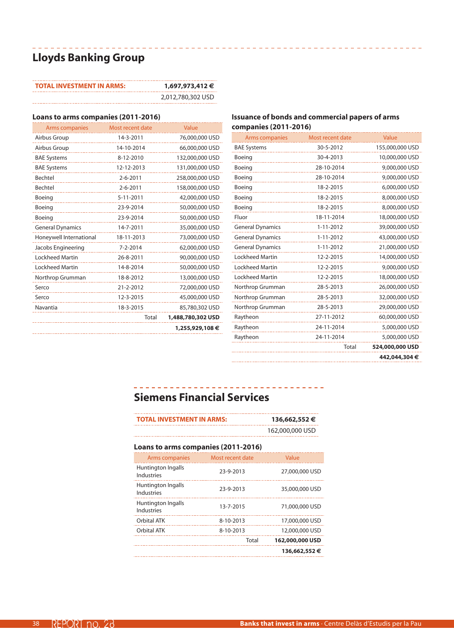# **Lloyds Banking Group**

| <b>TOTAL INVESTMENT IN ARMS:</b> | 1,697,973,412 €   |
|----------------------------------|-------------------|
|                                  | 2,012,780,302 USD |

#### **Loans to arms companies (2011-2016)**

| Arms companies          | Most recent date | Value             |
|-------------------------|------------------|-------------------|
| Airbus Group            | 14-3-2011        | 76,000,000 USD    |
| Airbus Group            | 14-10-2014       | 66,000,000 USD    |
| <b>BAE Systems</b>      | 8-12-2010        | 132,000,000 USD   |
| <b>BAE Systems</b>      | 12-12-2013       | 131,000,000 USD   |
| Bechtel                 | $2 - 6 - 2011$   | 258,000,000 USD   |
| Bechtel                 | $2 - 6 - 2011$   | 158,000,000 USD   |
| Boeing                  | $5 - 11 - 2011$  | 42,000,000 USD    |
| Boeing                  | 23-9-2014        | 50,000,000 USD    |
| Boeing                  | 23-9-2014        | 50,000,000 USD    |
| <b>General Dynamics</b> | 14-7-2011        | 35,000,000 USD    |
| Honeywell International | 18-11-2013       | 73,000,000 USD    |
| Jacobs Engineering      | 7-2-2014         | 62,000,000 USD    |
| <b>Lockheed Martin</b>  | 26-8-2011        | 90,000,000 USD    |
| Lockheed Martin         | 14-8-2014        | 50,000,000 USD    |
| Northrop Grumman        | 18-8-2012        | 13,000,000 USD    |
| Serco                   | 21-2-2012        | 72,000,000 USD    |
| Serco                   | 12-3-2015        | 45,000,000 USD    |
| Navantia                | 18-3-2015        | 85,780,302 USD    |
|                         | Total            | 1,488,780,302 USD |
|                         |                  | 1,255,929,108 €   |
|                         |                  |                   |

#### **Issuance of bonds and commercial papers of arms companies (2011-2016)**

| Arms companies          | Most recent date | Value           |
|-------------------------|------------------|-----------------|
| <b>BAE Systems</b>      | 30-5-2012        | 155,000,000 USD |
| Boeing                  | 30-4-2013        | 10,000,000 USD  |
| Boeing                  | 28-10-2014       | 9,000,000 USD   |
| Boeing                  | 28-10-2014       | 9,000,000 USD   |
| Boeing                  | 18-2-2015        | 6,000,000 USD   |
| Boeing                  | 18-2-2015        | 8,000,000 USD   |
| Boeing                  | 18-2-2015        | 8,000,000 USD   |
| Fluor                   | 18-11-2014       | 18,000,000 USD  |
| <b>General Dynamics</b> | $1 - 11 - 2012$  | 39,000,000 USD  |
| <b>General Dynamics</b> | $1 - 11 - 2012$  | 43,000,000 USD  |
| <b>General Dynamics</b> | $1 - 11 - 2012$  | 21,000,000 USD  |
| <b>Lockheed Martin</b>  | 12-2-2015        | 14,000,000 USD  |
| <b>Lockheed Martin</b>  | 12-2-2015        | 9,000,000 USD   |
| <b>Lockheed Martin</b>  | 12-2-2015        | 18,000,000 USD  |
| Northrop Grumman        | 28-5-2013        | 26,000,000 USD  |
| Northrop Grumman        | 28-5-2013        | 32,000,000 USD  |
| Northrop Grumman        | 28-5-2013        | 29,000,000 USD  |
| Raytheon                | 27-11-2012       | 60,000,000 USD  |
| Raytheon                | 24-11-2014       | 5,000,000 USD   |
| Raytheon                | 24-11-2014       | 5,000,000 USD   |
|                         | Total            | 524,000,000 USD |
|                         |                  | 442,044,304 €   |

# **Siemens Financial Services**

| <b>TOTAL INVESTMENT IN ARMS:</b>        |                  | 136,662,552 €   |
|-----------------------------------------|------------------|-----------------|
|                                         |                  | 162,000,000 USD |
| Loans to arms companies (2011-2016)     |                  |                 |
| Arms companies                          | Most recent date | Value           |
| Huntington Ingalls<br><b>Industries</b> | 23-9-2013        | 27,000,000 USD  |
| Huntington Ingalls<br>Industries        | 23-9-2013        | 35,000,000 USD  |
| Huntington Ingalls<br><b>Industries</b> | 13-7-2015        | 71,000,000 USD  |
| Orbital ATK                             | 8-10-2013        | 17,000,000 USD  |
| Orbital ATK                             | 8-10-2013        | 12,000,000 USD  |
|                                         | Total            | 162,000,000 USD |
|                                         |                  | 136,662,552€    |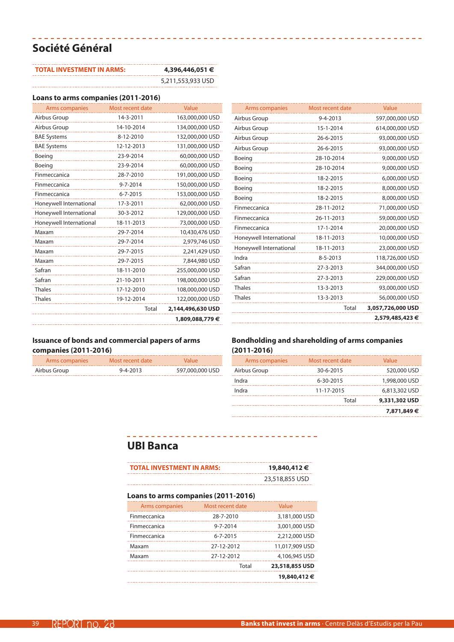# **Société Général**

| <b>TOTAL INVESTMENT IN ARMS:</b> | 4,396,446,051 €   |
|----------------------------------|-------------------|
|                                  | 5,211,553,933 USD |

### **Loans to arms companies (2011-2016)**

| <b>Arms companies</b>   | Most recent date | Value             |
|-------------------------|------------------|-------------------|
| Airbus Group            | 14-3-2011        | 163,000,000 USD   |
| Airbus Group            | 14-10-2014       | 134,000,000 USD   |
| <b>BAE Systems</b>      | 8-12-2010        | 132,000,000 USD   |
| <b>BAE Systems</b>      | 12-12-2013       | 131,000,000 USD   |
| Boeing                  | 23-9-2014        | 60,000,000 USD    |
| Boeing                  | 23-9-2014        | 60,000,000 USD    |
| Finmeccanica            | 28-7-2010        | 191,000,000 USD   |
| Finmeccanica            | 9-7-2014         | 150,000,000 USD   |
| Finmeccanica            | $6 - 7 - 2015$   | 153,000,000 USD   |
| Honeywell International | 17-3-2011        | 62,000,000 USD    |
| Honeywell International | 30-3-2012        | 129,000,000 USD   |
| Honeywell International | 18-11-2013       | 73,000,000 USD    |
| Maxam                   | 29-7-2014        | 10,430,476 USD    |
| Maxam                   | 29-7-2014        | 2,979,746 USD     |
| Maxam                   | 29-7-2015        | 2,241,429 USD     |
| Maxam                   | 29-7-2015        | 7,844,980 USD     |
| Safran                  | 18-11-2010       | 255,000,000 USD   |
| Safran                  | 21-10-2011       | 198,000,000 USD   |
| <b>Thales</b>           | 17-12-2010       | 108,000,000 USD   |
| <b>Thales</b>           | 19-12-2014       | 122,000,000 USD   |
|                         | Total            | 2,144,496,630 USD |
|                         |                  | 1,809,088,779€    |
|                         |                  |                   |

| Airbus Group            | $9 - 4 - 2013$ | 597,000,000 USD   |
|-------------------------|----------------|-------------------|
| Airbus Group            | 15-1-2014      | 614,000,000 USD   |
| Airbus Group            | 26-6-2015      | 93,000,000 USD    |
| Airbus Group            | 26-6-2015      | 93,000,000 USD    |
| Boeing                  | 28-10-2014     | 9,000,000 USD     |
| Boeing                  | 28-10-2014     | 9,000,000 USD     |
| Boeing                  | 18-2-2015      | 6,000,000 USD     |
| Boeing                  | 18-2-2015      | 8,000,000 USD     |
| Boeing                  | 18-2-2015      | 8,000,000 USD     |
| Finmeccanica            | 28-11-2012     | 71,000,000 USD    |
| Finmeccanica            | 26-11-2013     | 59,000,000 USD    |
| Finmeccanica            | 17-1-2014      | 20,000,000 USD    |
| Honeywell International | 18-11-2013     | 10,000,000 USD    |
| Honeywell International | 18-11-2013     | 23,000,000 USD    |
| Indra                   | $8 - 5 - 2013$ | 118,726,000 USD   |
| Safran                  | 27-3-2013      | 344,000,000 USD   |
| Safran                  | 27-3-2013      | 229,000,000 USD   |
| <b>Thales</b>           | 13-3-2013      | 93,000,000 USD    |
| <b>Thales</b>           | 13-3-2013      | 56,000,000 USD    |
|                         | Total          | 3,057,726,000 USD |
|                         |                | 2,579,485,423 €   |

Arms companies Most recent date Value

### **Issuance of bonds and commercial papers of arms companies (2011-2016)**

| Arms companies | Most recent date | <b>Value</b>    |
|----------------|------------------|-----------------|
| Airbus Group   | $9 - 4 - 2013$   | 597,000,000 USD |

#### **Bondholding and shareholding of arms companies (2011-2016)**

| Arms companies | Most recent date | Value         |
|----------------|------------------|---------------|
| Airbus Group   | 30-6-2015        | 520,000 USD   |
| Indra          | 6-30-2015        | 1,998,000 USD |
| Indra          | 11-17-2015       | 6,813,302 USD |
|                | Total            | 9,331,302 USD |
|                |                  | 7,871,849€    |

## **UBI Banca**

| <b>TOTAL INVESTMENT IN ARMS:</b> | 19,840,412 €   |
|----------------------------------|----------------|
|                                  | 23,518,855 USD |

\_\_\_\_\_\_\_\_\_\_\_\_\_\_\_\_\_\_\_\_\_\_\_\_\_\_\_\_\_\_\_\_\_\_

-------------------------------

### **Loans to arms companies (2011-2016)**

| Arms companies | Most recent date | Value          |
|----------------|------------------|----------------|
| Finmeccanica   | 28-7-2010        | 3,181,000 USD  |
| Finmeccanica   | $9 - 7 - 2014$   | 3,001,000 USD  |
| Finmeccanica   | $6 - 7 - 2015$   | 2,212,000 USD  |
| Maxam          | 27-12-2012       | 11,017,909 USD |
| Maxam          | 27-12-2012       | 4,106,945 USD  |
|                | Total            | 23,518,855 USD |
|                |                  | 19,840,412 €   |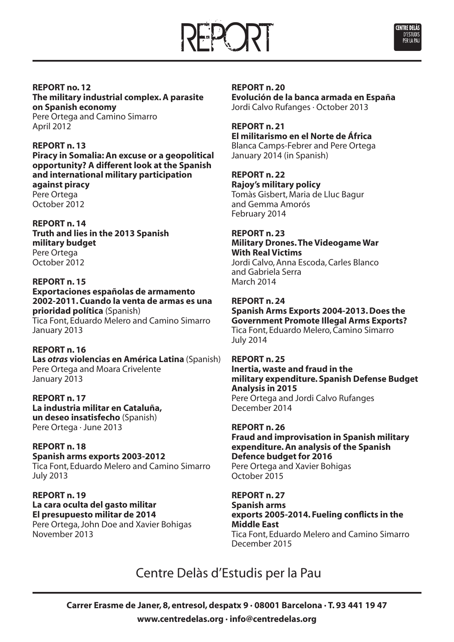



# **REPORT no. 12**

**The military industrial complex.A parasite on Spanish economy** Pere Ortega and Camino Simarro April 2012

### **REPORT n. 13**

**Piracy in Somalia: An excuse or a geopolitical opportunity? A different look at the Spanish and international military participation against piracy** Pere Ortega October 2012

### **REPORT n. 14**

**Truth and lies in the 2013 Spanish military budget** Pere Ortega October 2012

### **REPORT n. 15**

**Exportaciones españolas de armamento 2002-2011. Cuando la venta de armas es una prioridad política** (Spanish) Tica Font, Eduardo Melero and Camino Simarro January 2013

### **REPORT n. 16**

**Las** *otras* **violencias en América Latina** (Spanish) Pere Ortega and Moara Crivelente January 2013

### **REPORT n. 17 La industria militar en Cataluña, un deseo insatisfecho** (Spanish) Pere Ortega · June 2013

**REPORT n. 18 Spanish arms exports 2003-2012** Tica Font, Eduardo Melero and Camino Simarro July 2013

**REPORT n. 19 La cara oculta del gasto militar El presupuesto militar de 2014** Pere Ortega, John Doe and Xavier Bohigas November 2013

### **REPORT n. 20 Evolución de la banca armada en España** Jordi Calvo Rufanges · October 2013

### **REPORT n. 21 El militarismo en el Norte de África**

Blanca Camps-Febrer and Pere Ortega January 2014 (in Spanish)

## **REPORT n. 22**

**Rajoy's military policy** Tomàs Gisbert, Maria de Lluc Bagur and Gemma Amorós February 2014

### **REPORT n. 23**

**Military Drones.The Videogame War With Real Victims** Jordi Calvo, Anna Escoda, Carles Blanco

and Gabriela Serra March 2014

### **REPORT n. 24**

**Spanish Arms Exports 2004-2013. Does the Government Promote Illegal Arms Exports?** Tica Font, Eduardo Melero, Camino Simarro July 2014

### **REPORT n. 25**

**Inertia, waste and fraud in the military expenditure. Spanish Defense Budget Analysis in 2015** Pere Ortega and Jordi Calvo Rufanges

December 2014

## **REPORT n. 26**

**Fraud and improvisation in Spanish military expenditure.An analysis of the Spanish Defence budget for 2016** Pere Ortega and Xavier Bohigas October 2015

### **REPORT n. 27**

**Spanish arms exports 2005-2014. Fueling conflicts in the Middle East** Tica Font, Eduardo Melero and Camino Simarro December 2015

# Centre Delàs d'Estudis per la Pau